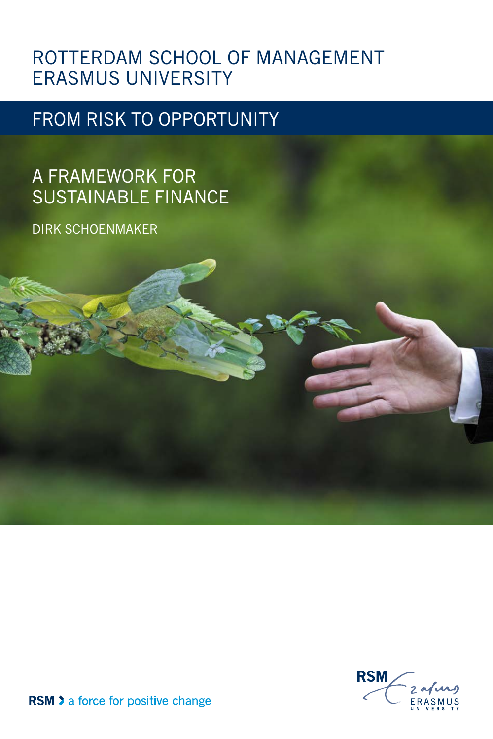## ROTTERDAM SCHOOL OF MANAGEMENT ERASMUS UNIVERSITY

## FROM RISK TO OPPORTUNITY

## A FRAMEWORK FOR SUSTAINABLE FINANCE

DIRK SCHOENMAKER



**RSM** > a force for positive change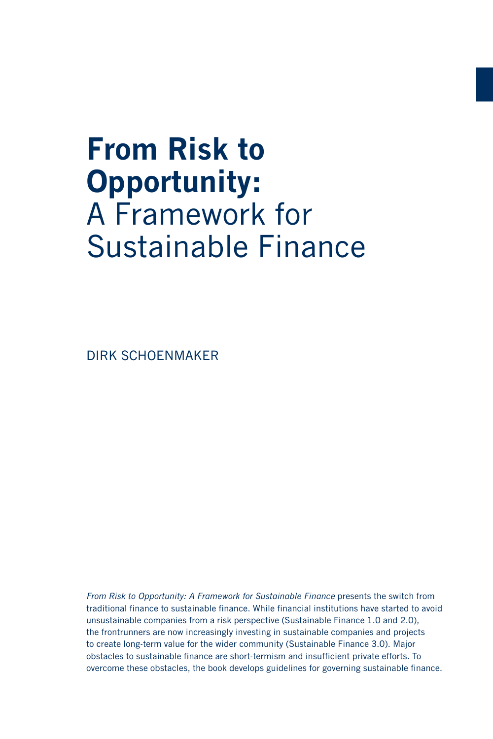# **From Risk to Opportunity:**  A Framework for Sustainable Finance

DIRK SCHOENMAKER

*From Risk to Opportunity: A Framework for Sustainable Finance* presents the switch from traditional finance to sustainable finance. While financial institutions have started to avoid unsustainable companies from a risk perspective (Sustainable Finance 1.0 and 2.0), the frontrunners are now increasingly investing in sustainable companies and projects to create long-term value for the wider community (Sustainable Finance 3.0). Major obstacles to sustainable finance are short-termism and insufficient private efforts. To overcome these obstacles, the book develops guidelines for governing sustainable finance.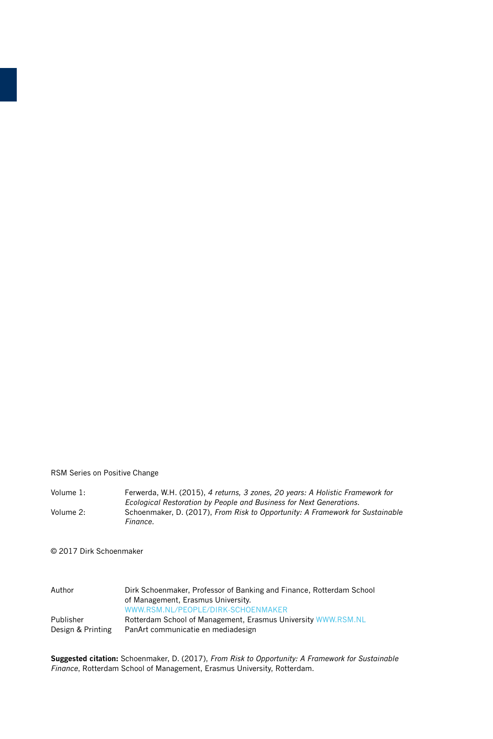RSM Series on Positive Change

Volume 1: Ferwerda, W.H. (2015), *4 returns, 3 zones, 20 years: A Holistic Framework for Ecological Restoration by People and Business for Next Generations*. Volume 2: Schoenmaker, D. (2017), *From Risk to Opportunity: A Framework for Sustainable Finance*.

#### © 2017 Dirk Schoenmaker

| Author            | Dirk Schoenmaker, Professor of Banking and Finance, Rotterdam School |
|-------------------|----------------------------------------------------------------------|
|                   | of Management, Erasmus University.                                   |
|                   | WWW.RSM.NL/PEOPLE/DIRK-SCHOENMAKER                                   |
| Publisher         | Rotterdam School of Management, Erasmus University WWW.RSM.NL        |
| Design & Printing | PanArt communicatie en mediadesign                                   |

**Suggested citation:** Schoenmaker, D. (2017), *From Risk to Opportunity: A Framework for Sustainable Finance*, Rotterdam School of Management, Erasmus University, Rotterdam.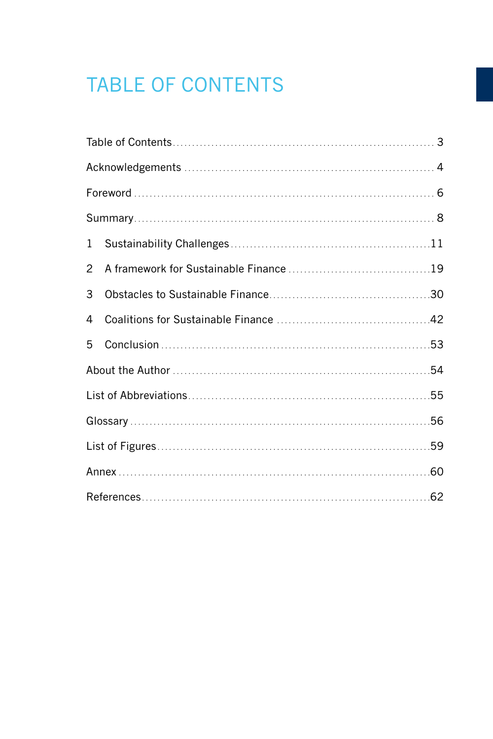## TABLE OF CONTENTS

| $\mathbf{1}$  |  |
|---------------|--|
| $\mathcal{P}$ |  |
| 3             |  |
| 4             |  |
| 5             |  |
|               |  |
|               |  |
|               |  |
|               |  |
|               |  |
|               |  |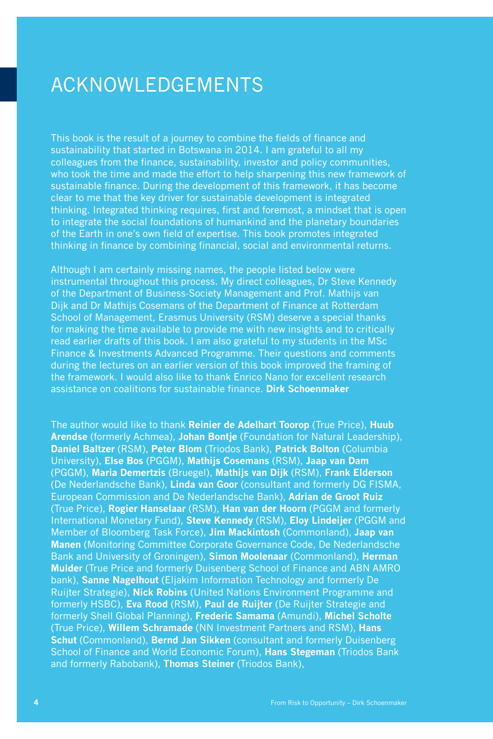## <span id="page-5-0"></span>ACKNOWLEDGEMENTS

This book is the result of a journey to combine the fields of finance and sustainability that started in Botswana in 2014. I am grateful to all my colleagues from the finance, sustainability, investor and policy communities, who took the time and made the effort to help sharpening this new framework of sustainable finance. During the development of this framework, it has become clear to me that the key driver for sustainable development is integrated thinking. Integrated thinking requires, first and foremost, a mindset that is open to integrate the social foundations of humankind and the planetary boundaries of the Earth in one's own field of expertise. This book promotes integrated thinking in finance by combining financial, social and environmental returns.

Although I am certainly missing names, the people listed below were instrumental throughout this process. My direct colleagues, Dr Steve Kennedy of the Department of Business-Society Management and Prof. Mathijs van Dijk and Dr Mathijs Cosemans of the Department of Finance at Rotterdam School of Management, Erasmus University (RSM) deserve a special thanks for making the time available to provide me with new insights and to critically read earlier drafts of this book. I am also grateful to my students in the MSc Finance & Investments Advanced Programme. Their questions and comments during the lectures on an earlier version of this book improved the framing of the framework. I would also like to thank Enrico Nano for excellent research assistance on coalitions for sustainable finance. **Dirk Schoenmaker**

The author would like to thank **Reinier de Adelhart Toorop** (True Price), **Huub Arendse** (formerly Achmea), **Johan Bontje** (Foundation for Natural Leadership), **Daniel Baltzer** (RSM), **Peter Blom** (Triodos Bank), **Patrick Bolton** (Columbia University), **Else Bos** (PGGM), **Mathijs Cosemans** (RSM), **Jaap van Dam** (PGGM), **Maria Demertzis** (Bruegel), **Mathijs van Dijk** (RSM), **Frank Elderson** (De Nederlandsche Bank), **Linda van Goor** (consultant and formerly DG FISMA, European Commission and De Nederlandsche Bank), **Adrian de Groot Ruiz** (True Price), **Rogier Hanselaar** (RSM), **Han van der Hoorn** (PGGM and formerly International Monetary Fund), **Steve Kennedy** (RSM), **Eloy Lindeijer** (PGGM and Member of Bloomberg Task Force), **Jim Mackintosh** (Commonland), **Jaap van Manen** (Monitoring Committee Corporate Governance Code, De Nederlandsche Bank and University of Groningen), **Simon Moolenaar** (Commonland), **Herman Mulder** (True Price and formerly Duisenberg School of Finance and ABN AMRO bank), **Sanne Nagelhout** (Eljakim Information Technology and formerly De Ruijter Strategie), **Nick Robins** (United Nations Environment Programme and formerly HSBC), **Eva Rood** (RSM), **Paul de Ruijter** (De Ruijter Strategie and formerly Shell Global Planning), **Frederic Samama** (Amundi), **Michel Scholte** (True Price), **Willem Schramade** (NN Investment Partners and RSM), **Hans Schut** (Commonland), **Bernd Jan Sikken** (consultant and formerly Duisenberg School of Finance and World Economic Forum), **Hans Stegeman** (Triodos Bank and formerly Rabobank), **Thomas Steiner** (Triodos Bank),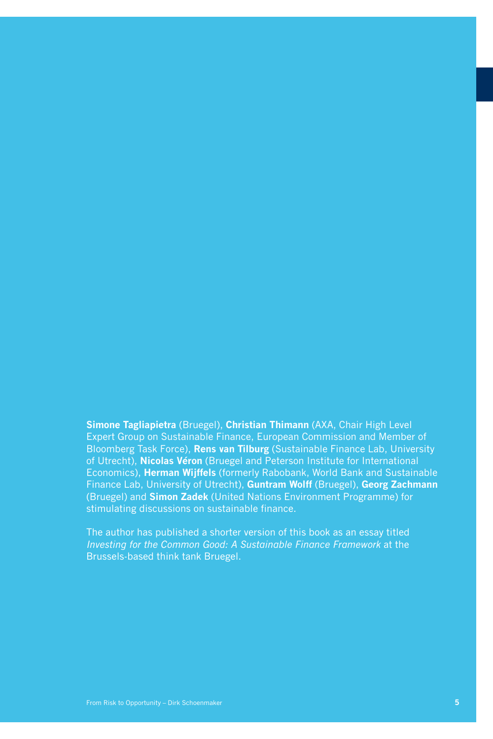**Simone Tagliapietra** (Bruegel), **Christian Thimann** (AXA, Chair High Level Expert Group on Sustainable Finance, European Commission and Member of Bloomberg Task Force), **Rens van Tilburg** (Sustainable Finance Lab, University of Utrecht), **Nicolas Véron** (Bruegel and Peterson Institute for International Economics), **Herman Wijffels** (formerly Rabobank, World Bank and Sustainable Finance Lab, University of Utrecht), **Guntram Wolff** (Bruegel), **Georg Zachmann** (Bruegel) and **Simon Zadek** (United Nations Environment Programme) for stimulating discussions on sustainable finance.

The author has published a shorter version of this book as an essay titled *Investing for the Common Good: A Sustainable Finance Framework* at the Brussels-based think tank Bruegel.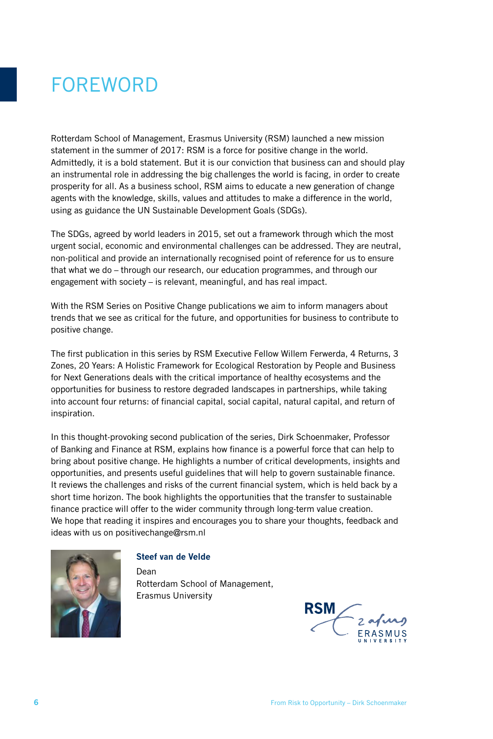## <span id="page-7-0"></span>FOREWORD

Rotterdam School of Management, Erasmus University (RSM) launched a new mission statement in the summer of 2017: RSM is a force for positive change in the world. Admittedly, it is a bold statement. But it is our conviction that business can and should play an instrumental role in addressing the big challenges the world is facing, in order to create prosperity for all. As a business school, RSM aims to educate a new generation of change agents with the knowledge, skills, values and attitudes to make a difference in the world, using as guidance the UN Sustainable Development Goals (SDGs).

The SDGs, agreed by world leaders in 2015, set out a framework through which the most urgent social, economic and environmental challenges can be addressed. They are neutral, non-political and provide an internationally recognised point of reference for us to ensure that what we do – through our research, our education programmes, and through our engagement with society – is relevant, meaningful, and has real impact.

With the RSM Series on Positive Change publications we aim to inform managers about trends that we see as critical for the future, and opportunities for business to contribute to positive change.

The first publication in this series by RSM Executive Fellow Willem Ferwerda, 4 Returns, 3 Zones, 20 Years: A Holistic Framework for Ecological Restoration by People and Business for Next Generations deals with the critical importance of healthy ecosystems and the opportunities for business to restore degraded landscapes in partnerships, while taking into account four returns: of financial capital, social capital, natural capital, and return of inspiration.

In this thought-provoking second publication of the series, Dirk Schoenmaker, Professor of Banking and Finance at RSM, explains how finance is a powerful force that can help to bring about positive change. He highlights a number of critical developments, insights and opportunities, and presents useful guidelines that will help to govern sustainable finance. It reviews the challenges and risks of the current financial system, which is held back by a short time horizon. The book highlights the opportunities that the transfer to sustainable finance practice will offer to the wider community through long-term value creation. We hope that reading it inspires and encourages you to share your thoughts, feedback and ideas with us on [positivechange@rsm.nl](http://positivechange@rsm.nl)



#### **Steef van de Velde**

Dean Rotterdam School of Management, Erasmus University

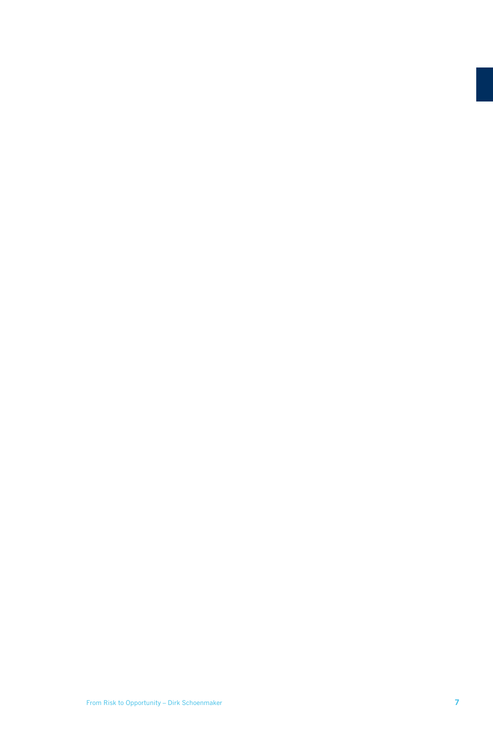From Risk to Opportunity – Dirk Schoenmaker **7**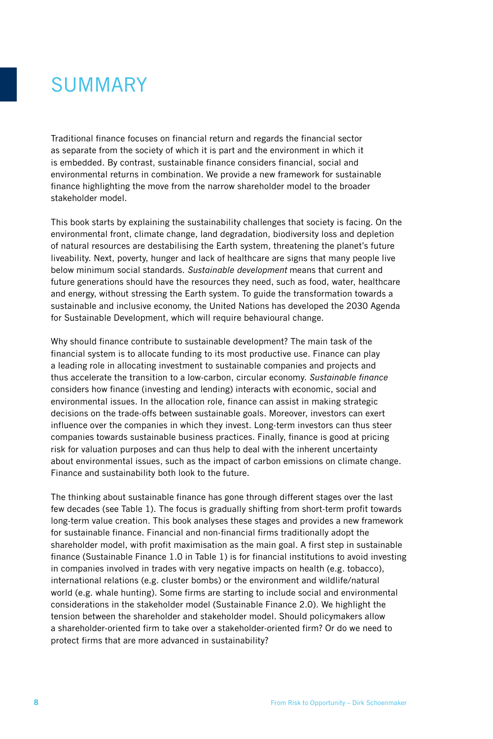## <span id="page-9-0"></span>**SUMMARY**

Traditional finance focuses on financial return and regards the financial sector as separate from the society of which it is part and the environment in which it is embedded. By contrast, sustainable finance considers financial, social and environmental returns in combination. We provide a new framework for sustainable finance highlighting the move from the narrow shareholder model to the broader stakeholder model.

This book starts by explaining the sustainability challenges that society is facing. On the environmental front, climate change, land degradation, biodiversity loss and depletion of natural resources are destabilising the Earth system, threatening the planet's future liveability. Next, poverty, hunger and lack of healthcare are signs that many people live below minimum social standards. *Sustainable development* means that current and future generations should have the resources they need, such as food, water, healthcare and energy, without stressing the Earth system. To guide the transformation towards a sustainable and inclusive economy, the United Nations has developed the 2030 Agenda for Sustainable Development, which will require behavioural change.

Why should finance contribute to sustainable development? The main task of the financial system is to allocate funding to its most productive use. Finance can play a leading role in allocating investment to sustainable companies and projects and thus accelerate the transition to a low-carbon, circular economy. *Sustainable finance* considers how finance (investing and lending) interacts with economic, social and environmental issues. In the allocation role, finance can assist in making strategic decisions on the trade-offs between sustainable goals. Moreover, investors can exert influence over the companies in which they invest. Long-term investors can thus steer companies towards sustainable business practices. Finally, finance is good at pricing risk for valuation purposes and can thus help to deal with the inherent uncertainty about environmental issues, such as the impact of carbon emissions on climate change. Finance and sustainability both look to the future.

The thinking about sustainable finance has gone through different stages over the last few decades (see Table 1). The focus is gradually shifting from short-term profit towards long-term value creation. This book analyses these stages and provides a new framework for sustainable finance. Financial and non-financial firms traditionally adopt the shareholder model, with profit maximisation as the main goal. A first step in sustainable finance (Sustainable Finance 1.0 in Table 1) is for financial institutions to avoid investing in companies involved in trades with very negative impacts on health (e.g. tobacco), international relations (e.g. cluster bombs) or the environment and wildlife/natural world (e.g. whale hunting). Some firms are starting to include social and environmental considerations in the stakeholder model (Sustainable Finance 2.0). We highlight the tension between the shareholder and stakeholder model. Should policymakers allow a shareholder-oriented firm to take over a stakeholder-oriented firm? Or do we need to protect firms that are more advanced in sustainability?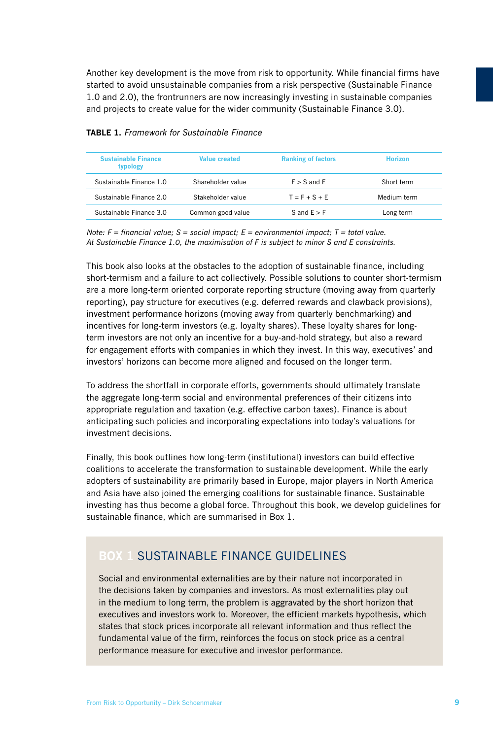Another key development is the move from risk to opportunity. While financial firms have started to avoid unsustainable companies from a risk perspective (Sustainable Finance 1.0 and 2.0), the frontrunners are now increasingly investing in sustainable companies and projects to create value for the wider community (Sustainable Finance 3.0).

| <b>Sustainable Finance</b><br>typology | Value created     | <b>Ranking of factors</b> | Horizon     |
|----------------------------------------|-------------------|---------------------------|-------------|
| Sustainable Finance 1.0                | Shareholder value | $F > S$ and $F$           | Short term  |
| Sustainable Finance 2.0                | Stakeholder value | $T = F + S + F$           | Medium term |
| Sustainable Finance 3.0                | Common good value | S and $F > F$             | Long term   |

#### **TABLE 1.** *Framework for Sustainable Finance*

*Note: F = financial value; S = social impact; E = environmental impact; T = total value. At Sustainable Finance 1.0, the maximisation of F is subject to minor S and E constraints.*

This book also looks at the obstacles to the adoption of sustainable finance, including short-termism and a failure to act collectively. Possible solutions to counter short-termism are a more long-term oriented corporate reporting structure (moving away from quarterly reporting), pay structure for executives (e.g. deferred rewards and clawback provisions), investment performance horizons (moving away from quarterly benchmarking) and incentives for long-term investors (e.g. loyalty shares). These loyalty shares for longterm investors are not only an incentive for a buy-and-hold strategy, but also a reward for engagement efforts with companies in which they invest. In this way, executives' and investors' horizons can become more aligned and focused on the longer term.

To address the shortfall in corporate efforts, governments should ultimately translate the aggregate long-term social and environmental preferences of their citizens into appropriate regulation and taxation (e.g. effective carbon taxes). Finance is about anticipating such policies and incorporating expectations into today's valuations for investment decisions.

Finally, this book outlines how long-term (institutional) investors can build effective coalitions to accelerate the transformation to sustainable development. While the early adopters of sustainability are primarily based in Europe, major players in North America and Asia have also joined the emerging coalitions for sustainable finance. Sustainable investing has thus become a global force. Throughout this book, we develop guidelines for sustainable finance, which are summarised in Box 1.

## **BOX 1 SUSTAINABLE FINANCE GUIDELINES**

Social and environmental externalities are by their nature not incorporated in the decisions taken by companies and investors. As most externalities play out in the medium to long term, the problem is aggravated by the short horizon that executives and investors work to. Moreover, the efficient markets hypothesis, which states that stock prices incorporate all relevant information and thus reflect the fundamental value of the firm, reinforces the focus on stock price as a central performance measure for executive and investor performance.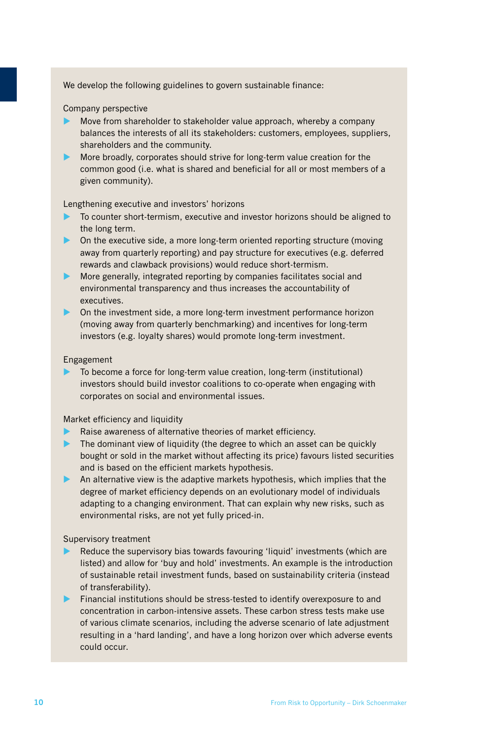We develop the following guidelines to govern sustainable finance:

#### Company perspective

- Move from shareholder to stakeholder value approach, whereby a company balances the interests of all its stakeholders: customers, employees, suppliers, shareholders and the community.
- More broadly, corporates should strive for long-term value creation for the common good (i.e. what is shared and beneficial for all or most members of a given community).

#### Lengthening executive and investors' horizons

- To counter short-termism, executive and investor horizons should be aligned to the long term.
- $\triangleright$  On the executive side, a more long-term oriented reporting structure (moving away from quarterly reporting) and pay structure for executives (e.g. deferred rewards and clawback provisions) would reduce short-termism.
- More generally, integrated reporting by companies facilitates social and environmental transparency and thus increases the accountability of executives.
- $\triangleright$  On the investment side, a more long-term investment performance horizon (moving away from quarterly benchmarking) and incentives for long-term investors (e.g. loyalty shares) would promote long-term investment.

#### Engagement

To become a force for long-term value creation, long-term (institutional) investors should build investor coalitions to co-operate when engaging with corporates on social and environmental issues.

#### Market efficiency and liquidity

- Raise awareness of alternative theories of market efficiency.
- The dominant view of liquidity (the degree to which an asset can be quickly bought or sold in the market without affecting its price) favours listed securities and is based on the efficient markets hypothesis.
- $\blacktriangleright$  An alternative view is the adaptive markets hypothesis, which implies that the degree of market efficiency depends on an evolutionary model of individuals adapting to a changing environment. That can explain why new risks, such as environmental risks, are not yet fully priced-in.

#### Supervisory treatment

- Reduce the supervisory bias towards favouring 'liquid' investments (which are listed) and allow for 'buy and hold' investments. An example is the introduction of sustainable retail investment funds, based on sustainability criteria (instead of transferability).
- $\blacktriangleright$  Financial institutions should be stress-tested to identify overexposure to and concentration in carbon-intensive assets. These carbon stress tests make use of various climate scenarios, including the adverse scenario of late adjustment resulting in a 'hard landing', and have a long horizon over which adverse events could occur.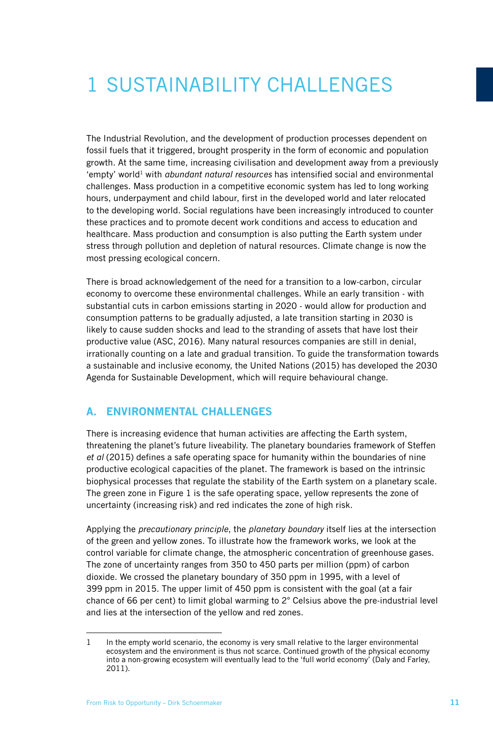## <span id="page-12-0"></span>1 SUSTAINABILITY CHALLENGES

The Industrial Revolution, and the development of production processes dependent on fossil fuels that it triggered, brought prosperity in the form of economic and population growth. At the same time, increasing civilisation and development away from a previously 'empty' world1 with *abundant natural resources* has intensified social and environmental challenges. Mass production in a competitive economic system has led to long working hours, underpayment and child labour, first in the developed world and later relocated to the developing world. Social regulations have been increasingly introduced to counter these practices and to promote decent work conditions and access to education and healthcare. Mass production and consumption is also putting the Earth system under stress through pollution and depletion of natural resources. Climate change is now the most pressing ecological concern.

There is broad acknowledgement of the need for a transition to a low-carbon, circular economy to overcome these environmental challenges. While an early transition - with substantial cuts in carbon emissions starting in 2020 - would allow for production and consumption patterns to be gradually adjusted, a late transition starting in 2030 is likely to cause sudden shocks and lead to the stranding of assets that have lost their productive value (ASC, 2016). Many natural resources companies are still in denial, irrationally counting on a late and gradual transition. To guide the transformation towards a sustainable and inclusive economy, the United Nations (2015) has developed the 2030 Agenda for Sustainable Development, which will require behavioural change.

### **A. ENVIRONMENTAL CHALLENGES**

There is increasing evidence that human activities are affecting the Earth system, threatening the planet's future liveability. The planetary boundaries framework of Steffen *et al* (2015) defines a safe operating space for humanity within the boundaries of nine productive ecological capacities of the planet. The framework is based on the intrinsic biophysical processes that regulate the stability of the Earth system on a planetary scale. The green zone in Figure 1 is the safe operating space, yellow represents the zone of uncertainty (increasing risk) and red indicates the zone of high risk.

Applying the *precautionary principle*, the *planetary boundary* itself lies at the intersection of the green and yellow zones. To illustrate how the framework works, we look at the control variable for climate change, the atmospheric concentration of greenhouse gases. The zone of uncertainty ranges from 350 to 450 parts per million (ppm) of carbon dioxide. We crossed the planetary boundary of 350 ppm in 1995, with a level of 399 ppm in 2015. The upper limit of 450 ppm is consistent with the goal (at a fair chance of 66 per cent) to limit global warming to 2° Celsius above the pre-industrial level and lies at the intersection of the yellow and red zones.

<sup>1</sup> In the empty world scenario, the economy is very small relative to the larger environmental ecosystem and the environment is thus not scarce. Continued growth of the physical economy into a non-growing ecosystem will eventually lead to the 'full world economy' (Daly and Farley, 2011).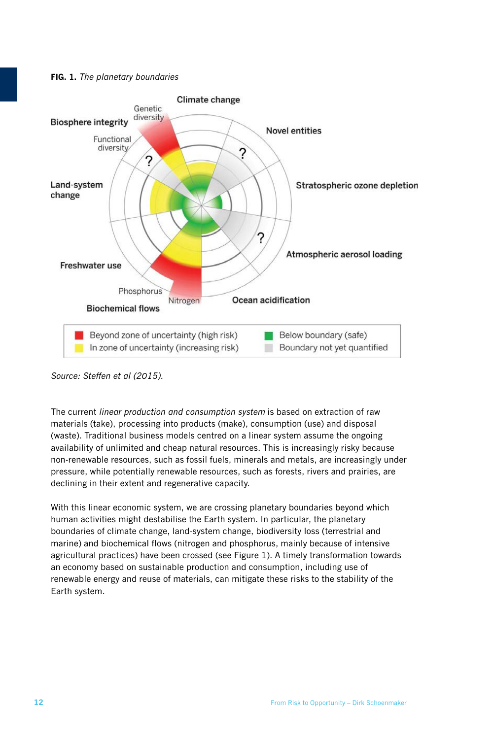#### **FIG. 1.** *The planetary boundaries*



*Source: Steffen et al (2015).*

The current *linear production and consumption system* is based on extraction of raw materials (take), processing into products (make), consumption (use) and disposal (waste). Traditional business models centred on a linear system assume the ongoing availability of unlimited and cheap natural resources. This is increasingly risky because non-renewable resources, such as fossil fuels, minerals and metals, are increasingly under pressure, while potentially renewable resources, such as forests, rivers and prairies, are declining in their extent and regenerative capacity.

With this linear economic system, we are crossing planetary boundaries beyond which human activities might destabilise the Earth system. In particular, the planetary boundaries of climate change, land-system change, biodiversity loss (terrestrial and marine) and biochemical flows (nitrogen and phosphorus, mainly because of intensive agricultural practices) have been crossed (see Figure 1). A timely transformation towards an economy based on sustainable production and consumption, including use of renewable energy and reuse of materials, can mitigate these risks to the stability of the Earth system.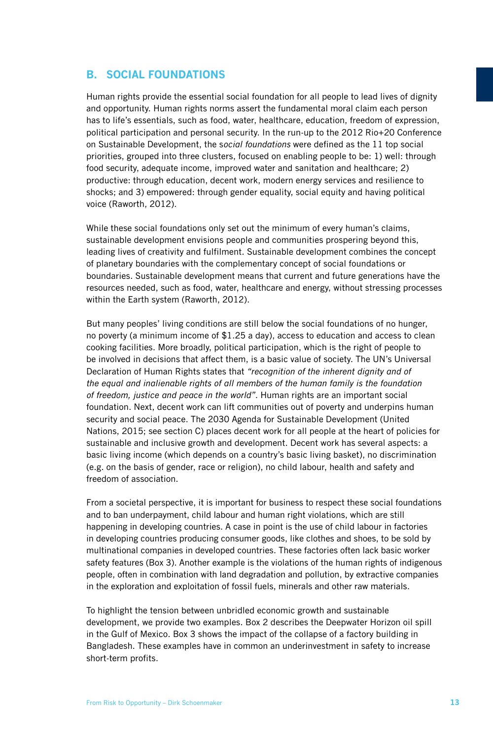### **B. SOCIAL FOUNDATIONS**

Human rights provide the essential social foundation for all people to lead lives of dignity and opportunity. Human rights norms assert the fundamental moral claim each person has to life's essentials, such as food, water, healthcare, education, freedom of expression, political participation and personal security. In the run-up to the 2012 Rio+20 Conference on Sustainable Development, the s*ocial foundations* were defined as the 11 top social priorities, grouped into three clusters, focused on enabling people to be: 1) well: through food security, adequate income, improved water and sanitation and healthcare; 2) productive: through education, decent work, modern energy services and resilience to shocks; and 3) empowered: through gender equality, social equity and having political voice (Raworth, 2012).

While these social foundations only set out the minimum of every human's claims, sustainable development envisions people and communities prospering beyond this, leading lives of creativity and fulfilment. Sustainable development combines the concept of planetary boundaries with the complementary concept of social foundations or boundaries. Sustainable development means that current and future generations have the resources needed, such as food, water, healthcare and energy, without stressing processes within the Earth system (Raworth, 2012).

But many peoples' living conditions are still below the social foundations of no hunger, no poverty (a minimum income of \$1.25 a day), access to education and access to clean cooking facilities. More broadly, political participation, which is the right of people to be involved in decisions that affect them, is a basic value of society. The UN's Universal Declaration of Human Rights states that *"recognition of the inherent dignity and of the equal and inalienable rights of all members of the human family is the foundation of freedom, justice and peace in the world"*. Human rights are an important social foundation. Next, decent work can lift communities out of poverty and underpins human security and social peace. The 2030 Agenda for Sustainable Development (United Nations, 2015; see section C) places decent work for all people at the heart of policies for sustainable and inclusive growth and development. Decent work has several aspects: a basic living income (which depends on a country's basic living basket), no discrimination (e.g. on the basis of gender, race or religion), no child labour, health and safety and freedom of association.

From a societal perspective, it is important for business to respect these social foundations and to ban underpayment, child labour and human right violations, which are still happening in developing countries. A case in point is the use of child labour in factories in developing countries producing consumer goods, like clothes and shoes, to be sold by multinational companies in developed countries. These factories often lack basic worker safety features (Box 3). Another example is the violations of the human rights of indigenous people, often in combination with land degradation and pollution, by extractive companies in the exploration and exploitation of fossil fuels, minerals and other raw materials.

To highlight the tension between unbridled economic growth and sustainable development, we provide two examples. Box 2 describes the Deepwater Horizon oil spill in the Gulf of Mexico. Box 3 shows the impact of the collapse of a factory building in Bangladesh. These examples have in common an underinvestment in safety to increase short-term profits.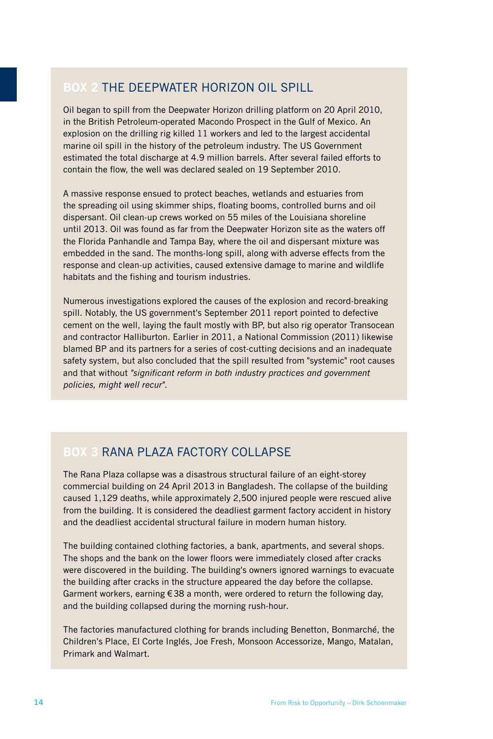## **BOX 2** THE DEEPWATER HORIZON OIL SPILL

Oil began to spill from the Deepwater Horizon drilling platform on 20 April 2010, in the British Petroleum-operated Macondo Prospect in the Gulf of Mexico. An explosion on the drilling rig killed 11 workers and led to the largest accidental marine oil spill in the history of the petroleum industry. The US Government estimated the total discharge at 4.9 million barrels. After several failed efforts to contain the flow, the well was declared sealed on 19 September 2010.

A massive response ensued to protect beaches, wetlands and estuaries from the spreading oil using skimmer ships, floating booms, controlled burns and oil dispersant. Oil clean-up crews worked on 55 miles of the Louisiana shoreline until 2013. Oil was found as far from the Deepwater Horizon site as the waters off the Florida Panhandle and Tampa Bay, where the oil and dispersant mixture was embedded in the sand. The months-long spill, along with adverse effects from the response and clean-up activities, caused extensive damage to marine and wildlife habitats and the fishing and tourism industries.

Numerous investigations explored the causes of the explosion and record-breaking spill. Notably, the US government's September 2011 report pointed to defective cement on the well, laying the fault mostly with BP, but also rig operator Transocean and contractor Halliburton. Earlier in 2011, a National Commission (2011) likewise blamed BP and its partners for a series of cost-cutting decisions and an inadequate safety system, but also concluded that the spill resulted from "systemic" root causes and that without *"significant reform in both industry practices and government policies, might well recur"*.

## **BOX 3 RANA PLAZA FACTORY COLLAPSE**

The Rana Plaza collapse was a disastrous structural failure of an eight-storey commercial building on 24 April 2013 in Bangladesh. The collapse of the building caused 1,129 deaths, while approximately 2,500 injured people were rescued alive from the building. It is considered the deadliest garment factory accident in history and the deadliest accidental structural failure in modern human history.

The building contained clothing factories, a bank, apartments, and several shops. The shops and the bank on the lower floors were immediately closed after cracks were discovered in the building. The building's owners ignored warnings to evacuate the building after cracks in the structure appeared the day before the collapse. Garment workers, earning  $\epsilon$  38 a month, were ordered to return the following day, and the building collapsed during the morning rush-hour.

The factories manufactured clothing for brands including Benetton, Bonmarché, the Children's Place, El Corte Inglés, Joe Fresh, Monsoon Accessorize, Mango, Matalan, Primark and Walmart.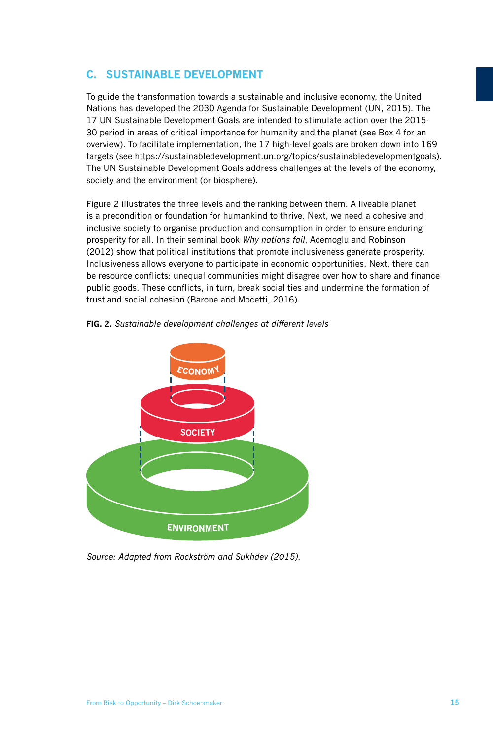### **C. SUSTAINABLE DEVELOPMENT**

To guide the transformation towards a sustainable and inclusive economy, the United Nations has developed the 2030 Agenda for Sustainable Development (UN, 2015). The 17 UN Sustainable Development Goals are intended to stimulate action over the 2015- 30 period in areas of critical importance for humanity and the planet (see Box 4 for an overview). To facilitate implementation, the 17 high-level goals are broken down into 169 targets (see https://sustainabledevelopment.un.org/topics/sustainabledevelopmentgoals). The UN Sustainable Development Goals address challenges at the levels of the economy, society and the environment (or biosphere).

Figure 2 illustrates the three levels and the ranking between them. A liveable planet is a precondition or foundation for humankind to thrive. Next, we need a cohesive and inclusive society to organise production and consumption in order to ensure enduring prosperity for all. In their seminal book *Why nations fail*, Acemoglu and Robinson (2012) show that political institutions that promote inclusiveness generate prosperity. Inclusiveness allows everyone to participate in economic opportunities. Next, there can be resource conflicts: unequal communities might disagree over how to share and finance public goods. These conflicts, in turn, break social ties and undermine the formation of trust and social cohesion (Barone and Mocetti, 2016).





*Source: Adapted from Rockström and Sukhdev (2015).*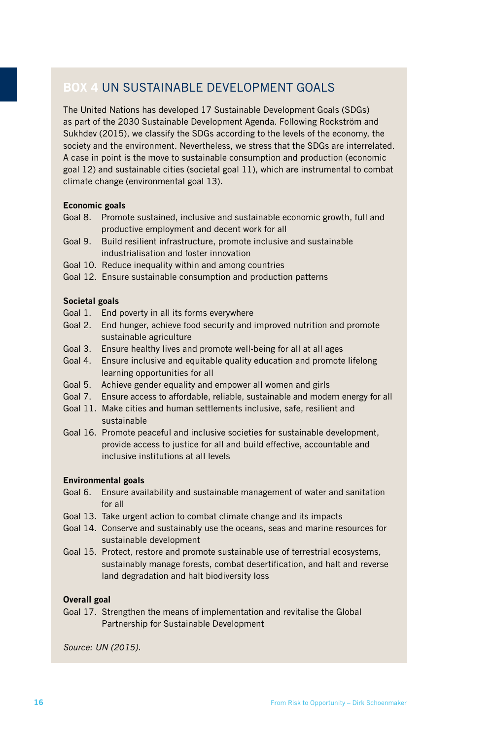## **BOX 4** UN SUSTAINABLE DEVELOPMENT GOALS

The United Nations has developed 17 Sustainable Development Goals (SDGs) as part of the 2030 Sustainable Development Agenda. Following Rockström and Sukhdev (2015), we classify the SDGs according to the levels of the economy, the society and the environment. Nevertheless, we stress that the SDGs are interrelated. A case in point is the move to sustainable consumption and production (economic goal 12) and sustainable cities (societal goal 11), which are instrumental to combat climate change (environmental goal 13).

#### **Economic goals**

- Goal 8. Promote sustained, inclusive and sustainable economic growth, full and productive employment and decent work for all
- Goal 9. Build resilient infrastructure, promote inclusive and sustainable industrialisation and foster innovation
- Goal 10. Reduce inequality within and among countries
- Goal 12. Ensure sustainable consumption and production patterns

#### **Societal goals**

- Goal 1. End poverty in all its forms everywhere
- Goal 2. End hunger, achieve food security and improved nutrition and promote sustainable agriculture
- Goal 3. Ensure healthy lives and promote well-being for all at all ages
- Goal 4. Ensure inclusive and equitable quality education and promote lifelong learning opportunities for all
- Goal 5. Achieve gender equality and empower all women and girls
- Goal 7. Ensure access to affordable, reliable, sustainable and modern energy for all
- Goal 11. Make cities and human settlements inclusive, safe, resilient and sustainable
- Goal 16. Promote peaceful and inclusive societies for sustainable development, provide access to justice for all and build effective, accountable and inclusive institutions at all levels

#### **Environmental goals**

- Goal 6. Ensure availability and sustainable management of water and sanitation for all
- Goal 13. Take urgent action to combat climate change and its impacts
- Goal 14. Conserve and sustainably use the oceans, seas and marine resources for sustainable development
- Goal 15. Protect, restore and promote sustainable use of terrestrial ecosystems, sustainably manage forests, combat desertification, and halt and reverse land degradation and halt biodiversity loss

#### **Overall goal**

Goal 17. Strengthen the means of implementation and revitalise the Global Partnership for Sustainable Development

*Source: UN (2015).*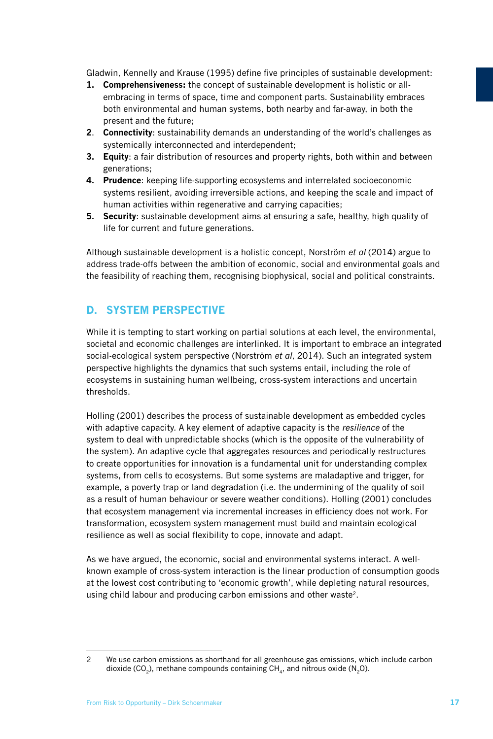Gladwin, Kennelly and Krause (1995) define five principles of sustainable development:

- **1. Comprehensiveness:** the concept of sustainable development is holistic or allembracing in terms of space, time and component parts. Sustainability embraces both environmental and human systems, both nearby and far-away, in both the present and the future;
- **2**. **Connectivity**: sustainability demands an understanding of the world's challenges as systemically interconnected and interdependent;
- **3. Equity**: a fair distribution of resources and property rights, both within and between generations;
- **4. Prudence**: keeping life-supporting ecosystems and interrelated socioeconomic systems resilient, avoiding irreversible actions, and keeping the scale and impact of human activities within regenerative and carrying capacities;
- **5. Security**: sustainable development aims at ensuring a safe, healthy, high quality of life for current and future generations.

Although sustainable development is a holistic concept, Norström *et al* (2014) argue to address trade-offs between the ambition of economic, social and environmental goals and the feasibility of reaching them, recognising biophysical, social and political constraints.

## **D. SYSTEM PERSPECTIVE**

While it is tempting to start working on partial solutions at each level, the environmental, societal and economic challenges are interlinked. It is important to embrace an integrated social-ecological system perspective (Norström *et al*, 2014). Such an integrated system perspective highlights the dynamics that such systems entail, including the role of ecosystems in sustaining human wellbeing, cross-system interactions and uncertain thresholds.

Holling (2001) describes the process of sustainable development as embedded cycles with adaptive capacity. A key element of adaptive capacity is the *resilience* of the system to deal with unpredictable shocks (which is the opposite of the vulnerability of the system). An adaptive cycle that aggregates resources and periodically restructures to create opportunities for innovation is a fundamental unit for understanding complex systems, from cells to ecosystems. But some systems are maladaptive and trigger, for example, a poverty trap or land degradation (i.e. the undermining of the quality of soil as a result of human behaviour or severe weather conditions). Holling (2001) concludes that ecosystem management via incremental increases in efficiency does not work. For transformation, ecosystem system management must build and maintain ecological resilience as well as social flexibility to cope, innovate and adapt.

As we have argued, the economic, social and environmental systems interact. A wellknown example of cross-system interaction is the linear production of consumption goods at the lowest cost contributing to 'economic growth', while depleting natural resources, using child labour and producing carbon emissions and other waste2.

<sup>2</sup> We use carbon emissions as shorthand for all greenhouse gas emissions, which include carbon dioxide (CO<sub>2</sub>), methane compounds containing CH<sub>4</sub>, and nitrous oxide (N<sub>2</sub>O).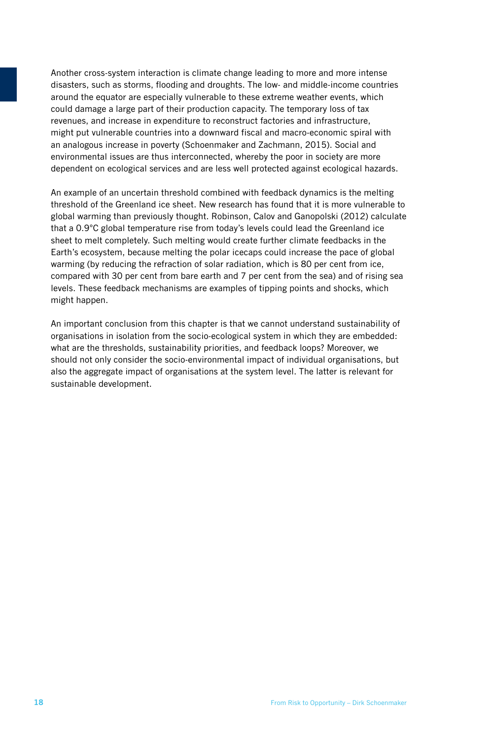Another cross-system interaction is climate change leading to more and more intense disasters, such as storms, flooding and droughts. The low- and middle-income countries around the equator are especially vulnerable to these extreme weather events, which could damage a large part of their production capacity. The temporary loss of tax revenues, and increase in expenditure to reconstruct factories and infrastructure, might put vulnerable countries into a downward fiscal and macro-economic spiral with an analogous increase in poverty (Schoenmaker and Zachmann, 2015). Social and environmental issues are thus interconnected, whereby the poor in society are more dependent on ecological services and are less well protected against ecological hazards.

An example of an uncertain threshold combined with feedback dynamics is the melting threshold of the Greenland ice sheet. New research has found that it is more vulnerable to global warming than previously thought. Robinson, Calov and Ganopolski (2012) calculate that a 0.9°C global temperature rise from today's levels could lead the Greenland ice sheet to melt completely. Such melting would create further climate feedbacks in the Earth's ecosystem, because melting the polar icecaps could increase the pace of global warming (by reducing the refraction of solar radiation, which is 80 per cent from ice, compared with 30 per cent from bare earth and 7 per cent from the sea) and of rising sea levels. These feedback mechanisms are examples of tipping points and shocks, which might happen.

An important conclusion from this chapter is that we cannot understand sustainability of organisations in isolation from the socio-ecological system in which they are embedded: what are the thresholds, sustainability priorities, and feedback loops? Moreover, we should not only consider the socio-environmental impact of individual organisations, but also the aggregate impact of organisations at the system level. The latter is relevant for sustainable development.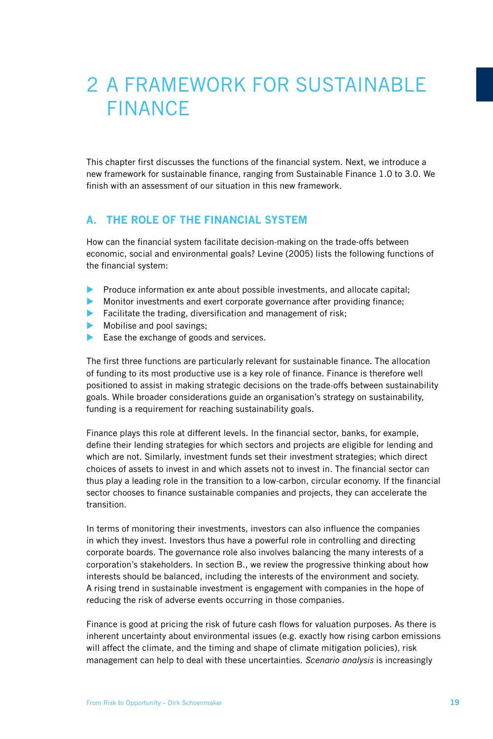## <span id="page-20-0"></span>2 A FRAMEWORK FOR SUSTAINABLE FINANCE

This chapter first discusses the functions of the financial system. Next, we introduce a new framework for sustainable finance, ranging from Sustainable Finance 1.0 to 3.0. We finish with an assessment of our situation in this new framework.

### **A. THE ROLE OF THE FINANCIAL SYSTEM**

How can the financial system facilitate decision-making on the trade-offs between economic, social and environmental goals? Levine (2005) lists the following functions of the financial system:

- $\triangleright$  Produce information ex ante about possible investments, and allocate capital;
- $\blacktriangleright$  Monitor investments and exert corporate governance after providing finance;
- $\blacktriangleright$  Facilitate the trading, diversification and management of risk;
- $\blacktriangleright$  Mobilise and pool savings:
- $\blacktriangleright$  Ease the exchange of goods and services.

The first three functions are particularly relevant for sustainable finance. The allocation of funding to its most productive use is a key role of finance. Finance is therefore well positioned to assist in making strategic decisions on the trade-offs between sustainability goals. While broader considerations guide an organisation's strategy on sustainability, funding is a requirement for reaching sustainability goals.

Finance plays this role at different levels. In the financial sector, banks, for example, define their lending strategies for which sectors and projects are eligible for lending and which are not. Similarly, investment funds set their investment strategies; which direct choices of assets to invest in and which assets not to invest in. The financial sector can thus play a leading role in the transition to a low-carbon, circular economy. If the financial sector chooses to finance sustainable companies and projects, they can accelerate the transition.

In terms of monitoring their investments, investors can also influence the companies in which they invest. Investors thus have a powerful role in controlling and directing corporate boards. The governance role also involves balancing the many interests of a corporation's stakeholders. In section B., we review the progressive thinking about how interests should be balanced, including the interests of the environment and society. A rising trend in sustainable investment is engagement with companies in the hope of reducing the risk of adverse events occurring in those companies.

Finance is good at pricing the risk of future cash flows for valuation purposes. As there is inherent uncertainty about environmental issues (e.g. exactly how rising carbon emissions will affect the climate, and the timing and shape of climate mitigation policies), risk management can help to deal with these uncertainties. *Scenario analysis* is increasingly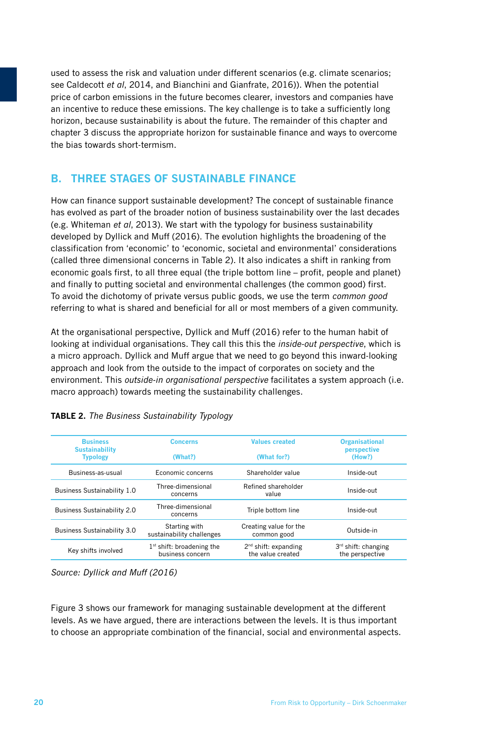used to assess the risk and valuation under different scenarios (e.g. climate scenarios; see Caldecott *et al*, 2014, and Bianchini and Gianfrate, 2016)). When the potential price of carbon emissions in the future becomes clearer, investors and companies have an incentive to reduce these emissions. The key challenge is to take a sufficiently long horizon, because sustainability is about the future. The remainder of this chapter and chapter 3 discuss the appropriate horizon for sustainable finance and ways to overcome the bias towards short-termism.

### **B. THREE STAGES OF SUSTAINABLE FINANCE**

How can finance support sustainable development? The concept of sustainable finance has evolved as part of the broader notion of business sustainability over the last decades (e.g. Whiteman *et al*, 2013). We start with the typology for business sustainability developed by Dyllick and Muff (2016). The evolution highlights the broadening of the classification from 'economic' to 'economic, societal and environmental' considerations (called three dimensional concerns in Table 2). It also indicates a shift in ranking from economic goals first, to all three equal (the triple bottom line – profit, people and planet) and finally to putting societal and environmental challenges (the common good) first. To avoid the dichotomy of private versus public goods, we use the term *common good* referring to what is shared and beneficial for all or most members of a given community.

At the organisational perspective, Dyllick and Muff (2016) refer to the human habit of looking at individual organisations. They call this this the *inside-out perspective*, which is a micro approach. Dyllick and Muff argue that we need to go beyond this inward-looking approach and look from the outside to the impact of corporates on society and the environment. This *outside-in organisational perspective* facilitates a system approach (i.e. macro approach) towards meeting the sustainability challenges.

| <b>Business</b><br><b>Sustainability</b> | <b>Concerns</b>                                 | <b>Values created</b>                       | <b>Organisational</b><br>perspective     |
|------------------------------------------|-------------------------------------------------|---------------------------------------------|------------------------------------------|
| <b>Typology</b>                          | (What?)                                         | (What for?)                                 | (How?)                                   |
| Business-as-usual                        | Economic concerns                               | Shareholder value                           | Inside-out                               |
| <b>Business Sustainability 1.0</b>       | Three-dimensional<br>concerns                   | Refined shareholder<br>value                | mside-out                                |
| <b>Business Sustainability 2.0</b>       | Three-dimensional<br>concerns                   | Triple bottom line                          | tuo-ahizal                               |
| <b>Business Sustainability 3.0</b>       | Starting with<br>sustainability challenges      | Creating value for the<br>common good       | Outside-in                               |
| Key shifts involved                      | $1st$ shift: broadening the<br>business concern | $2nd$ shift: expanding<br>the value created | $3rd$ shift: changing<br>the perspective |

| TABLE 2. The Business Sustainability Typology |  |  |
|-----------------------------------------------|--|--|
|-----------------------------------------------|--|--|

*Source: Dyllick and Muff (2016)*

Figure 3 shows our framework for managing sustainable development at the different levels. As we have argued, there are interactions between the levels. It is thus important to choose an appropriate combination of the financial, social and environmental aspects.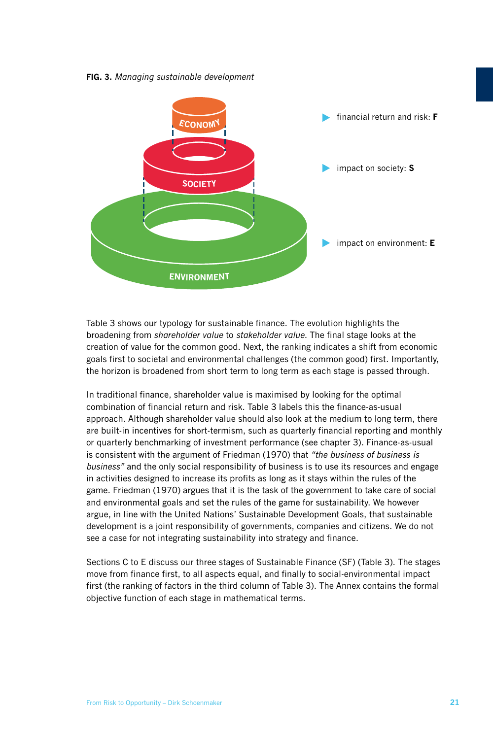**FIG. 3.** *Managing sustainable development*



Table 3 shows our typology for sustainable finance. The evolution highlights the broadening from *shareholder value* to *stakeholder value*. The final stage looks at the creation of value for the common good. Next, the ranking indicates a shift from economic goals first to societal and environmental challenges (the common good) first. Importantly, the horizon is broadened from short term to long term as each stage is passed through.

In traditional finance, shareholder value is maximised by looking for the optimal combination of financial return and risk. Table 3 labels this the finance-as-usual approach. Although shareholder value should also look at the medium to long term, there are built-in incentives for short-termism, such as quarterly financial reporting and monthly or quarterly benchmarking of investment performance (see chapter 3). Finance-as-usual is consistent with the argument of Friedman (1970) that *"the business of business is*<br>*business"* and the only social responsibility of business is to use its resources and engage in activities designed to increase its profits as long as it stays within the rules of the game. Friedman (1970) argues that it is the task of the government to take care of social and environmental goals and set the rules of the game for sustainability. We however argue, in line with the United Nations' Sustainable Development Goals, that sustainable development is a joint responsibility of governments, companies and citizens. We do not see a case for not integrating sustainability into strategy and finance.

Sections C to E discuss our three stages of Sustainable Finance (SF) (Table 3). The stages move from finance first, to all aspects equal, and finally to social-environmental impact first (the ranking of factors in the third column of Table 3). The Annex contains the formal objective function of each stage in mathematical terms.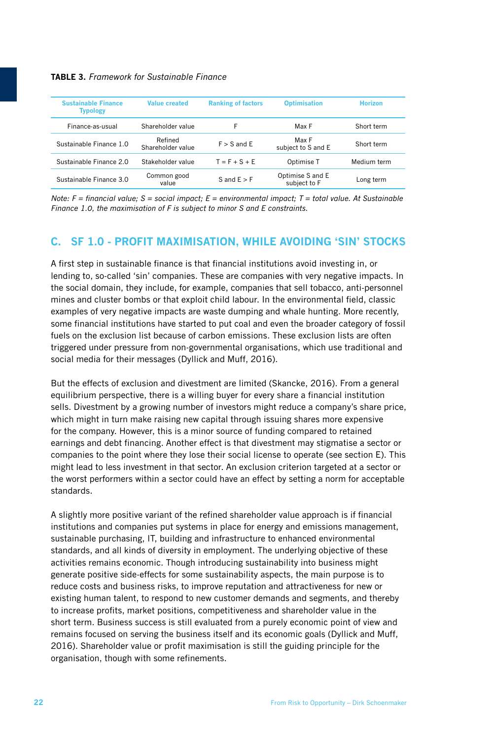**TABLE 3.** *Framework for Sustainable Finance*

| <b>Sustainable Finance</b><br><b>Typology</b> | Value created                | <b>Ranking of factors</b> | <b>Optimisation</b>              | <b>Horizon</b> |
|-----------------------------------------------|------------------------------|---------------------------|----------------------------------|----------------|
| Finance-as-usual                              | Shareholder value            |                           | Max F                            | Short term     |
| Sustainable Finance 1.0                       | Refined<br>Shareholder value | $F > S$ and $F$           | Max F<br>subject to S and E      | Short term     |
| Sustainable Finance 2.0                       | Stakeholder value            | $T = F + S + F$           | Optimise T                       | Medium term    |
| Sustainable Finance 3.0                       | Common good<br>value         | S and $F > F$             | Optimise S and E<br>subject to F | Long term      |

*Note: F = financial value; S = social impact; E = environmental impact; T = total value. At Sustainable Finance 1.0, the maximisation of F is subject to minor S and E constraints.*

### **C. SF 1.0 - PROFIT MAXIMISATION, WHILE AVOIDING 'SIN' STOCKS**

A first step in sustainable finance is that financial institutions avoid investing in, or lending to, so-called 'sin' companies. These are companies with very negative impacts. In the social domain, they include, for example, companies that sell tobacco, anti-personnel mines and cluster bombs or that exploit child labour. In the environmental field, classic examples of very negative impacts are waste dumping and whale hunting. More recently, some financial institutions have started to put coal and even the broader category of fossil fuels on the exclusion list because of carbon emissions. These exclusion lists are often triggered under pressure from non-governmental organisations, which use traditional and social media for their messages (Dyllick and Muff, 2016).

But the effects of exclusion and divestment are limited (Skancke, 2016). From a general equilibrium perspective, there is a willing buyer for every share a financial institution sells. Divestment by a growing number of investors might reduce a company's share price, which might in turn make raising new capital through issuing shares more expensive for the company. However, this is a minor source of funding compared to retained earnings and debt financing. Another effect is that divestment may stigmatise a sector or companies to the point where they lose their social license to operate (see section E). This might lead to less investment in that sector. An exclusion criterion targeted at a sector or the worst performers within a sector could have an effect by setting a norm for acceptable standards.

A slightly more positive variant of the refined shareholder value approach is if financial institutions and companies put systems in place for energy and emissions management, sustainable purchasing, IT, building and infrastructure to enhanced environmental standards, and all kinds of diversity in employment. The underlying objective of these activities remains economic. Though introducing sustainability into business might generate positive side-effects for some sustainability aspects, the main purpose is to reduce costs and business risks, to improve reputation and attractiveness for new or existing human talent, to respond to new customer demands and segments, and thereby to increase profits, market positions, competitiveness and shareholder value in the short term. Business success is still evaluated from a purely economic point of view and remains focused on serving the business itself and its economic goals (Dyllick and Muff, 2016). Shareholder value or profit maximisation is still the guiding principle for the organisation, though with some refinements.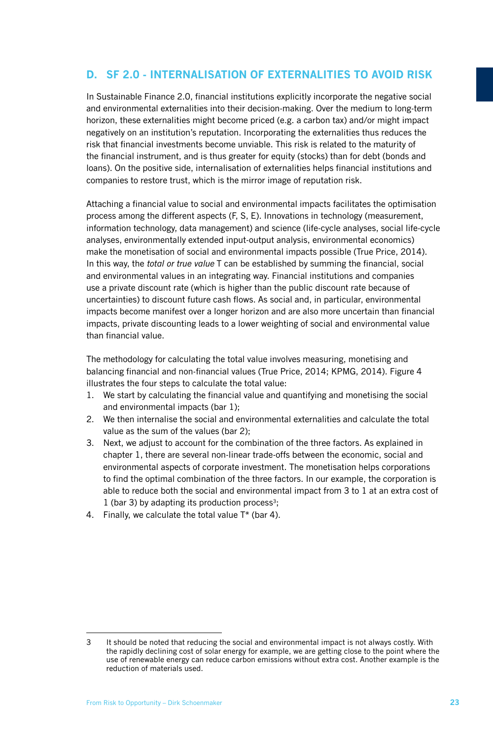### **D. SF 2.0 - INTERNALISATION OF EXTERNALITIES TO AVOID RISK**

In Sustainable Finance 2.0, financial institutions explicitly incorporate the negative social and environmental externalities into their decision-making. Over the medium to long-term horizon, these externalities might become priced (e.g. a carbon tax) and/or might impact negatively on an institution's reputation. Incorporating the externalities thus reduces the risk that financial investments become unviable. This risk is related to the maturity of the financial instrument, and is thus greater for equity (stocks) than for debt (bonds and loans). On the positive side, internalisation of externalities helps financial institutions and companies to restore trust, which is the mirror image of reputation risk.

Attaching a financial value to social and environmental impacts facilitates the optimisation process among the different aspects (F, S, E). Innovations in technology (measurement, information technology, data management) and science (life-cycle analyses, social life-cycle analyses, environmentally extended input-output analysis, environmental economics) make the monetisation of social and environmental impacts possible (True Price, 2014). In this way, the *total or true value* T can be established by summing the financial, social and environmental values in an integrating way. Financial institutions and companies use a private discount rate (which is higher than the public discount rate because of uncertainties) to discount future cash flows. As social and, in particular, environmental impacts become manifest over a longer horizon and are also more uncertain than financial impacts, private discounting leads to a lower weighting of social and environmental value than financial value.

The methodology for calculating the total value involves measuring, monetising and balancing financial and non-financial values (True Price, 2014; KPMG, 2014). Figure 4 illustrates the four steps to calculate the total value:

- 1. We start by calculating the financial value and quantifying and monetising the social and environmental impacts (bar 1);
- 2. We then internalise the social and environmental externalities and calculate the total value as the sum of the values (bar 2);
- 3. Next, we adjust to account for the combination of the three factors. As explained in chapter 1, there are several non-linear trade-offs between the economic, social and environmental aspects of corporate investment. The monetisation helps corporations to find the optimal combination of the three factors. In our example, the corporation is able to reduce both the social and environmental impact from 3 to 1 at an extra cost of 1 (bar 3) by adapting its production process<sup>3</sup>:
- 4. Finally, we calculate the total value T\* (bar 4).

<sup>3</sup> It should be noted that reducing the social and environmental impact is not always costly. With the rapidly declining cost of solar energy for example, we are getting close to the point where the use of renewable energy can reduce carbon emissions without extra cost. Another example is the reduction of materials used.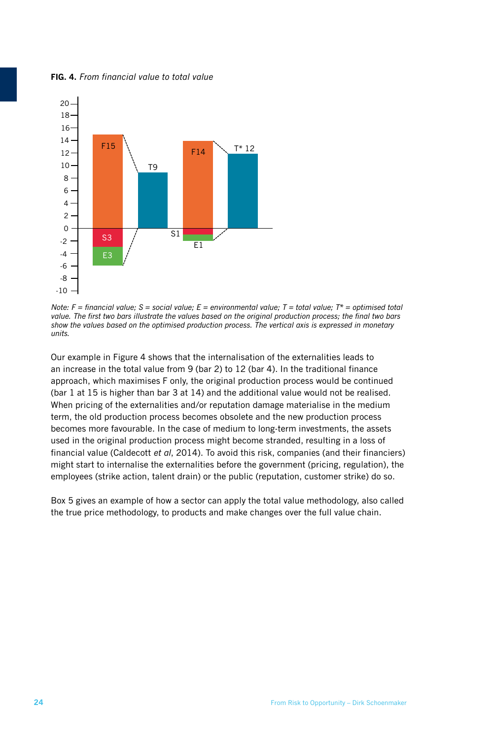

**FIG. 4.** *From financial value to total value*



Our example in Figure 4 shows that the internalisation of the externalities leads to an increase in the total value from 9 (bar 2) to 12 (bar 4). In the traditional finance approach, which maximises F only, the original production process would be continued (bar 1 at 15 is higher than bar 3 at 14) and the additional value would not be realised. When pricing of the externalities and/or reputation damage materialise in the medium term, the old production process becomes obsolete and the new production process becomes more favourable. In the case of medium to long-term investments, the assets used in the original production process might become stranded, resulting in a loss of financial value (Caldecott *et al*, 2014). To avoid this risk, companies (and their financiers) might start to internalise the externalities before the government (pricing, regulation), the employees (strike action, talent drain) or the public (reputation, customer strike) do so.

Box 5 gives an example of how a sector can apply the total value methodology, also called the true price methodology, to products and make changes over the full value chain.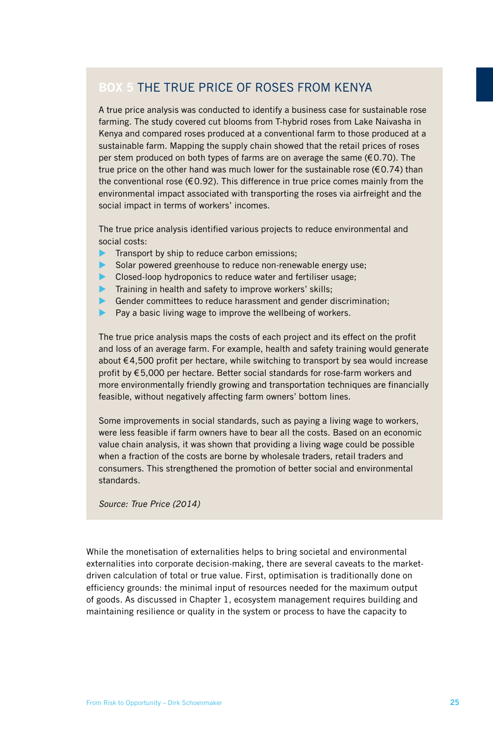## **BOX 5** THE TRUE PRICE OF ROSES FROM KENYA

A true price analysis was conducted to identify a business case for sustainable rose farming. The study covered cut blooms from T-hybrid roses from Lake Naivasha in Kenya and compared roses produced at a conventional farm to those produced at a sustainable farm. Mapping the supply chain showed that the retail prices of roses per stem produced on both types of farms are on average the same ( $\epsilon$ 0.70). The true price on the other hand was much lower for the sustainable rose ( $\epsilon$ 0.74) than the conventional rose ( $E$  0.92). This difference in true price comes mainly from the environmental impact associated with transporting the roses via airfreight and the social impact in terms of workers' incomes.

The true price analysis identified various projects to reduce environmental and social costs:

- $\blacktriangleright$  Transport by ship to reduce carbon emissions;
- Solar powered greenhouse to reduce non-renewable energy use;
- Closed-loop hydroponics to reduce water and fertiliser usage;
- $\blacktriangleright$  Training in health and safety to improve workers' skills;
- Gender committees to reduce harassment and gender discrimination;
- Pay a basic living wage to improve the wellbeing of workers.

The true price analysis maps the costs of each project and its effect on the profit and loss of an average farm. For example, health and safety training would generate about  $\epsilon$ 4,500 profit per hectare, while switching to transport by sea would increase profit by  $E$  5,000 per hectare. Better social standards for rose-farm workers and more environmentally friendly growing and transportation techniques are financially feasible, without negatively affecting farm owners' bottom lines.

Some improvements in social standards, such as paying a living wage to workers, were less feasible if farm owners have to bear all the costs. Based on an economic value chain analysis, it was shown that providing a living wage could be possible when a fraction of the costs are borne by wholesale traders, retail traders and consumers. This strengthened the promotion of better social and environmental standards.

*Source: True Price (2014)*

While the monetisation of externalities helps to bring societal and environmental externalities into corporate decision-making, there are several caveats to the marketdriven calculation of total or true value. First, optimisation is traditionally done on efficiency grounds: the minimal input of resources needed for the maximum output of goods. As discussed in Chapter 1, ecosystem management requires building and maintaining resilience or quality in the system or process to have the capacity to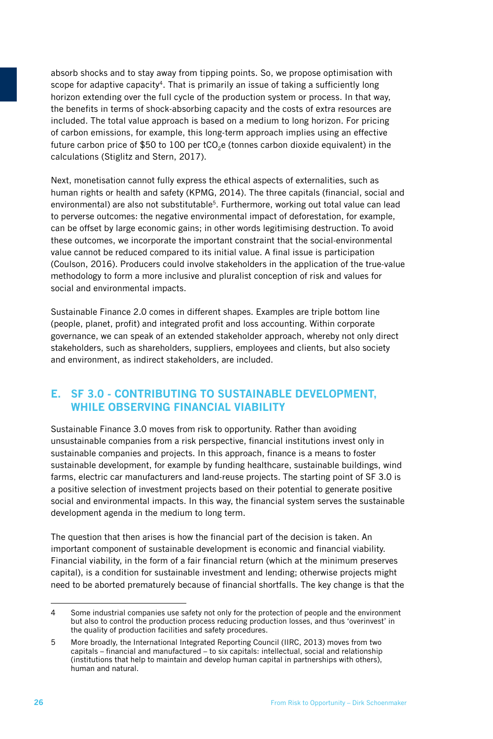absorb shocks and to stay away from tipping points. So, we propose optimisation with scope for adaptive capacity<sup>4</sup>. That is primarily an issue of taking a sufficiently long horizon extending over the full cycle of the production system or process. In that way, the benefits in terms of shock-absorbing capacity and the costs of extra resources are included. The total value approach is based on a medium to long horizon. For pricing of carbon emissions, for example, this long-term approach implies using an effective future carbon price of \$50 to 100 per  $tCO<sub>2</sub>e$  (tonnes carbon dioxide equivalent) in the calculations (Stiglitz and Stern, 2017).

Next, monetisation cannot fully express the ethical aspects of externalities, such as human rights or health and safety (KPMG, 2014). The three capitals (financial, social and environmental) are also not substitutable<sup>5</sup>. Furthermore, working out total value can lead to perverse outcomes: the negative environmental impact of deforestation, for example, can be offset by large economic gains; in other words legitimising destruction. To avoid these outcomes, we incorporate the important constraint that the social-environmental value cannot be reduced compared to its initial value. A final issue is participation (Coulson, 2016). Producers could involve stakeholders in the application of the true-value methodology to form a more inclusive and pluralist conception of risk and values for social and environmental impacts.

Sustainable Finance 2.0 comes in different shapes. Examples are triple bottom line (people, planet, profit) and integrated profit and loss accounting. Within corporate governance, we can speak of an extended stakeholder approach, whereby not only direct stakeholders, such as shareholders, suppliers, employees and clients, but also society and environment, as indirect stakeholders, are included.

### **E. SF 3.0 - CONTRIBUTING TO SUSTAINABLE DEVELOPMENT, WHILE OBSERVING FINANCIAL VIABILITY**

Sustainable Finance 3.0 moves from risk to opportunity. Rather than avoiding unsustainable companies from a risk perspective, financial institutions invest only in sustainable companies and projects. In this approach, finance is a means to foster sustainable development, for example by funding healthcare, sustainable buildings, wind farms, electric car manufacturers and land-reuse projects. The starting point of SF 3.0 is a positive selection of investment projects based on their potential to generate positive social and environmental impacts. In this way, the financial system serves the sustainable development agenda in the medium to long term.

The question that then arises is how the financial part of the decision is taken. An important component of sustainable development is economic and financial viability. Financial viability, in the form of a fair financial return (which at the minimum preserves capital), is a condition for sustainable investment and lending; otherwise projects might need to be aborted prematurely because of financial shortfalls. The key change is that the

<sup>4</sup> Some industrial companies use safety not only for the protection of people and the environment but also to control the production process reducing production losses, and thus 'overinvest' in the quality of production facilities and safety procedures.

<sup>5</sup> More broadly, the International Integrated Reporting Council (IIRC, 2013) moves from two capitals – financial and manufactured – to six capitals: intellectual, social and relationship (institutions that help to maintain and develop human capital in partnerships with others), human and natural.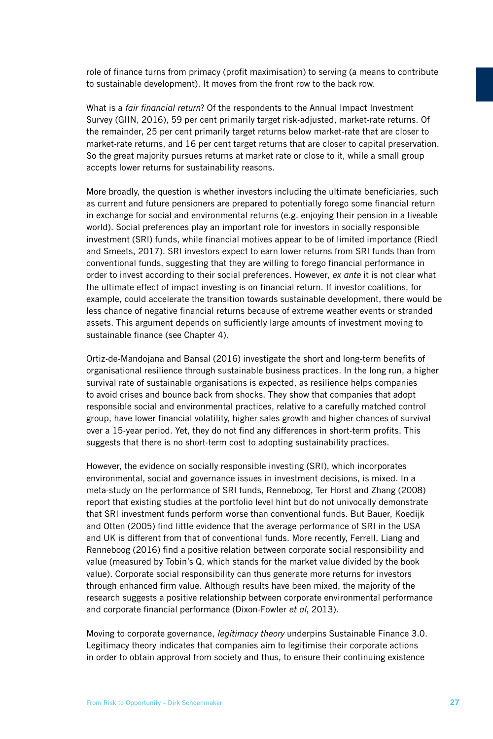role of finance turns from primacy (profit maximisation) to serving (a means to contribute to sustainable development). It moves from the front row to the back row.

What is a *fair financial return*? Of the respondents to the Annual Impact Investment Survey (GIIN, 2016), 59 per cent primarily target risk-adjusted, market-rate returns. Of the remainder, 25 per cent primarily target returns below market-rate that are closer to market-rate returns, and 16 per cent target returns that are closer to capital preservation. So the great majority pursues returns at market rate or close to it, while a small group accepts lower returns for sustainability reasons.

More broadly, the question is whether investors including the ultimate beneficiaries, such as current and future pensioners are prepared to potentially forego some financial return in exchange for social and environmental returns (e.g. enjoying their pension in a liveable world). Social preferences play an important role for investors in socially responsible investment (SRI) funds, while financial motives appear to be of limited importance (Riedl and Smeets, 2017). SRI investors expect to earn lower returns from SRI funds than from conventional funds, suggesting that they are willing to forego financial performance in order to invest according to their social preferences. However, *ex ante* it is not clear what the ultimate effect of impact investing is on financial return. If investor coalitions, for example, could accelerate the transition towards sustainable development, there would be less chance of negative financial returns because of extreme weather events or stranded assets. This argument depends on sufficiently large amounts of investment moving to sustainable finance (see Chapter 4).

Ortiz-de-Mandojana and Bansal (2016) investigate the short and long-term benefits of organisational resilience through sustainable business practices. In the long run, a higher survival rate of sustainable organisations is expected, as resilience helps companies to avoid crises and bounce back from shocks. They show that companies that adopt responsible social and environmental practices, relative to a carefully matched control group, have lower financial volatility, higher sales growth and higher chances of survival over a 15-year period. Yet, they do not find any differences in short-term profits. This suggests that there is no short-term cost to adopting sustainability practices.

However, the evidence on socially responsible investing (SRI), which incorporates environmental, social and governance issues in investment decisions, is mixed. In a meta-study on the performance of SRI funds, Renneboog, Ter Horst and Zhang (2008) report that existing studies at the portfolio level hint but do not univocally demonstrate that SRI investment funds perform worse than conventional funds. But Bauer, Koedijk and Otten (2005) find little evidence that the average performance of SRI in the USA and UK is different from that of conventional funds. More recently, Ferrell, Liang and Renneboog (2016) find a positive relation between corporate social responsibility and value (measured by Tobin's Q, which stands for the market value divided by the book value). Corporate social responsibility can thus generate more returns for investors through enhanced firm value. Although results have been mixed, the majority of the research suggests a positive relationship between corporate environmental performance and corporate financial performance (Dixon-Fowler *et al*, 2013).

Moving to corporate governance, *legitimacy theory* underpins Sustainable Finance 3.0. Legitimacy theory indicates that companies aim to legitimise their corporate actions in order to obtain approval from society and thus, to ensure their continuing existence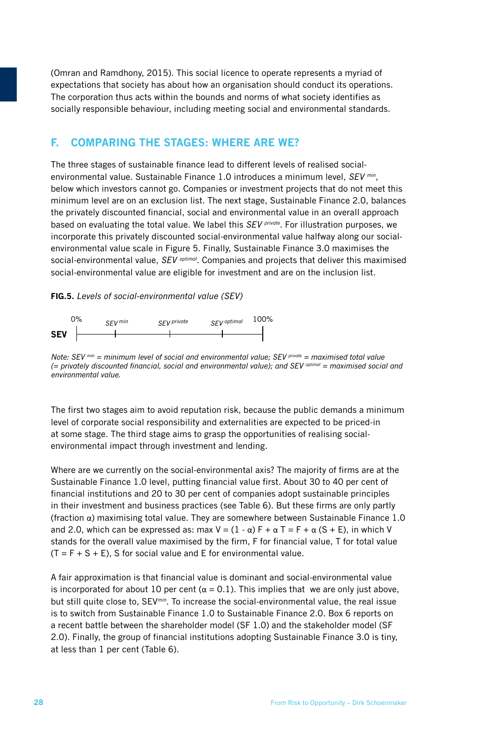(Omran and Ramdhony, 2015). This social licence to operate represents a myriad of expectations that society has about how an organisation should conduct its operations. The corporation thus acts within the bounds and norms of what society identifies as socially responsible behaviour, including meeting social and environmental standards.

### **F. COMPARING THE STAGES: WHERE ARE WE?**

The three stages of sustainable finance lead to different levels of realised socialenvironmental value. Sustainable Finance 1.0 introduces a minimum level, *SEV min*, below which investors cannot go. Companies or investment projects that do not meet this minimum level are on an exclusion list. The next stage, Sustainable Finance 2.0, balances the privately discounted financial, social and environmental value in an overall approach based on evaluating the total value. We label this *SEV private*. For illustration purposes, we incorporate this privately discounted social-environmental value halfway along our socialenvironmental value scale in Figure 5. Finally, Sustainable Finance 3.0 maximises the social-environmental value, *SEV optimal*. Companies and projects that deliver this maximised social-environmental value are eligible for investment and are on the inclusion list.

**FIG.5.** *Levels of social-environmental value (SEV)*



*Note: SEV min = minimum level of social and environmental value; SEV private = maximised total value (= privately discounted financial, social and environmental value); and SEV optimal = maximised social and environmental value.*

The first two stages aim to avoid reputation risk, because the public demands a minimum level of corporate social responsibility and externalities are expected to be priced-in at some stage. The third stage aims to grasp the opportunities of realising socialenvironmental impact through investment and lending.

Where are we currently on the social-environmental axis? The majority of firms are at the Sustainable Finance 1.0 level, putting financial value first. About 30 to 40 per cent of financial institutions and 20 to 30 per cent of companies adopt sustainable principles in their investment and business practices (see Table 6). But these firms are only partly (fraction  $\alpha$ ) maximising total value. They are somewhere between Sustainable Finance 1.0 and 2.0, which can be expressed as: max  $V = (1 - \alpha)F + \alpha T = F + \alpha (S + E)$ , in which V stands for the overall value maximised by the firm, F for financial value, T for total value  $(T = F + S + E)$ , S for social value and E for environmental value.

A fair approximation is that financial value is dominant and social-environmental value is incorporated for about 10 per cent ( $\alpha = 0.1$ ). This implies that we are only just above, but still quite close to, SEV*min*. To increase the social-environmental value, the real issue is to switch from Sustainable Finance 1.0 to Sustainable Finance 2.0. Box 6 reports on a recent battle between the shareholder model (SF 1.0) and the stakeholder model (SF 2.0). Finally, the group of financial institutions adopting Sustainable Finance 3.0 is tiny, at less than 1 per cent (Table 6).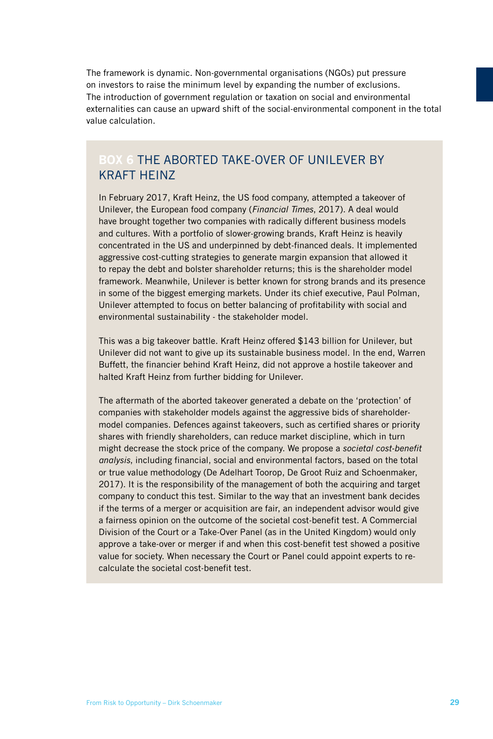The framework is dynamic. Non-governmental organisations (NGOs) put pressure on investors to raise the minimum level by expanding the number of exclusions. The introduction of government regulation or taxation on social and environmental externalities can cause an upward shift of the social-environmental component in the total value calculation.

## **BOX 6** THE ABORTED TAKE-OVER OF UNILEVER BY KRAFT HEINZ

In February 2017, Kraft Heinz, the US food company, attempted a takeover of Unilever, the European food company (*Financial Times*, 2017). A deal would have brought together two companies with radically different business models and cultures. With a portfolio of slower-growing brands, Kraft Heinz is heavily concentrated in the US and underpinned by debt-financed deals. It implemented aggressive cost-cutting strategies to generate margin expansion that allowed it to repay the debt and bolster shareholder returns; this is the shareholder model framework. Meanwhile, Unilever is better known for strong brands and its presence in some of the biggest emerging markets. Under its chief executive, Paul Polman, Unilever attempted to focus on better balancing of profitability with social and environmental sustainability - the stakeholder model.

This was a big takeover battle. Kraft Heinz offered \$143 billion for Unilever, but Unilever did not want to give up its sustainable business model. In the end, Warren Buffett, the financier behind Kraft Heinz, did not approve a hostile takeover and halted Kraft Heinz from further bidding for Unilever.

The aftermath of the aborted takeover generated a debate on the 'protection' of companies with stakeholder models against the aggressive bids of shareholdermodel companies. Defences against takeovers, such as certified shares or priority shares with friendly shareholders, can reduce market discipline, which in turn might decrease the stock price of the company. We propose a *societal cost-benefit analysis*, including financial, social and environmental factors, based on the total or true value methodology (De Adelhart Toorop, De Groot Ruiz and Schoenmaker, 2017). It is the responsibility of the management of both the acquiring and target company to conduct this test. Similar to the way that an investment bank decides if the terms of a merger or acquisition are fair, an independent advisor would give a fairness opinion on the outcome of the societal cost-benefit test. A Commercial Division of the Court or a Take-Over Panel (as in the United Kingdom) would only approve a take-over or merger if and when this cost-benefit test showed a positive value for society. When necessary the Court or Panel could appoint experts to recalculate the societal cost-benefit test.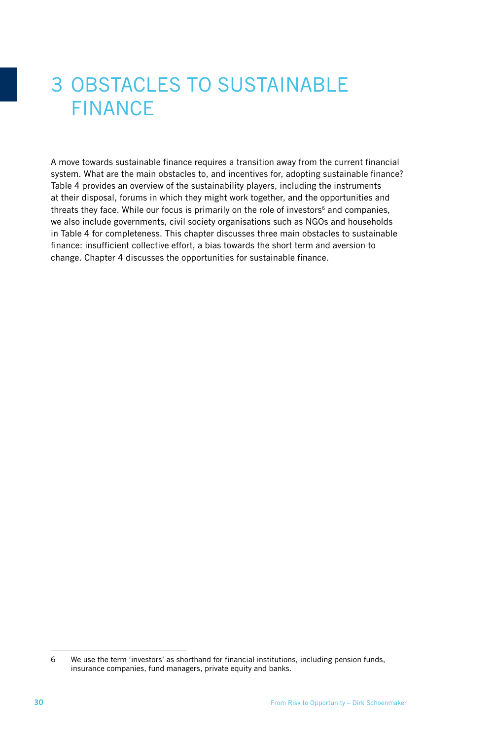## <span id="page-31-0"></span>3 OBSTACLES TO SUSTAINABLE FINANCE

A move towards sustainable finance requires a transition away from the current financial system. What are the main obstacles to, and incentives for, adopting sustainable finance? Table 4 provides an overview of the sustainability players, including the instruments at their disposal, forums in which they might work together, and the opportunities and threats they face. While our focus is primarily on the role of investors $6$  and companies, we also include governments, civil society organisations such as NGOs and households in Table 4 for completeness. This chapter discusses three main obstacles to sustainable finance: insufficient collective effort, a bias towards the short term and aversion to change. Chapter 4 discusses the opportunities for sustainable finance.

<sup>6</sup> We use the term 'investors' as shorthand for financial institutions, including pension funds, insurance companies, fund managers, private equity and banks.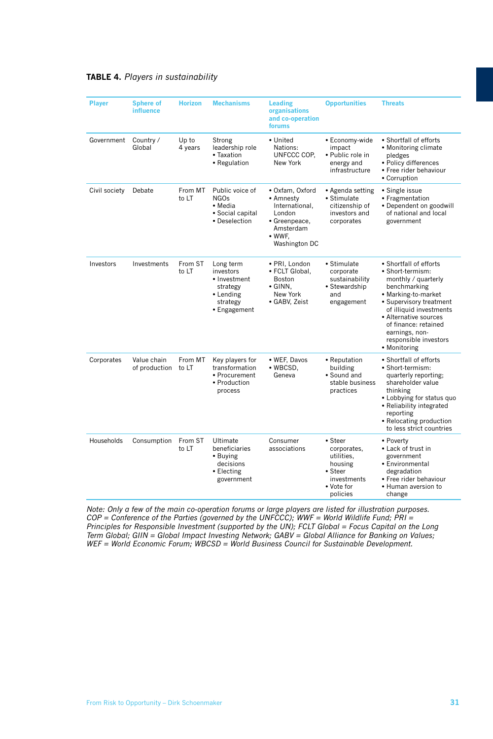| <b>Player</b> | <b>Sphere of</b><br>influence | <b>Horizon</b>   | <b>Mechanisms</b>                                                                           | <b>Leading</b><br>organisations<br>and co-operation<br>forums                                                             | <b>Opportunities</b>                                                                                | <b>Threats</b>                                                                                                                                                                                                                                                             |
|---------------|-------------------------------|------------------|---------------------------------------------------------------------------------------------|---------------------------------------------------------------------------------------------------------------------------|-----------------------------------------------------------------------------------------------------|----------------------------------------------------------------------------------------------------------------------------------------------------------------------------------------------------------------------------------------------------------------------------|
| Government    | Country /<br>Global           | Up to<br>4 years | Strong<br>leadership role<br>• Taxation<br>• Regulation                                     | • United<br>Nations:<br>UNFCCC COP.<br>New York                                                                           | • Economy-wide<br>impact<br>• Public role in<br>energy and<br>infrastructure                        | • Shortfall of efforts<br>• Monitoring climate<br>pledges<br>• Policy differences<br>• Free rider behaviour<br>• Corruption                                                                                                                                                |
| Civil society | Debate                        | From MT<br>to IT | Public voice of<br>NGOs<br>• Media<br>• Social capital<br>• Deselection                     | · Oxfam, Oxford<br>• Amnesty<br>International.<br>London<br>• Greenpeace,<br>Amsterdam<br>$\bullet$ WWF.<br>Washington DC | • Agenda setting<br>• Stimulate<br>citizenship of<br>investors and<br>corporates                    | • Single issue<br>• Fragmentation<br>• Dependent on goodwill<br>of national and local<br>government                                                                                                                                                                        |
| Investors     | Investments                   | From ST<br>to IT | Long term<br>investors<br>• Investment<br>strategy<br>• Lending<br>strategy<br>• Engagement | • PRI. London<br>• FCLT Global,<br>Boston<br>$\bullet$ GINN.<br>New York<br>• GABV, Zeist                                 | • Stimulate<br>corporate<br>sustainability<br>• Stewardship<br>and<br>engagement                    | • Shortfall of efforts<br>· Short-termism:<br>monthly / quarterly<br>benchmarking<br>• Marking-to-market<br>• Supervisory treatment<br>of illiquid investments<br>• Alternative sources<br>of finance: retained<br>earnings, non-<br>responsible investors<br>• Monitoring |
| Corporates    | Value chain<br>of production  | From MT<br>to IT | Key players for<br>transformation<br>• Procurement<br>• Production<br>process               | • WEF, Davos<br>$\cdot$ WBCSD.<br>Geneva                                                                                  | • Reputation<br>building<br>• Sound and<br>stable business<br>practices                             | • Shortfall of efforts<br>· Short-termism:<br>quarterly reporting;<br>shareholder value<br>thinking<br>• Lobbying for status quo<br>• Reliability integrated<br>reporting<br>• Relocating production<br>to less strict countries                                           |
| Households    | Consumption                   | From ST<br>to IT | <b>Ultimate</b><br>beneficiaries<br>• Buying<br>decisions<br>• Electing<br>government       | Consumer<br>associations                                                                                                  | • Steer<br>corporates,<br>utilities,<br>housing<br>• Steer<br>investments<br>• Vote for<br>policies | • Poverty<br>• Lack of trust in<br>government<br>• Environmental<br>degradation<br>· Free rider behaviour<br>• Human aversion to<br>change                                                                                                                                 |

#### **TABLE 4.** *Players in sustainability*

*Note: Only a few of the main co-operation forums or large players are listed for illustration purposes. COP = Conference of the Parties (governed by the UNFCCC); WWF = World Wildlife Fund; PRI = Principles for Responsible Investment (supported by the UN); FCLT Global = Focus Capital on the Long Term Global; GIIN = Global Impact Investing Network; GABV = Global Alliance for Banking on Values; WEF = World Economic Forum; WBCSD = World Business Council for Sustainable Development.*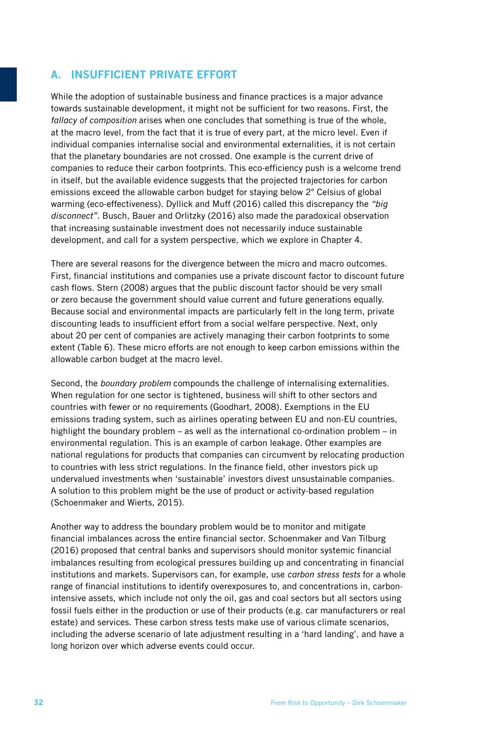### **A. INSUFFICIENT PRIVATE EFFORT**

While the adoption of sustainable business and finance practices is a major advance towards sustainable development, it might not be sufficient for two reasons. First, the *fallacy of composition* arises when one concludes that something is true of the whole, at the macro level, from the fact that it is true of every part, at the micro level. Even if individual companies internalise social and environmental externalities, it is not certain that the planetary boundaries are not crossed. One example is the current drive of companies to reduce their carbon footprints. This eco-efficiency push is a welcome trend in itself, but the available evidence suggests that the projected trajectories for carbon emissions exceed the allowable carbon budget for staying below 2° Celsius of global warming (eco-effectiveness). Dyllick and Muff (2016) called this discrepancy the *"big<br><i>disconnect".* Busch, Bauer and Orlitzky (2016) also made the paradoxical observation that increasing sustainable investment does not necessarily induce sustainable development, and call for a system perspective, which we explore in Chapter 4.

There are several reasons for the divergence between the micro and macro outcomes. First, financial institutions and companies use a private discount factor to discount future cash flows. Stern (2008) argues that the public discount factor should be very small or zero because the government should value current and future generations equally. Because social and environmental impacts are particularly felt in the long term, private discounting leads to insufficient effort from a social welfare perspective. Next, only about 20 per cent of companies are actively managing their carbon footprints to some extent (Table 6). These micro efforts are not enough to keep carbon emissions within the allowable carbon budget at the macro level.

Second, the *boundary problem* compounds the challenge of internalising externalities. When regulation for one sector is tightened, business will shift to other sectors and countries with fewer or no requirements (Goodhart, 2008). Exemptions in the EU emissions trading system, such as airlines operating between EU and non-EU countries, highlight the boundary problem – as well as the international co-ordination problem – in environmental regulation. This is an example of carbon leakage. Other examples are national regulations for products that companies can circumvent by relocating production to countries with less strict regulations. In the finance field, other investors pick up undervalued investments when 'sustainable' investors divest unsustainable companies. A solution to this problem might be the use of product or activity-based regulation (Schoenmaker and Wierts, 2015).

Another way to address the boundary problem would be to monitor and mitigate financial imbalances across the entire financial sector. Schoenmaker and Van Tilburg (2016) proposed that central banks and supervisors should monitor systemic financial imbalances resulting from ecological pressures building up and concentrating in financial institutions and markets. Supervisors can, for example, use *carbon stress tests* for a whole range of financial institutions to identify overexposures to, and concentrations in, carbonintensive assets, which include not only the oil, gas and coal sectors but all sectors using fossil fuels either in the production or use of their products (e.g. car manufacturers or real estate) and services. These carbon stress tests make use of various climate scenarios, including the adverse scenario of late adjustment resulting in a 'hard landing', and have a long horizon over which adverse events could occur.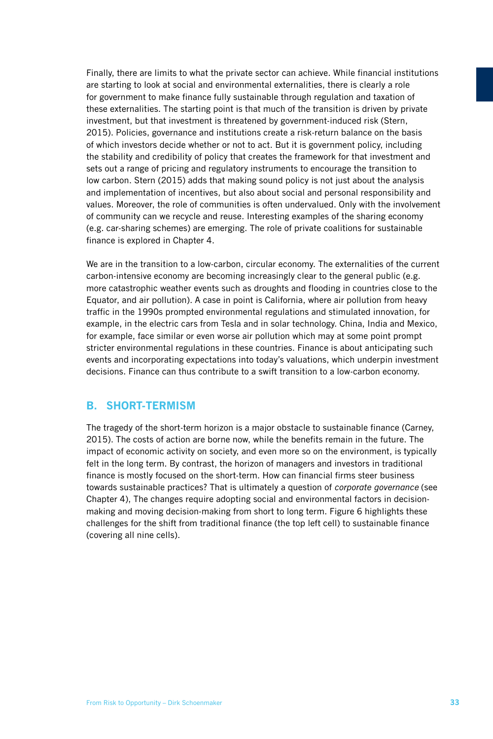Finally, there are limits to what the private sector can achieve. While financial institutions are starting to look at social and environmental externalities, there is clearly a role for government to make finance fully sustainable through regulation and taxation of these externalities. The starting point is that much of the transition is driven by private investment, but that investment is threatened by government-induced risk (Stern, 2015). Policies, governance and institutions create a risk-return balance on the basis of which investors decide whether or not to act. But it is government policy, including the stability and credibility of policy that creates the framework for that investment and sets out a range of pricing and regulatory instruments to encourage the transition to low carbon. Stern (2015) adds that making sound policy is not just about the analysis and implementation of incentives, but also about social and personal responsibility and values. Moreover, the role of communities is often undervalued. Only with the involvement of community can we recycle and reuse. Interesting examples of the sharing economy (e.g. car-sharing schemes) are emerging. The role of private coalitions for sustainable finance is explored in Chapter 4.

We are in the transition to a low-carbon, circular economy. The externalities of the current carbon-intensive economy are becoming increasingly clear to the general public (e.g. more catastrophic weather events such as droughts and flooding in countries close to the Equator, and air pollution). A case in point is California, where air pollution from heavy traffic in the 1990s prompted environmental regulations and stimulated innovation, for example, in the electric cars from Tesla and in solar technology. China, India and Mexico, for example, face similar or even worse air pollution which may at some point prompt stricter environmental regulations in these countries. Finance is about anticipating such events and incorporating expectations into today's valuations, which underpin investment decisions. Finance can thus contribute to a swift transition to a low-carbon economy.

#### **B. SHORT-TERMISM**

The tragedy of the short-term horizon is a major obstacle to sustainable finance (Carney, 2015). The costs of action are borne now, while the benefits remain in the future. The impact of economic activity on society, and even more so on the environment, is typically felt in the long term. By contrast, the horizon of managers and investors in traditional finance is mostly focused on the short-term. How can financial firms steer business towards sustainable practices? That is ultimately a question of *corporate governance* (see Chapter 4), The changes require adopting social and environmental factors in decisionmaking and moving decision-making from short to long term. Figure 6 highlights these challenges for the shift from traditional finance (the top left cell) to sustainable finance (covering all nine cells).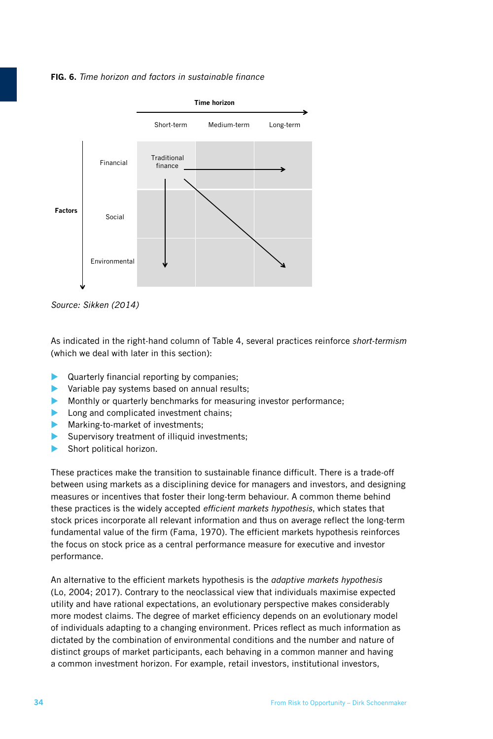#### **FIG. 6.** *Time horizon and factors in sustainable finance*



*Source: Sikken (2014)* 

As indicated in the right-hand column of Table 4, several practices reinforce *short-termism* (which we deal with later in this section):

- Quarterly financial reporting by companies;
- $\blacktriangleright$  Variable pay systems based on annual results:
- Monthly or quarterly benchmarks for measuring investor performance;
- $\blacktriangleright$  Long and complicated investment chains;
- Marking-to-market of investments;
- Supervisory treatment of illiquid investments;
- $\blacktriangleright$  Short political horizon.

These practices make the transition to sustainable finance difficult. There is a trade-off between using markets as a disciplining device for managers and investors, and designing measures or incentives that foster their long-term behaviour. A common theme behind these practices is the widely accepted *efficient markets hypothesis*, which states that stock prices incorporate all relevant information and thus on average reflect the long-term fundamental value of the firm (Fama, 1970). The efficient markets hypothesis reinforces the focus on stock price as a central performance measure for executive and investor performance.

An alternative to the efficient markets hypothesis is the *adaptive markets hypothesis* (Lo, 2004; 2017). Contrary to the neoclassical view that individuals maximise expected utility and have rational expectations, an evolutionary perspective makes considerably more modest claims. The degree of market efficiency depends on an evolutionary model of individuals adapting to a changing environment. Prices reflect as much information as dictated by the combination of environmental conditions and the number and nature of distinct groups of market participants, each behaving in a common manner and having a common investment horizon. For example, retail investors, institutional investors,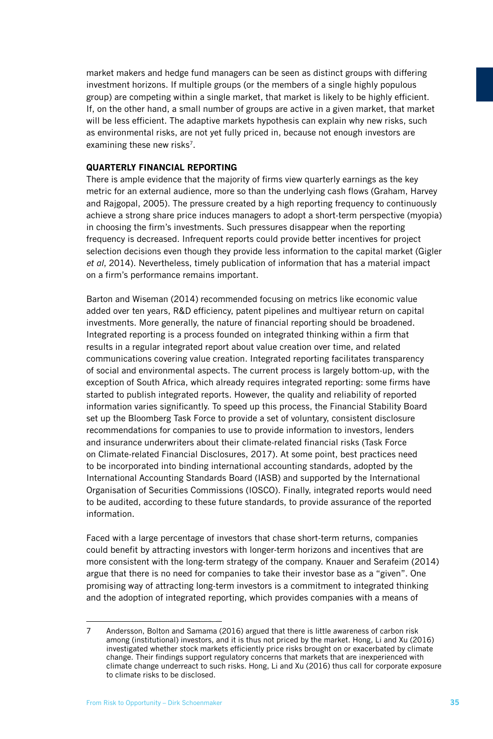market makers and hedge fund managers can be seen as distinct groups with differing investment horizons. If multiple groups (or the members of a single highly populous group) are competing within a single market, that market is likely to be highly efficient. If, on the other hand, a small number of groups are active in a given market, that market will be less efficient. The adaptive markets hypothesis can explain why new risks, such as environmental risks, are not yet fully priced in, because not enough investors are examining these new risks<sup>7</sup>.

#### **QUARTERLY FINANCIAL REPORTING**

There is ample evidence that the majority of firms view quarterly earnings as the key metric for an external audience, more so than the underlying cash flows (Graham, Harvey and Rajgopal, 2005). The pressure created by a high reporting frequency to continuously achieve a strong share price induces managers to adopt a short-term perspective (myopia) in choosing the firm's investments. Such pressures disappear when the reporting frequency is decreased. Infrequent reports could provide better incentives for project selection decisions even though they provide less information to the capital market (Gigler *et al*, 2014). Nevertheless, timely publication of information that has a material impact on a firm's performance remains important.

Barton and Wiseman (2014) recommended focusing on metrics like economic value added over ten years, R&D efficiency, patent pipelines and multiyear return on capital investments. More generally, the nature of financial reporting should be broadened. Integrated reporting is a process founded on integrated thinking within a firm that results in a regular integrated report about value creation over time, and related communications covering value creation. Integrated reporting facilitates transparency of social and environmental aspects. The current process is largely bottom-up, with the exception of South Africa, which already requires integrated reporting: some firms have started to publish integrated reports. However, the quality and reliability of reported information varies significantly. To speed up this process, the Financial Stability Board set up the Bloomberg Task Force to provide a set of voluntary, consistent disclosure recommendations for companies to use to provide information to investors, lenders and insurance underwriters about their climate-related financial risks (Task Force on Climate-related Financial Disclosures, 2017). At some point, best practices need to be incorporated into binding international accounting standards, adopted by the International Accounting Standards Board (IASB) and supported by the International Organisation of Securities Commissions (IOSCO). Finally, integrated reports would need to be audited, according to these future standards, to provide assurance of the reported information.

Faced with a large percentage of investors that chase short-term returns, companies could benefit by attracting investors with longer-term horizons and incentives that are more consistent with the long-term strategy of the company. Knauer and Serafeim (2014) argue that there is no need for companies to take their investor base as a "given". One promising way of attracting long-term investors is a commitment to integrated thinking and the adoption of integrated reporting, which provides companies with a means of

<sup>7</sup> Andersson, Bolton and Samama (2016) argued that there is little awareness of carbon risk among (institutional) investors, and it is thus not priced by the market. Hong, Li and Xu (2016) investigated whether stock markets efficiently price risks brought on or exacerbated by climate change. Their findings support regulatory concerns that markets that are inexperienced with climate change underreact to such risks. Hong, Li and Xu (2016) thus call for corporate exposure to climate risks to be disclosed.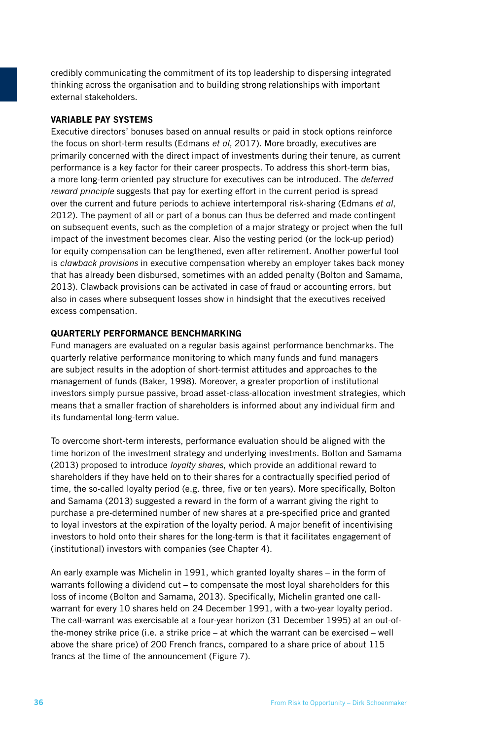credibly communicating the commitment of its top leadership to dispersing integrated thinking across the organisation and to building strong relationships with important external stakeholders.

#### **VARIABLE PAY SYSTEMS**

Executive directors' bonuses based on annual results or paid in stock options reinforce the focus on short-term results (Edmans *et al*, 2017). More broadly, executives are primarily concerned with the direct impact of investments during their tenure, as current performance is a key factor for their career prospects. To address this short-term bias, a more long-term oriented pay structure for executives can be introduced. The *deferred reward principle* suggests that pay for exerting effort in the current period is spread over the current and future periods to achieve intertemporal risk-sharing (Edmans *et al*, 2012). The payment of all or part of a bonus can thus be deferred and made contingent on subsequent events, such as the completion of a major strategy or project when the full impact of the investment becomes clear. Also the vesting period (or the lock-up period) for equity compensation can be lengthened, even after retirement. Another powerful tool is *clawback provisions* in executive compensation whereby an employer takes back money that has already been disbursed, sometimes with an added penalty (Bolton and Samama, 2013). Clawback provisions can be activated in case of fraud or accounting errors, but also in cases where subsequent losses show in hindsight that the executives received excess compensation.

#### **QUARTERLY PERFORMANCE BENCHMARKING**

Fund managers are evaluated on a regular basis against performance benchmarks. The quarterly relative performance monitoring to which many funds and fund managers are subject results in the adoption of short-termist attitudes and approaches to the management of funds (Baker, 1998). Moreover, a greater proportion of institutional investors simply pursue passive, broad asset-class-allocation investment strategies, which means that a smaller fraction of shareholders is informed about any individual firm and its fundamental long-term value.

To overcome short-term interests, performance evaluation should be aligned with the time horizon of the investment strategy and underlying investments. Bolton and Samama (2013) proposed to introduce *loyalty shares*, which provide an additional reward to shareholders if they have held on to their shares for a contractually specified period of time, the so-called loyalty period (e.g. three, five or ten years). More specifically, Bolton and Samama (2013) suggested a reward in the form of a warrant giving the right to purchase a pre-determined number of new shares at a pre-specified price and granted to loyal investors at the expiration of the loyalty period. A major benefit of incentivising investors to hold onto their shares for the long-term is that it facilitates engagement of (institutional) investors with companies (see Chapter 4).

An early example was Michelin in 1991, which granted loyalty shares – in the form of warrants following a dividend cut – to compensate the most loyal shareholders for this loss of income (Bolton and Samama, 2013). Specifically, Michelin granted one callwarrant for every 10 shares held on 24 December 1991, with a two-year loyalty period. The call-warrant was exercisable at a four-year horizon (31 December 1995) at an out-ofthe-money strike price (i.e. a strike price – at which the warrant can be exercised – well above the share price) of 200 French francs, compared to a share price of about 115 francs at the time of the announcement (Figure 7).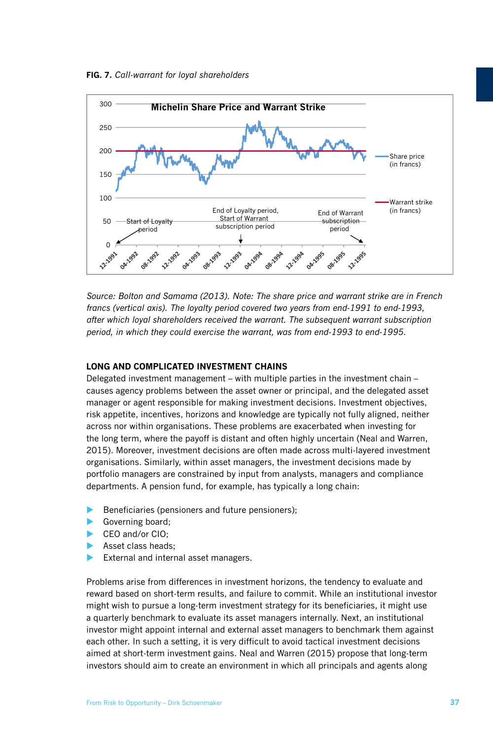

*Source: Bolton and Samama (2013). Note: The share price and warrant strike are in French francs (vertical axis). The loyalty period covered two years from end-1991 to end-1993, after which loyal shareholders received the warrant. The subsequent warrant subscription period, in which they could exercise the warrant, was from end-1993 to end-1995.*

#### **LONG AND COMPLICATED INVESTMENT CHAINS**

Delegated investment management – with multiple parties in the investment chain – causes agency problems between the asset owner or principal, and the delegated asset manager or agent responsible for making investment decisions. Investment objectives, risk appetite, incentives, horizons and knowledge are typically not fully aligned, neither across nor within organisations. These problems are exacerbated when investing for the long term, where the payoff is distant and often highly uncertain (Neal and Warren, 2015). Moreover, investment decisions are often made across multi-layered investment organisations. Similarly, within asset managers, the investment decisions made by portfolio managers are constrained by input from analysts, managers and compliance departments. A pension fund, for example, has typically a long chain:

- Beneficiaries (pensioners and future pensioners);
- Governing board;
- CEO and/or CIO:
- Asset class heads:
- External and internal asset managers.

Problems arise from differences in investment horizons, the tendency to evaluate and reward based on short-term results, and failure to commit. While an institutional investor might wish to pursue a long-term investment strategy for its beneficiaries, it might use a quarterly benchmark to evaluate its asset managers internally. Next, an institutional investor might appoint internal and external asset managers to benchmark them against each other. In such a setting, it is very difficult to avoid tactical investment decisions aimed at short-term investment gains. Neal and Warren (2015) propose that long-term investors should aim to create an environment in which all principals and agents along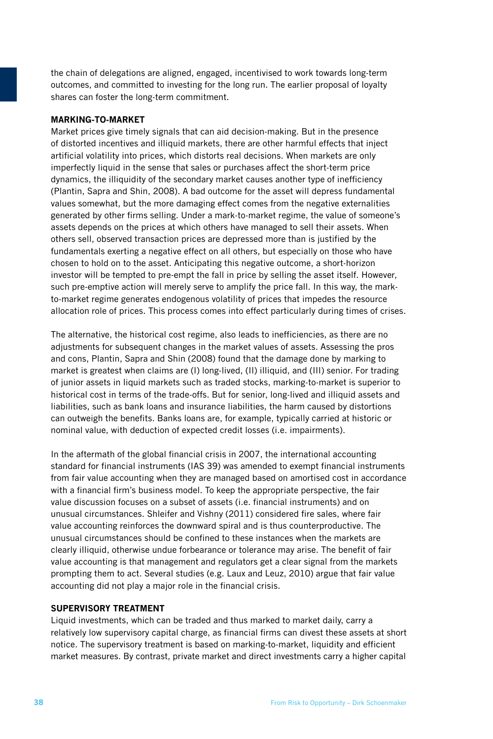the chain of delegations are aligned, engaged, incentivised to work towards long-term outcomes, and committed to investing for the long run. The earlier proposal of loyalty shares can foster the long-term commitment.

#### **MARKING-TO-MARKET**

Market prices give timely signals that can aid decision-making. But in the presence of distorted incentives and illiquid markets, there are other harmful effects that inject artificial volatility into prices, which distorts real decisions. When markets are only imperfectly liquid in the sense that sales or purchases affect the short-term price dynamics, the illiquidity of the secondary market causes another type of inefficiency (Plantin, Sapra and Shin, 2008). A bad outcome for the asset will depress fundamental values somewhat, but the more damaging effect comes from the negative externalities generated by other firms selling. Under a mark-to-market regime, the value of someone's assets depends on the prices at which others have managed to sell their assets. When others sell, observed transaction prices are depressed more than is justified by the fundamentals exerting a negative effect on all others, but especially on those who have chosen to hold on to the asset. Anticipating this negative outcome, a short-horizon investor will be tempted to pre-empt the fall in price by selling the asset itself. However, such pre-emptive action will merely serve to amplify the price fall. In this way, the markto-market regime generates endogenous volatility of prices that impedes the resource allocation role of prices. This process comes into effect particularly during times of crises.

The alternative, the historical cost regime, also leads to inefficiencies, as there are no adjustments for subsequent changes in the market values of assets. Assessing the pros and cons, Plantin, Sapra and Shin (2008) found that the damage done by marking to market is greatest when claims are (I) long-lived, (II) illiquid, and (III) senior. For trading of junior assets in liquid markets such as traded stocks, marking-to-market is superior to historical cost in terms of the trade-offs. But for senior, long-lived and illiquid assets and liabilities, such as bank loans and insurance liabilities, the harm caused by distortions can outweigh the benefits. Banks loans are, for example, typically carried at historic or nominal value, with deduction of expected credit losses (i.e. impairments).

In the aftermath of the global financial crisis in 2007, the international accounting standard for financial instruments (IAS 39) was amended to exempt financial instruments from fair value accounting when they are managed based on amortised cost in accordance with a financial firm's business model. To keep the appropriate perspective, the fair value discussion focuses on a subset of assets (i.e. financial instruments) and on unusual circumstances. Shleifer and Vishny (2011) considered fire sales, where fair value accounting reinforces the downward spiral and is thus counterproductive. The unusual circumstances should be confined to these instances when the markets are clearly illiquid, otherwise undue forbearance or tolerance may arise. The benefit of fair value accounting is that management and regulators get a clear signal from the markets prompting them to act. Several studies (e.g. Laux and Leuz, 2010) argue that fair value accounting did not play a major role in the financial crisis.

#### **SUPERVISORY TREATMENT**

Liquid investments, which can be traded and thus marked to market daily, carry a relatively low supervisory capital charge, as financial firms can divest these assets at short notice. The supervisory treatment is based on marking-to-market, liquidity and efficient market measures. By contrast, private market and direct investments carry a higher capital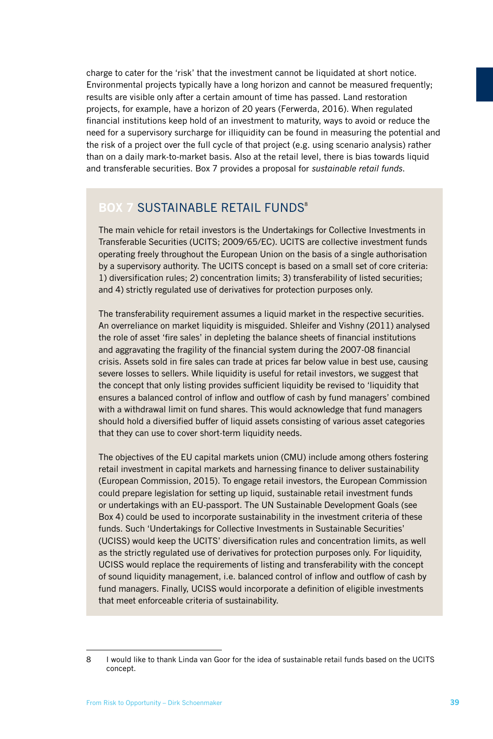charge to cater for the 'risk' that the investment cannot be liquidated at short notice. Environmental projects typically have a long horizon and cannot be measured frequently; results are visible only after a certain amount of time has passed. Land restoration projects, for example, have a horizon of 20 years (Ferwerda, 2016). When regulated financial institutions keep hold of an investment to maturity, ways to avoid or reduce the need for a supervisory surcharge for illiquidity can be found in measuring the potential and the risk of a project over the full cycle of that project (e.g. using scenario analysis) rather than on a daily mark-to-market basis. Also at the retail level, there is bias towards liquid and transferable securities. Box 7 provides a proposal for *sustainable retail funds*.

### **BOX 7 SUSTAINABLE RETAIL FUNDS**<sup>8</sup>

The main vehicle for retail investors is the Undertakings for Collective Investments in Transferable Securities (UCITS; 2009/65/EC). UCITS are collective investment funds operating freely throughout the European Union on the basis of a single authorisation by a supervisory authority. The UCITS concept is based on a small set of core criteria: 1) diversification rules; 2) concentration limits; 3) transferability of listed securities; and 4) strictly regulated use of derivatives for protection purposes only.

The transferability requirement assumes a liquid market in the respective securities. An overreliance on market liquidity is misguided. Shleifer and Vishny (2011) analysed the role of asset 'fire sales' in depleting the balance sheets of financial institutions and aggravating the fragility of the financial system during the 2007-08 financial crisis. Assets sold in fire sales can trade at prices far below value in best use, causing severe losses to sellers. While liquidity is useful for retail investors, we suggest that the concept that only listing provides sufficient liquidity be revised to 'liquidity that ensures a balanced control of inflow and outflow of cash by fund managers' combined with a withdrawal limit on fund shares. This would acknowledge that fund managers should hold a diversified buffer of liquid assets consisting of various asset categories that they can use to cover short-term liquidity needs.

The objectives of the EU capital markets union (CMU) include among others fostering retail investment in capital markets and harnessing finance to deliver sustainability (European Commission, 2015). To engage retail investors, the European Commission could prepare legislation for setting up liquid, sustainable retail investment funds or undertakings with an EU-passport. The UN Sustainable Development Goals (see Box 4) could be used to incorporate sustainability in the investment criteria of these funds. Such 'Undertakings for Collective Investments in Sustainable Securities' (UCISS) would keep the UCITS' diversification rules and concentration limits, as well as the strictly regulated use of derivatives for protection purposes only. For liquidity, UCISS would replace the requirements of listing and transferability with the concept of sound liquidity management, i.e. balanced control of inflow and outflow of cash by fund managers. Finally, UCISS would incorporate a definition of eligible investments that meet enforceable criteria of sustainability.

<sup>8</sup> I would like to thank Linda van Goor for the idea of sustainable retail funds based on the UCITS concept.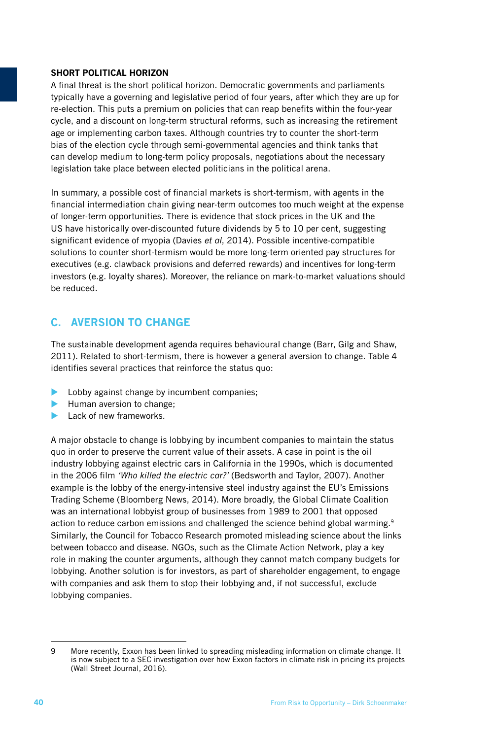#### **SHORT POLITICAL HORIZON**

A final threat is the short political horizon. Democratic governments and parliaments typically have a governing and legislative period of four years, after which they are up for re-election. This puts a premium on policies that can reap benefits within the four-year cycle, and a discount on long-term structural reforms, such as increasing the retirement age or implementing carbon taxes. Although countries try to counter the short-term bias of the election cycle through semi-governmental agencies and think tanks that can develop medium to long-term policy proposals, negotiations about the necessary legislation take place between elected politicians in the political arena.

In summary, a possible cost of financial markets is short-termism, with agents in the financial intermediation chain giving near-term outcomes too much weight at the expense of longer-term opportunities. There is evidence that stock prices in the UK and the US have historically over-discounted future dividends by 5 to 10 per cent, suggesting significant evidence of myopia (Davies *et al*, 2014). Possible incentive-compatible solutions to counter short-termism would be more long-term oriented pay structures for executives (e.g. clawback provisions and deferred rewards) and incentives for long-term investors (e.g. loyalty shares). Moreover, the reliance on mark-to-market valuations should be reduced.

### **C. AVERSION TO CHANGE**

The sustainable development agenda requires behavioural change (Barr, Gilg and Shaw, 2011). Related to short-termism, there is however a general aversion to change. Table 4 identifies several practices that reinforce the status quo:

- Lobby against change by incumbent companies;
- $\blacktriangleright$  Human aversion to change:
- $\blacktriangleright$  Lack of new frameworks.

A major obstacle to change is lobbying by incumbent companies to maintain the status quo in order to preserve the current value of their assets. A case in point is the oil industry lobbying against electric cars in California in the 1990s, which is documented in the 2006 film *'Who killed the electric car?'* (Bedsworth and Taylor, 2007). Another example is the lobby of the energy-intensive steel industry against the EU's Emissions Trading Scheme (Bloomberg News, 2014). More broadly, the Global Climate Coalition was an international lobbyist group of businesses from 1989 to 2001 that opposed action to reduce carbon emissions and challenged the science behind global warming.<sup>9</sup> Similarly, the Council for Tobacco Research promoted misleading science about the links between tobacco and disease. NGOs, such as the Climate Action Network, play a key role in making the counter arguments, although they cannot match company budgets for lobbying. Another solution is for investors, as part of shareholder engagement, to engage with companies and ask them to stop their lobbying and, if not successful, exclude lobbying companies.

<sup>9</sup> More recently, Exxon has been linked to spreading misleading information on climate change. It is now subject to a SEC investigation over how Exxon factors in climate risk in pricing its projects (Wall Street Journal, 2016).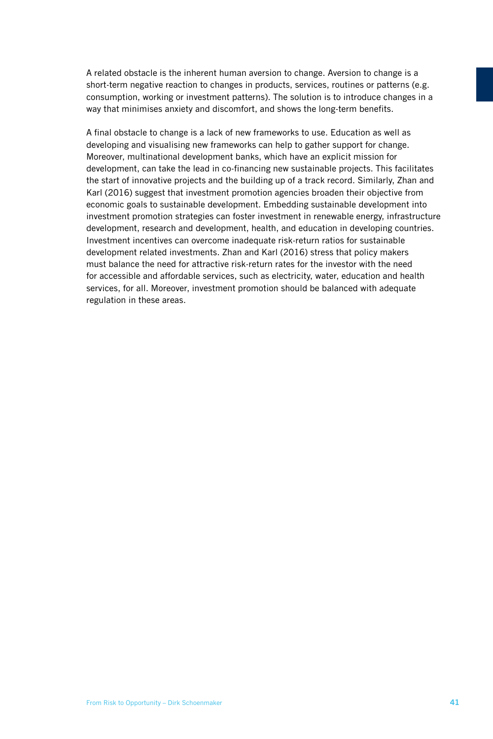A related obstacle is the inherent human aversion to change. Aversion to change is a short-term negative reaction to changes in products, services, routines or patterns (e.g. consumption, working or investment patterns). The solution is to introduce changes in a way that minimises anxiety and discomfort, and shows the long-term benefits.

A final obstacle to change is a lack of new frameworks to use. Education as well as developing and visualising new frameworks can help to gather support for change. Moreover, multinational development banks, which have an explicit mission for development, can take the lead in co-financing new sustainable projects. This facilitates the start of innovative projects and the building up of a track record. Similarly, Zhan and Karl (2016) suggest that investment promotion agencies broaden their objective from economic goals to sustainable development. Embedding sustainable development into investment promotion strategies can foster investment in renewable energy, infrastructure development, research and development, health, and education in developing countries. Investment incentives can overcome inadequate risk-return ratios for sustainable development related investments. Zhan and Karl (2016) stress that policy makers must balance the need for attractive risk-return rates for the investor with the need for accessible and affordable services, such as electricity, water, education and health services, for all. Moreover, investment promotion should be balanced with adequate regulation in these areas.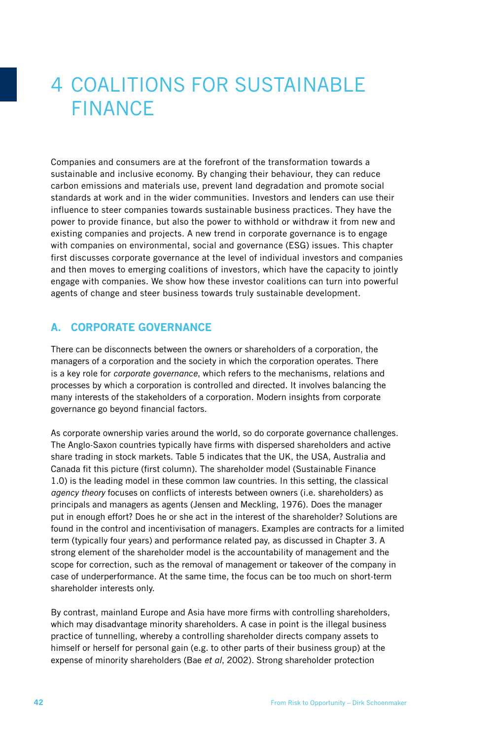## 4 COALITIONS FOR SUSTAINABLE FINANCE

Companies and consumers are at the forefront of the transformation towards a sustainable and inclusive economy. By changing their behaviour, they can reduce carbon emissions and materials use, prevent land degradation and promote social standards at work and in the wider communities. Investors and lenders can use their influence to steer companies towards sustainable business practices. They have the power to provide finance, but also the power to withhold or withdraw it from new and existing companies and projects. A new trend in corporate governance is to engage with companies on environmental, social and governance (ESG) issues. This chapter first discusses corporate governance at the level of individual investors and companies and then moves to emerging coalitions of investors, which have the capacity to jointly engage with companies. We show how these investor coalitions can turn into powerful agents of change and steer business towards truly sustainable development.

### **A. CORPORATE GOVERNANCE**

There can be disconnects between the owners or shareholders of a corporation, the managers of a corporation and the society in which the corporation operates. There is a key role for *corporate governance*, which refers to the mechanisms, relations and processes by which a corporation is controlled and directed. It involves balancing the many interests of the stakeholders of a corporation. Modern insights from corporate governance go beyond financial factors.

As corporate ownership varies around the world, so do corporate governance challenges. The Anglo-Saxon countries typically have firms with dispersed shareholders and active share trading in stock markets. Table 5 indicates that the UK, the USA, Australia and Canada fit this picture (first column). The shareholder model (Sustainable Finance 1.0) is the leading model in these common law countries. In this setting, the classical *agency theory* focuses on conflicts of interests between owners (i.e. shareholders) as principals and managers as agents (Jensen and Meckling, 1976). Does the manager put in enough effort? Does he or she act in the interest of the shareholder? Solutions are found in the control and incentivisation of managers. Examples are contracts for a limited term (typically four years) and performance related pay, as discussed in Chapter 3. A strong element of the shareholder model is the accountability of management and the scope for correction, such as the removal of management or takeover of the company in case of underperformance. At the same time, the focus can be too much on short-term shareholder interests only.

By contrast, mainland Europe and Asia have more firms with controlling shareholders, which may disadvantage minority shareholders. A case in point is the illegal business practice of tunnelling, whereby a controlling shareholder directs company assets to himself or herself for personal gain (e.g. to other parts of their business group) at the expense of minority shareholders (Bae *et al*, 2002). Strong shareholder protection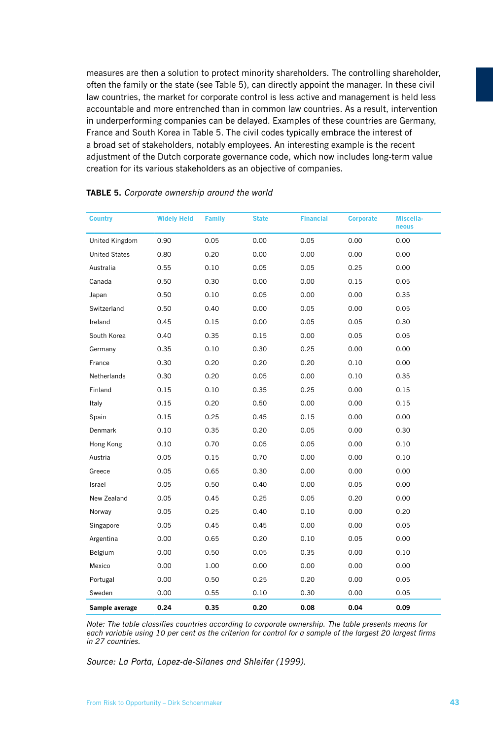measures are then a solution to protect minority shareholders. The controlling shareholder, often the family or the state (see Table 5), can directly appoint the manager. In these civil law countries, the market for corporate control is less active and management is held less accountable and more entrenched than in common law countries. As a result, intervention in underperforming companies can be delayed. Examples of these countries are Germany, France and South Korea in Table 5. The civil codes typically embrace the interest of a broad set of stakeholders, notably employees. An interesting example is the recent adjustment of the Dutch corporate governance code, which now includes long-term value creation for its various stakeholders as an objective of companies.

| <b>Country</b>       | <b>Widely Held</b> | <b>Family</b> | <b>State</b> | <b>Financial</b> | <b>Corporate</b> | Miscella-<br>neous |
|----------------------|--------------------|---------------|--------------|------------------|------------------|--------------------|
| United Kingdom       | 0.90               | 0.05          | 0.00         | 0.05             | 0.00             | 0.00               |
| <b>United States</b> | 0.80               | 0.20          | 0.00         | 0.00             | 0.00             | 0.00               |
| Australia            | 0.55               | 0.10          | 0.05         | 0.05             | 0.25             | 0.00               |
| Canada               | 0.50               | 0.30          | 0.00         | 0.00             | 0.15             | 0.05               |
| Japan                | 0.50               | 0.10          | 0.05         | 0.00             | 0.00             | 0.35               |
| Switzerland          | 0.50               | 0.40          | 0.00         | 0.05             | 0.00             | 0.05               |
| Ireland              | 0.45               | 0.15          | 0.00         | 0.05             | 0.05             | 0.30               |
| South Korea          | 0.40               | 0.35          | 0.15         | 0.00             | 0.05             | 0.05               |
| Germany              | 0.35               | 0.10          | 0.30         | 0.25             | 0.00             | 0.00               |
| France               | 0.30               | 0.20          | 0.20         | 0.20             | 0.10             | 0.00               |
| Netherlands          | 0.30               | 0.20          | 0.05         | 0.00             | 0.10             | 0.35               |
| Finland              | 0.15               | 0.10          | 0.35         | 0.25             | 0.00             | 0.15               |
| Italy                | 0.15               | 0.20          | 0.50         | 0.00             | 0.00             | 0.15               |
| Spain                | 0.15               | 0.25          | 0.45         | 0.15             | 0.00             | 0.00               |
| Denmark              | 0.10               | 0.35          | 0.20         | 0.05             | 0.00             | 0.30               |
| Hong Kong            | 0.10               | 0.70          | 0.05         | 0.05             | 0.00             | 0.10               |
| Austria              | 0.05               | 0.15          | 0.70         | 0.00             | 0.00             | 0.10               |
| Greece               | 0.05               | 0.65          | 0.30         | 0.00             | 0.00             | 0.00               |
| Israel               | 0.05               | 0.50          | 0.40         | 0.00             | 0.05             | 0.00               |
| New Zealand          | 0.05               | 0.45          | 0.25         | 0.05             | 0.20             | 0.00               |
| Norway               | 0.05               | 0.25          | 0.40         | 0.10             | 0.00             | 0.20               |
| Singapore            | 0.05               | 0.45          | 0.45         | 0.00             | 0.00             | 0.05               |
| Argentina            | 0.00               | 0.65          | 0.20         | 0.10             | 0.05             | 0.00               |
| Belgium              | 0.00               | 0.50          | 0.05         | 0.35             | 0.00             | 0.10               |
| Mexico               | 0.00               | 1.00          | 0.00         | 0.00             | 0.00             | 0.00               |
| Portugal             | 0.00               | 0.50          | 0.25         | 0.20             | 0.00             | 0.05               |
| Sweden               | 0.00               | 0.55          | 0.10         | 0.30             | 0.00             | 0.05               |
| Sample average       | 0.24               | 0.35          | 0.20         | 0.08             | 0.04             | 0.09               |

#### **TABLE 5.** *Corporate ownership around the world*

*Note: The table classifies countries according to corporate ownership. The table presents means for each variable using 10 per cent as the criterion for control for a sample of the largest 20 largest firms in 27 countries.*

*Source: La Porta, Lopez-de-Silanes and Shleifer (1999).*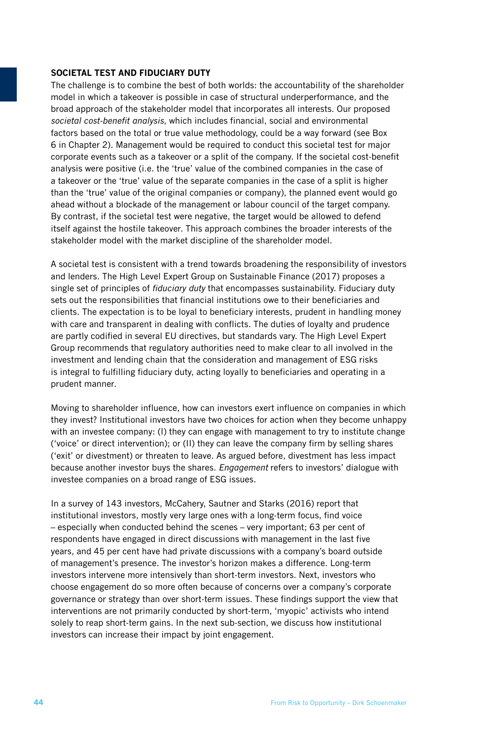#### **SOCIETAL TEST AND FIDUCIARY DUTY**

The challenge is to combine the best of both worlds: the accountability of the shareholder model in which a takeover is possible in case of structural underperformance, and the broad approach of the stakeholder model that incorporates all interests. Our proposed *societal cost-benefit analysis*, which includes financial, social and environmental factors based on the total or true value methodology, could be a way forward (see Box 6 in Chapter 2). Management would be required to conduct this societal test for major corporate events such as a takeover or a split of the company. If the societal cost-benefit analysis were positive (i.e. the 'true' value of the combined companies in the case of a takeover or the 'true' value of the separate companies in the case of a split is higher than the 'true' value of the original companies or company), the planned event would go ahead without a blockade of the management or labour council of the target company. By contrast, if the societal test were negative, the target would be allowed to defend itself against the hostile takeover. This approach combines the broader interests of the stakeholder model with the market discipline of the shareholder model.

A societal test is consistent with a trend towards broadening the responsibility of investors and lenders. The High Level Expert Group on Sustainable Finance (2017) proposes a single set of principles of *fiduciary duty* that encompasses sustainability. Fiduciary duty sets out the responsibilities that financial institutions owe to their beneficiaries and clients. The expectation is to be loyal to beneficiary interests, prudent in handling money with care and transparent in dealing with conflicts. The duties of loyalty and prudence are partly codified in several EU directives, but standards vary. The High Level Expert Group recommends that regulatory authorities need to make clear to all involved in the investment and lending chain that the consideration and management of ESG risks is integral to fulfilling fiduciary duty, acting loyally to beneficiaries and operating in a prudent manner.

Moving to shareholder influence, how can investors exert influence on companies in which they invest? Institutional investors have two choices for action when they become unhappy with an investee company: (I) they can engage with management to try to institute change ('voice' or direct intervention); or (II) they can leave the company firm by selling shares ('exit' or divestment) or threaten to leave. As argued before, divestment has less impact because another investor buys the shares. *Engagement* refers to investors' dialogue with investee companies on a broad range of ESG issues.

In a survey of 143 investors, McCahery, Sautner and Starks (2016) report that institutional investors, mostly very large ones with a long-term focus, find voice – especially when conducted behind the scenes – very important; 63 per cent of respondents have engaged in direct discussions with management in the last five years, and 45 per cent have had private discussions with a company's board outside of management's presence. The investor's horizon makes a difference. Long-term investors intervene more intensively than short-term investors. Next, investors who choose engagement do so more often because of concerns over a company's corporate governance or strategy than over short-term issues. These findings support the view that interventions are not primarily conducted by short-term, 'myopic' activists who intend solely to reap short-term gains. In the next sub-section, we discuss how institutional investors can increase their impact by joint engagement.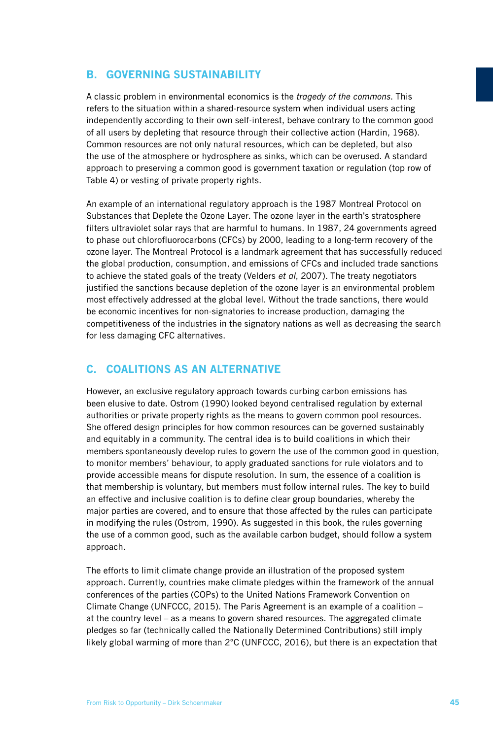### **B. GOVERNING SUSTAINABILITY**

A classic problem in environmental economics is the *tragedy of the commons*. This refers to the situation within a shared-resource system when individual users acting independently according to their own self-interest, behave contrary to the common good of all users by depleting that resource through their collective action (Hardin, 1968). Common resources are not only natural resources, which can be depleted, but also the use of the atmosphere or hydrosphere as sinks, which can be overused. A standard approach to preserving a common good is government taxation or regulation (top row of Table 4) or vesting of private property rights.

An example of an international regulatory approach is the 1987 Montreal Protocol on Substances that Deplete the Ozone Layer. The ozone layer in the earth's stratosphere filters ultraviolet solar rays that are harmful to humans. In 1987, 24 governments agreed to phase out chlorofluorocarbons (CFCs) by 2000, leading to a long-term recovery of the ozone layer. The Montreal Protocol is a landmark agreement that has successfully reduced the global production, consumption, and emissions of CFCs and included trade sanctions to achieve the stated goals of the treaty (Velders *et al*, 2007). The treaty negotiators justified the sanctions because depletion of the ozone layer is an environmental problem most effectively addressed at the global level. Without the trade sanctions, there would be economic incentives for non-signatories to increase production, damaging the competitiveness of the industries in the signatory nations as well as decreasing the search for less damaging CFC alternatives.

### **C. COALITIONS AS AN ALTERNATIVE**

However, an exclusive regulatory approach towards curbing carbon emissions has been elusive to date. Ostrom (1990) looked beyond centralised regulation by external authorities or private property rights as the means to govern common pool resources. She offered design principles for how common resources can be governed sustainably and equitably in a community. The central idea is to build coalitions in which their members spontaneously develop rules to govern the use of the common good in question, to monitor members' behaviour, to apply graduated sanctions for rule violators and to provide accessible means for dispute resolution. In sum, the essence of a coalition is that membership is voluntary, but members must follow internal rules. The key to build an effective and inclusive coalition is to define clear group boundaries, whereby the major parties are covered, and to ensure that those affected by the rules can participate in modifying the rules (Ostrom, 1990). As suggested in this book, the rules governing the use of a common good, such as the available carbon budget, should follow a system approach.

The efforts to limit climate change provide an illustration of the proposed system approach. Currently, countries make climate pledges within the framework of the annual conferences of the parties (COPs) to the United Nations Framework Convention on Climate Change (UNFCCC, 2015). The Paris Agreement is an example of a coalition – at the country level – as a means to govern shared resources. The aggregated climate pledges so far (technically called the Nationally Determined Contributions) still imply likely global warming of more than 2°C (UNFCCC, 2016), but there is an expectation that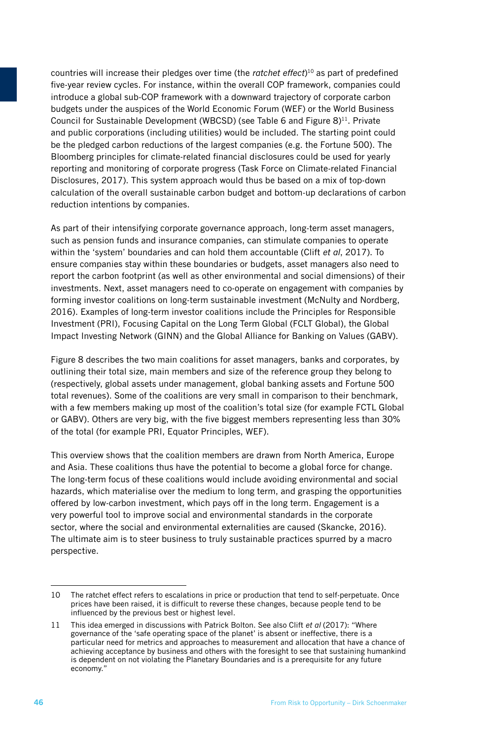countries will increase their pledges over time (the *ratchet effect*)10 as part of predefined five-year review cycles. For instance, within the overall COP framework, companies could introduce a global sub-COP framework with a downward trajectory of corporate carbon budgets under the auspices of the World Economic Forum (WEF) or the World Business Council for Sustainable Development (WBCSD) (see Table 6 and Figure 8)<sup>11</sup>. Private and public corporations (including utilities) would be included. The starting point could be the pledged carbon reductions of the largest companies (e.g. the Fortune 500). The Bloomberg principles for climate-related financial disclosures could be used for yearly reporting and monitoring of corporate progress (Task Force on Climate-related Financial Disclosures, 2017). This system approach would thus be based on a mix of top-down calculation of the overall sustainable carbon budget and bottom-up declarations of carbon reduction intentions by companies.

As part of their intensifying corporate governance approach, long-term asset managers, such as pension funds and insurance companies, can stimulate companies to operate within the 'system' boundaries and can hold them accountable (Clift *et al*, 2017). To ensure companies stay within these boundaries or budgets, asset managers also need to report the carbon footprint (as well as other environmental and social dimensions) of their investments. Next, asset managers need to co-operate on engagement with companies by forming investor coalitions on long-term sustainable investment (McNulty and Nordberg, 2016). Examples of long-term investor coalitions include the Principles for Responsible Investment (PRI), Focusing Capital on the Long Term Global (FCLT Global), the Global Impact Investing Network (GINN) and the Global Alliance for Banking on Values (GABV).

Figure 8 describes the two main coalitions for asset managers, banks and corporates, by outlining their total size, main members and size of the reference group they belong to (respectively, global assets under management, global banking assets and Fortune 500 total revenues). Some of the coalitions are very small in comparison to their benchmark, with a few members making up most of the coalition's total size (for example FCTL Global or GABV). Others are very big, with the five biggest members representing less than 30% of the total (for example PRI, Equator Principles, WEF).

This overview shows that the coalition members are drawn from North America, Europe and Asia. These coalitions thus have the potential to become a global force for change. The long-term focus of these coalitions would include avoiding environmental and social hazards, which materialise over the medium to long term, and grasping the opportunities offered by low-carbon investment, which pays off in the long term. Engagement is a very powerful tool to improve social and environmental standards in the corporate sector, where the social and environmental externalities are caused (Skancke, 2016). The ultimate aim is to steer business to truly sustainable practices spurred by a macro perspective.

<sup>10</sup> The ratchet effect refers to escalations in price or production that tend to self-perpetuate. Once prices have been raised, it is difficult to reverse these changes, because people tend to be influenced by the previous best or highest level.

<sup>11</sup> This idea emerged in discussions with Patrick Bolton. See also Clift *et al* (2017): "Where governance of the 'safe operating space of the planet' is absent or ineffective, there is a particular need for metrics and approaches to measurement and allocation that have a chance of achieving acceptance by business and others with the foresight to see that sustaining humankind is dependent on not violating the Planetary Boundaries and is a prerequisite for any future economy."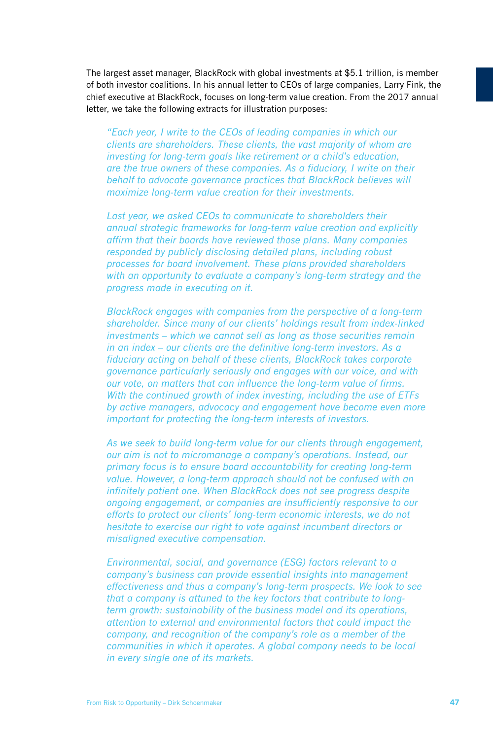The largest asset manager, BlackRock with global investments at \$5.1 trillion, is member of both investor coalitions. In his annual letter to CEOs of large companies, Larry Fink, the chief executive at BlackRock, focuses on long-term value creation. From the 2017 annual letter, we take the following extracts for illustration purposes:

*"Each year, I write to the CEOs of leading companies in which our clients are shareholders. These clients, the vast majority of whom are investing for long-term goals like retirement or a child's education, are the true owners of these companies. As a fiduciary, I write on their behalf to advocate governance practices that BlackRock believes will maximize long-term value creation for their investments.*

*Last year, we asked CEOs to communicate to shareholders their annual strategic frameworks for long-term value creation and explicitly affirm that their boards have reviewed those plans. Many companies responded by publicly disclosing detailed plans, including robust processes for board involvement. These plans provided shareholders with an opportunity to evaluate a company's long-term strategy and the progress made in executing on it.*

*BlackRock engages with companies from the perspective of a long-term shareholder. Since many of our clients' holdings result from index-linked investments – which we cannot sell as long as those securities remain in an index – our clients are the definitive long-term investors. As a fiduciary acting on behalf of these clients, BlackRock takes corporate governance particularly seriously and engages with our voice, and with our vote, on matters that can influence the long-term value of firms. With the continued growth of index investing, including the use of ETFs by active managers, advocacy and engagement have become even more important for protecting the long-term interests of investors.*

*As we seek to build long-term value for our clients through engagement, our aim is not to micromanage a company's operations. Instead, our primary focus is to ensure board accountability for creating long-term value. However, a long-term approach should not be confused with an infinitely patient one. When BlackRock does not see progress despite ongoing engagement, or companies are insufficiently responsive to our efforts to protect our clients' long-term economic interests, we do not hesitate to exercise our right to vote against incumbent directors or misaligned executive compensation.*

*Environmental, social, and governance (ESG) factors relevant to a company's business can provide essential insights into management effectiveness and thus a company's long-term prospects. We look to see that a company is attuned to the key factors that contribute to longterm growth: sustainability of the business model and its operations, attention to external and environmental factors that could impact the company, and recognition of the company's role as a member of the communities in which it operates. A global company needs to be local in every single one of its markets.*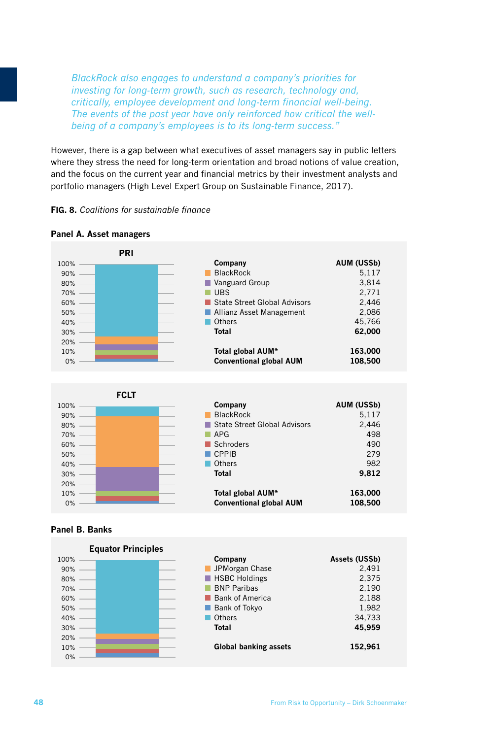*BlackRock also engages to understand a company's priorities for investing for long-term growth, such as research, technology and, critically, employee development and long-term financial well-being. The events of the past year have only reinforced how critical the well being of a company's employees is to its long-term success."*

However, there is a gap between what executives of asset managers say in public letters where they stress the need for long-term orientation and broad notions of value creation, and the focus on the current year and financial metrics by their investment analysts and portfolio managers (High Level Expert Group on Sustainable Finance, 2017).





#### **Panel A. Asset managers**



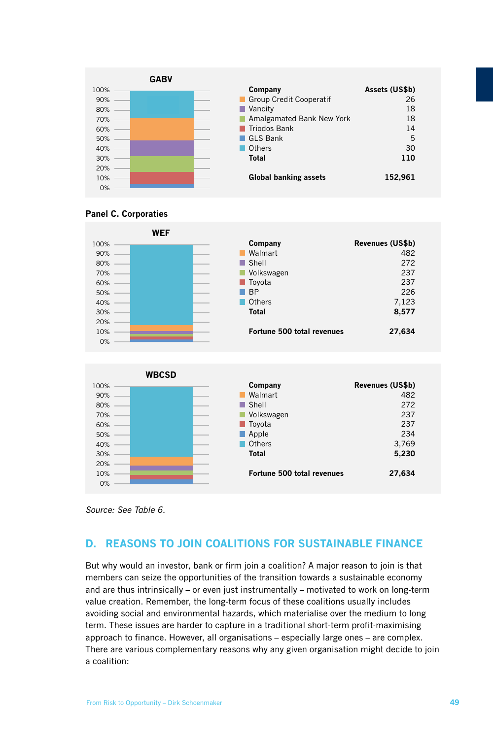|      | <b>GABV</b> |                                |                |
|------|-------------|--------------------------------|----------------|
| 100% |             | Company                        | Assets (US\$b) |
| 90%  |             | <b>Group Credit Cooperatif</b> | 26             |
| 80%  |             | $\blacksquare$ Vancity         | 18             |
| 70%  |             | Amalgamated Bank New York      | 18             |
| 60%  |             | <b>Triodos Bank</b>            | 14             |
| 50%  |             | GLS Bank                       | 5              |
| 40%  |             | Others                         | 30             |
| 30%  |             | <b>Total</b>                   | 110            |
| 20%  |             |                                |                |
| 10%  |             | <b>Global banking assets</b>   | 152,961        |
| 0%   |             |                                |                |







*Source: See Table 6.*

### **D. REASONS TO JOIN COALITIONS FOR SUSTAINABLE FINANCE**

But why would an investor, bank or firm join a coalition? A major reason to join is that members can seize the opportunities of the transition towards a sustainable economy and are thus intrinsically – or even just instrumentally – motivated to work on long-term value creation. Remember, the long-term focus of these coalitions usually includes avoiding social and environmental hazards, which materialise over the medium to long term. These issues are harder to capture in a traditional short-term profit-maximising approach to finance. However, all organisations – especially large ones – are complex. There are various complementary reasons why any given organisation might decide to join a coalition: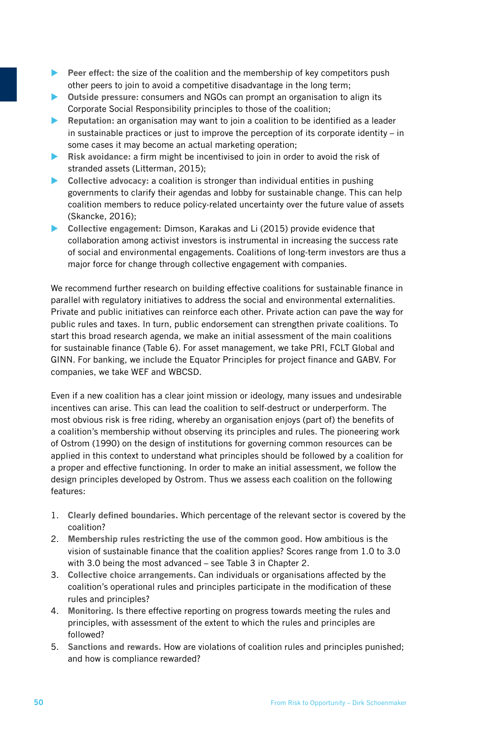- **Peer effect:** the size of the coalition and the membership of key competitors push other peers to join to avoid a competitive disadvantage in the long term;
- X **Outside pressure:** consumers and NGOs can prompt an organisation to align its Corporate Social Responsibility principles to those of the coalition;
- **Reputation:** an organisation may want to join a coalition to be identified as a leader in sustainable practices or just to improve the perception of its corporate identity – in some cases it may become an actual marketing operation;
- **Risk avoidance:** a firm might be incentivised to join in order to avoid the risk of stranded assets (Litterman, 2015);
- X **Collective advocacy:** a coalition is stronger than individual entities in pushing governments to clarify their agendas and lobby for sustainable change. This can help coalition members to reduce policy-related uncertainty over the future value of assets (Skancke, 2016);
- **Collective engagement:** Dimson, Karakas and Li (2015) provide evidence that collaboration among activist investors is instrumental in increasing the success rate of social and environmental engagements. Coalitions of long-term investors are thus a major force for change through collective engagement with companies.

We recommend further research on building effective coalitions for sustainable finance in parallel with regulatory initiatives to address the social and environmental externalities. Private and public initiatives can reinforce each other. Private action can pave the way for public rules and taxes. In turn, public endorsement can strengthen private coalitions. To start this broad research agenda, we make an initial assessment of the main coalitions for sustainable finance (Table 6). For asset management, we take PRI, FCLT Global and GINN. For banking, we include the Equator Principles for project finance and GABV. For companies, we take WEF and WBCSD.

Even if a new coalition has a clear joint mission or ideology, many issues and undesirable incentives can arise. This can lead the coalition to self-destruct or underperform. The most obvious risk is free riding, whereby an organisation enjoys (part of) the benefits of a coalition's membership without observing its principles and rules. The pioneering work of Ostrom (1990) on the design of institutions for governing common resources can be applied in this context to understand what principles should be followed by a coalition for a proper and effective functioning. In order to make an initial assessment, we follow the design principles developed by Ostrom. Thus we assess each coalition on the following features:

- 1. **Clearly defined boundaries.** Which percentage of the relevant sector is covered by the coalition?
- 2. **Membership rules restricting the use of the common good.** How ambitious is the vision of sustainable finance that the coalition applies? Scores range from 1.0 to 3.0 with 3.0 being the most advanced – see Table 3 in Chapter 2.
- 3. **Collective choice arrangements.** Can individuals or organisations affected by the coalition's operational rules and principles participate in the modification of these rules and principles?
- 4. **Monitoring.** Is there effective reporting on progress towards meeting the rules and principles, with assessment of the extent to which the rules and principles are followed?
- 5. **Sanctions and rewards.** How are violations of coalition rules and principles punished; and how is compliance rewarded?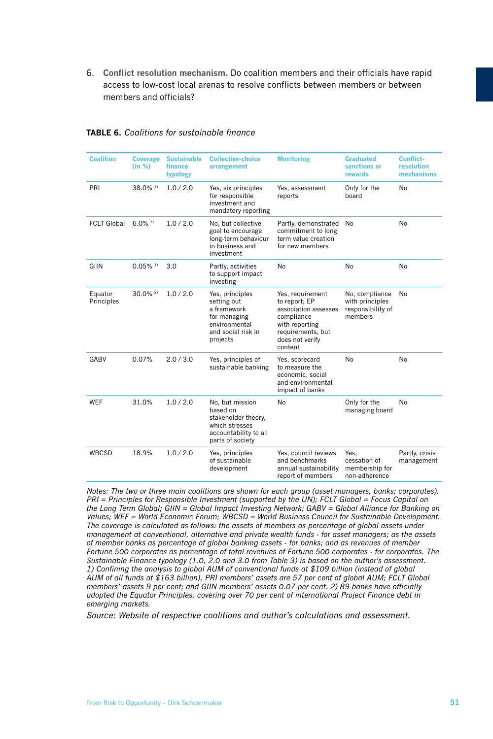6. **Conflict resolution mechanism.** Do coalition members and their officials have rapid access to low-cost local arenas to resolve conflicts between members or between members and officials?

| <b>Coalition</b>      | <b>Coverage</b><br>(in %) | <b>Sustainable</b><br>finance<br>typology | <b>Collective-choice</b><br>arrangement                                                                           | <b>Monitoring</b>                                                                                                                            | <b>Graduated</b><br>sanctions or<br>rewards                       | Conflict-<br>resolution<br>mechanisms |
|-----------------------|---------------------------|-------------------------------------------|-------------------------------------------------------------------------------------------------------------------|----------------------------------------------------------------------------------------------------------------------------------------------|-------------------------------------------------------------------|---------------------------------------|
| PRI                   | 38.0% 1)                  | 1.0/2.0                                   | Yes, six principles<br>for responsible<br>investment and<br>mandatory reporting                                   | Yes, assessment<br>reports                                                                                                                   | Only for the<br>board                                             | No                                    |
| <b>FCIT Global</b>    | $6.0\%$ <sup>1)</sup>     | 1.0/2.0                                   | No, but collective<br>goal to encourage<br>long-term behaviour<br>in business and<br>investment                   | Partly, demonstrated<br>commitment to long<br>term value creation<br>for new members                                                         | No                                                                | No                                    |
| GIIN                  | $0.05\%$ <sup>1)</sup>    | 3.0                                       | Partly, activities<br>to support impact<br>investing                                                              | No                                                                                                                                           | No                                                                | No                                    |
| Equator<br>Principles | $30.0\%$ <sup>2)</sup>    | 1.0/2.0                                   | Yes, principles<br>setting out<br>a framework<br>for managing<br>environmental<br>and social risk in<br>projects  | Yes, requirement<br>to report; EP<br>association assesses<br>compliance<br>with reporting<br>requirements, but<br>does not verify<br>content | No, compliance<br>with principles<br>responsibility of<br>members | No                                    |
| GARV                  | 0.07%                     | 2.0/3.0                                   | Yes, principles of<br>sustainable banking                                                                         | Yes, scorecard<br>to measure the<br>economic, social<br>and environmental<br>impact of banks                                                 | <b>No</b>                                                         | No                                    |
| WFF                   | 31.0%                     | 1.0/2.0                                   | No, but mission<br>based on<br>stakeholder theory,<br>which stresses<br>accountability to all<br>parts of society | No                                                                                                                                           | Only for the<br>managing board                                    | No                                    |
| WBCSD                 | 18.9%                     | 1.0/2.0                                   | Yes, principles<br>of sustainable<br>development                                                                  | Yes, council reviews<br>and benchmarks<br>annual sustainability<br>report of members                                                         | Yes.<br>cessation of<br>membership for<br>non-adherence           | Partly, crisis<br>management          |

#### **TABLE 6.** *Coalitions for sustainable finance*

*Notes: The two or three main coalitions are shown for each group (asset managers, banks; corporates). PRI = Principles for Responsible Investment (supported by the UN); FCLT Global = Focus Capital on the Long Term Global; GIIN = Global Impact Investing Network; GABV = Global Alliance for Banking on Values; WEF = World Economic Forum; WBCSD = World Business Council for Sustainable Development. The coverage is calculated as follows: the assets of members as percentage of global assets under management at conventional, alternative and private wealth funds - for asset managers; as the assets of member banks as percentage of global banking assets - for banks; and as revenues of member Fortune 500 corporates as percentage of total revenues of Fortune 500 corporates - for corporates. The Sustainable Finance typology (1.0, 2.0 and 3.0 from Table 3) is based on the author's assessment. 1) Confining the analysis to global AUM of conventional funds at \$109 billion (instead of global AUM of all funds at \$163 billion), PRI members' assets are 57 per cent of global AUM; FCLT Global members' assets 9 per cent; and GIIN members' assets 0.07 per cent. 2) 89 banks have officially adopted the Equator Principles, covering over 70 per cent of international Project Finance debt in emerging markets.* 

*Source: Website of respective coalitions and author's calculations and assessment.*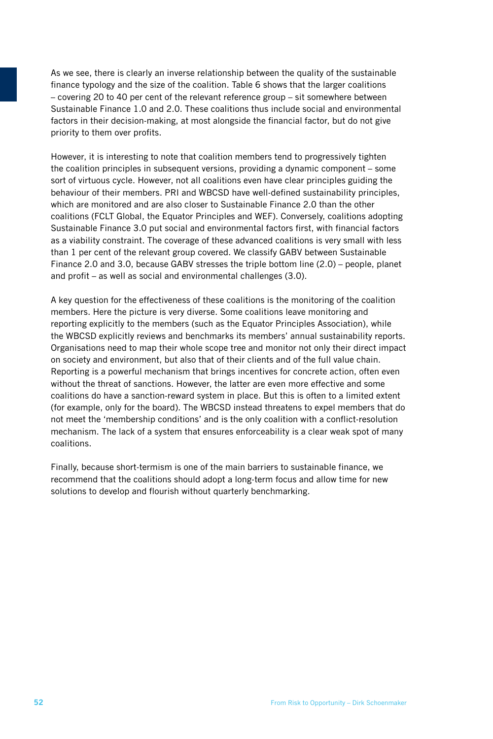As we see, there is clearly an inverse relationship between the quality of the sustainable finance typology and the size of the coalition. Table 6 shows that the larger coalitions – covering 20 to 40 per cent of the relevant reference group – sit somewhere between Sustainable Finance 1.0 and 2.0. These coalitions thus include social and environmental factors in their decision-making, at most alongside the financial factor, but do not give priority to them over profits.

However, it is interesting to note that coalition members tend to progressively tighten the coalition principles in subsequent versions, providing a dynamic component – some sort of virtuous cycle. However, not all coalitions even have clear principles guiding the behaviour of their members. PRI and WBCSD have well-defined sustainability principles, which are monitored and are also closer to Sustainable Finance 2.0 than the other coalitions (FCLT Global, the Equator Principles and WEF). Conversely, coalitions adopting Sustainable Finance 3.0 put social and environmental factors first, with financial factors as a viability constraint. The coverage of these advanced coalitions is very small with less than 1 per cent of the relevant group covered. We classify GABV between Sustainable Finance 2.0 and 3.0, because GABV stresses the triple bottom line (2.0) – people, planet and profit – as well as social and environmental challenges (3.0).

A key question for the effectiveness of these coalitions is the monitoring of the coalition members. Here the picture is very diverse. Some coalitions leave monitoring and reporting explicitly to the members (such as the Equator Principles Association), while the WBCSD explicitly reviews and benchmarks its members' annual sustainability reports. Organisations need to map their whole scope tree and monitor not only their direct impact on society and environment, but also that of their clients and of the full value chain. Reporting is a powerful mechanism that brings incentives for concrete action, often even without the threat of sanctions. However, the latter are even more effective and some coalitions do have a sanction-reward system in place. But this is often to a limited extent (for example, only for the board). The WBCSD instead threatens to expel members that do not meet the 'membership conditions' and is the only coalition with a conflict-resolution mechanism. The lack of a system that ensures enforceability is a clear weak spot of many coalitions.

Finally, because short-termism is one of the main barriers to sustainable finance, we recommend that the coalitions should adopt a long-term focus and allow time for new solutions to develop and flourish without quarterly benchmarking.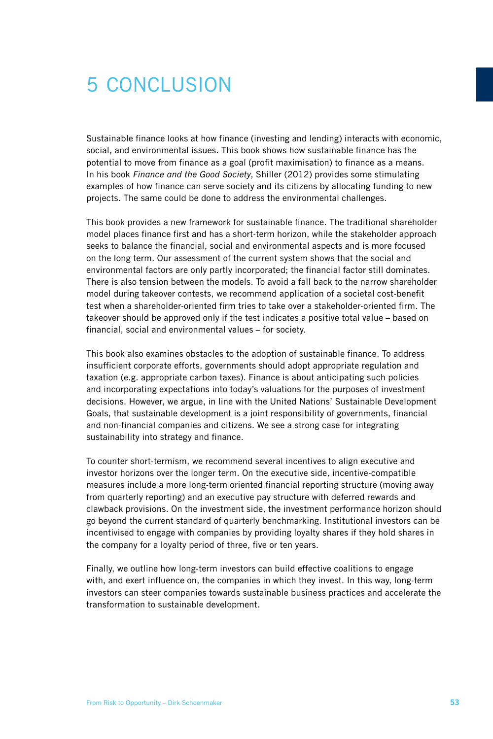## 5 CONCLUSION

Sustainable finance looks at how finance (investing and lending) interacts with economic, social, and environmental issues. This book shows how sustainable finance has the potential to move from finance as a goal (profit maximisation) to finance as a means. In his book *Finance and the Good Society*, Shiller (2012) provides some stimulating examples of how finance can serve society and its citizens by allocating funding to new projects. The same could be done to address the environmental challenges.

This book provides a new framework for sustainable finance. The traditional shareholder model places finance first and has a short-term horizon, while the stakeholder approach seeks to balance the financial, social and environmental aspects and is more focused on the long term. Our assessment of the current system shows that the social and environmental factors are only partly incorporated; the financial factor still dominates. There is also tension between the models. To avoid a fall back to the narrow shareholder model during takeover contests, we recommend application of a societal cost-benefit test when a shareholder-oriented firm tries to take over a stakeholder-oriented firm. The takeover should be approved only if the test indicates a positive total value – based on financial, social and environmental values – for society.

This book also examines obstacles to the adoption of sustainable finance. To address insufficient corporate efforts, governments should adopt appropriate regulation and taxation (e.g. appropriate carbon taxes). Finance is about anticipating such policies and incorporating expectations into today's valuations for the purposes of investment decisions. However, we argue, in line with the United Nations' Sustainable Development Goals, that sustainable development is a joint responsibility of governments, financial and non-financial companies and citizens. We see a strong case for integrating sustainability into strategy and finance.

To counter short-termism, we recommend several incentives to align executive and investor horizons over the longer term. On the executive side, incentive-compatible measures include a more long-term oriented financial reporting structure (moving away from quarterly reporting) and an executive pay structure with deferred rewards and clawback provisions. On the investment side, the investment performance horizon should go beyond the current standard of quarterly benchmarking. Institutional investors can be incentivised to engage with companies by providing loyalty shares if they hold shares in the company for a loyalty period of three, five or ten years.

Finally, we outline how long-term investors can build effective coalitions to engage with, and exert influence on, the companies in which they invest. In this way, long-term investors can steer companies towards sustainable business practices and accelerate the transformation to sustainable development.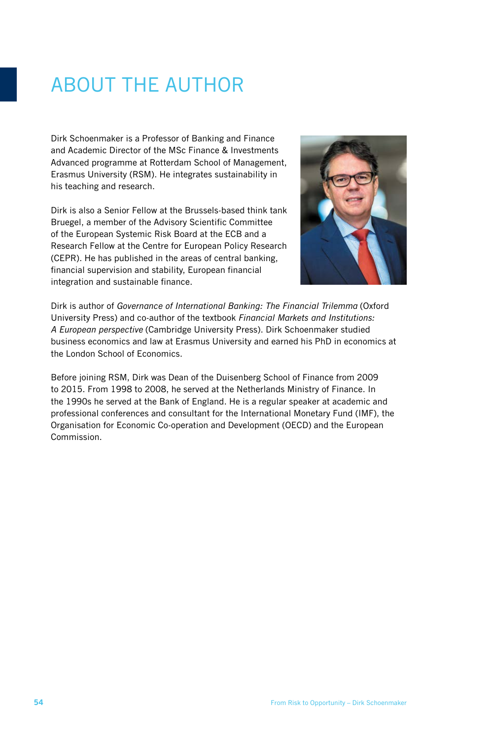# ABOUT THE AUTHOR

Dirk Schoenmaker is a Professor of Banking and Finance and Academic Director of the MSc Finance & Investments Advanced programme at Rotterdam School of Management, Erasmus University (RSM). He integrates sustainability in his teaching and research.

Dirk is also a Senior Fellow at the Brussels-based think tank Bruegel, a member of the Advisory Scientific Committee of the European Systemic Risk Board at the ECB and a Research Fellow at the Centre for European Policy Research (CEPR). He has published in the areas of central banking, financial supervision and stability, European financial integration and sustainable finance.



Dirk is author of *Governance of International Banking: The Financial Trilemma* (Oxford University Press) and co-author of the textbook *Financial Markets and Institutions: A European perspective* (Cambridge University Press). Dirk Schoenmaker studied business economics and law at Erasmus University and earned his PhD in economics at the London School of Economics.

Before joining RSM, Dirk was Dean of the Duisenberg School of Finance from 2009 to 2015. From 1998 to 2008, he served at the Netherlands Ministry of Finance. In the 1990s he served at the Bank of England. He is a regular speaker at academic and professional conferences and consultant for the International Monetary Fund (IMF), the Organisation for Economic Co-operation and Development (OECD) and the European Commission.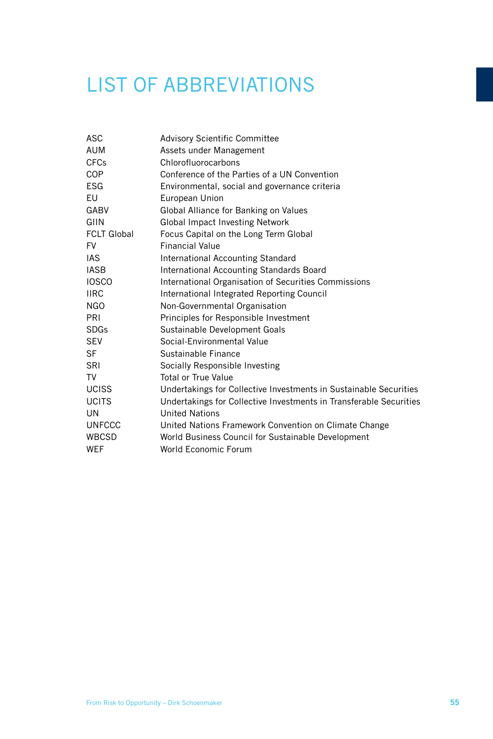## LIST OF ABBREVIATIONS

| ASC                | <b>Advisory Scientific Committee</b>                               |
|--------------------|--------------------------------------------------------------------|
| <b>AUM</b>         | Assets under Management                                            |
| <b>CFCs</b>        | Chlorofluorocarbons                                                |
| <b>COP</b>         | Conference of the Parties of a UN Convention                       |
| <b>ESG</b>         | Environmental, social and governance criteria                      |
| EU                 | European Union                                                     |
| GABV               | Global Alliance for Banking on Values                              |
| GIIN               | <b>Global Impact Investing Network</b>                             |
| <b>FCLT Global</b> | Focus Capital on the Long Term Global                              |
| <b>FV</b>          | <b>Financial Value</b>                                             |
| <b>IAS</b>         | International Accounting Standard                                  |
| <b>IASB</b>        | International Accounting Standards Board                           |
| <b>IOSCO</b>       | International Organisation of Securities Commissions               |
| <b>IIRC</b>        | International Integrated Reporting Council                         |
| <b>NGO</b>         | Non-Governmental Organisation                                      |
| PRI                | Principles for Responsible Investment                              |
| <b>SDGs</b>        | Sustainable Development Goals                                      |
| <b>SEV</b>         | Social-Environmental Value                                         |
| SF                 | Sustainable Finance                                                |
| SRI                | Socially Responsible Investing                                     |
| TV                 | <b>Total or True Value</b>                                         |
| <b>UCISS</b>       | Undertakings for Collective Investments in Sustainable Securities  |
| <b>UCITS</b>       | Undertakings for Collective Investments in Transferable Securities |
| UN                 | <b>United Nations</b>                                              |
| <b>UNFCCC</b>      | United Nations Framework Convention on Climate Change              |
| WBCSD              | World Business Council for Sustainable Development                 |
| WEF                | World Economic Forum                                               |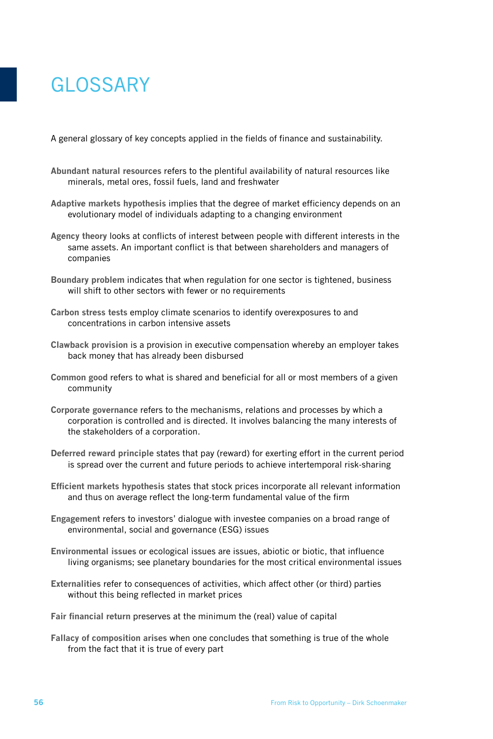## **GLOSSARY**

A general glossary of key concepts applied in the fields of finance and sustainability.

- **Abundant natural resources** refers to the plentiful availability of natural resources like minerals, metal ores, fossil fuels, land and freshwater
- **Adaptive markets hypothesis** implies that the degree of market efficiency depends on an evolutionary model of individuals adapting to a changing environment
- **Agency theory** looks at conflicts of interest between people with different interests in the same assets. An important conflict is that between shareholders and managers of companies
- **Boundary problem** indicates that when regulation for one sector is tightened, business will shift to other sectors with fewer or no requirements
- **Carbon stress tests** employ climate scenarios to identify overexposures to and concentrations in carbon intensive assets
- **Clawback provision** is a provision in executive compensation whereby an employer takes back money that has already been disbursed
- **Common good** refers to what is shared and beneficial for all or most members of a given community
- **Corporate governance** refers to the mechanisms, relations and processes by which a corporation is controlled and is directed. It involves balancing the many interests of the stakeholders of a corporation.
- **Deferred reward principle** states that pay (reward) for exerting effort in the current period is spread over the current and future periods to achieve intertemporal risk-sharing
- **Efficient markets hypothesis** states that stock prices incorporate all relevant information and thus on average reflect the long-term fundamental value of the firm
- **Engagement** refers to investors' dialogue with investee companies on a broad range of environmental, social and governance (ESG) issues
- **Environmental issues** or ecological issues are issues, abiotic or biotic, that influence living organisms; see planetary boundaries for the most critical environmental issues
- **Externalities** refer to consequences of activities, which affect other (or third) parties without this being reflected in market prices
- **Fair financial return** preserves at the minimum the (real) value of capital
- **Fallacy of composition arises** when one concludes that something is true of the whole from the fact that it is true of every part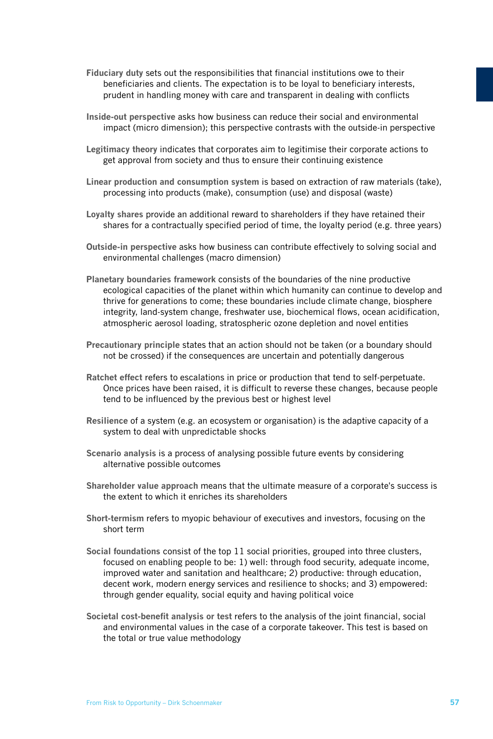- **Fiduciary duty** sets out the responsibilities that financial institutions owe to their beneficiaries and clients. The expectation is to be loyal to beneficiary interests, prudent in handling money with care and transparent in dealing with conflicts
- **Inside-out perspective** asks how business can reduce their social and environmental impact (micro dimension); this perspective contrasts with the outside-in perspective
- **Legitimacy theory** indicates that corporates aim to legitimise their corporate actions to get approval from society and thus to ensure their continuing existence
- **Linear production and consumption system** is based on extraction of raw materials (take), processing into products (make), consumption (use) and disposal (waste)
- **Loyalty shares** provide an additional reward to shareholders if they have retained their shares for a contractually specified period of time, the loyalty period (e.g. three years)
- **Outside-in perspective** asks how business can contribute effectively to solving social and environmental challenges (macro dimension)
- **Planetary boundaries framework** consists of the boundaries of the nine productive ecological capacities of the planet within which humanity can continue to develop and thrive for generations to come; these boundaries include climate change, biosphere integrity, land-system change, freshwater use, biochemical flows, ocean acidification, atmospheric aerosol loading, stratospheric ozone depletion and novel entities
- **Precautionary principle** states that an action should not be taken (or a boundary should not be crossed) if the consequences are uncertain and potentially dangerous
- **Ratchet effect** refers to escalations in price or production that tend to self-perpetuate. Once prices have been raised, it is difficult to reverse these changes, because people tend to be influenced by the previous best or highest level
- **Resilience** of a system (e.g. an ecosystem or organisation) is the adaptive capacity of a system to deal with unpredictable shocks
- **Scenario analysis** is a process of analysing possible future events by considering alternative possible outcomes
- **Shareholder value approach** means that the ultimate measure of a corporate's success is the extent to which it enriches its shareholders
- **Short-termism** refers to myopic behaviour of executives and investors, focusing on the short term
- **Social foundations** consist of the top 11 social priorities, grouped into three clusters, focused on enabling people to be: 1) well: through food security, adequate income, improved water and sanitation and healthcare; 2) productive: through education, decent work, modern energy services and resilience to shocks; and 3) empowered: through gender equality, social equity and having political voice
- **Societal cost-benefit analysis or test** refers to the analysis of the joint financial, social and environmental values in the case of a corporate takeover. This test is based on the total or true value methodology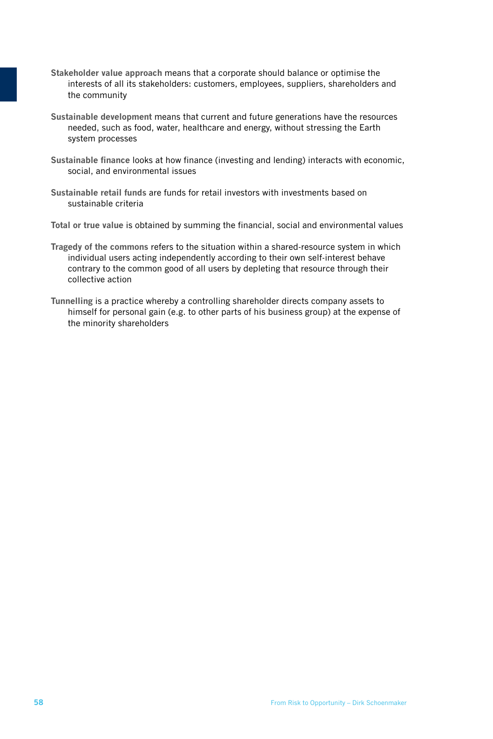- **Stakeholder value approach** means that a corporate should balance or optimise the interests of all its stakeholders: customers, employees, suppliers, shareholders and the community
- **Sustainable development** means that current and future generations have the resources needed, such as food, water, healthcare and energy, without stressing the Earth system processes
- **Sustainable finance** looks at how finance (investing and lending) interacts with economic, social, and environmental issues
- **Sustainable retail funds** are funds for retail investors with investments based on sustainable criteria
- **Total or true value** is obtained by summing the financial, social and environmental values
- **Tragedy of the commons** refers to the situation within a shared-resource system in which individual users acting independently according to their own self-interest behave contrary to the common good of all users by depleting that resource through their collective action
- **Tunnelling** is a practice whereby a controlling shareholder directs company assets to himself for personal gain (e.g. to other parts of his business group) at the expense of the minority shareholders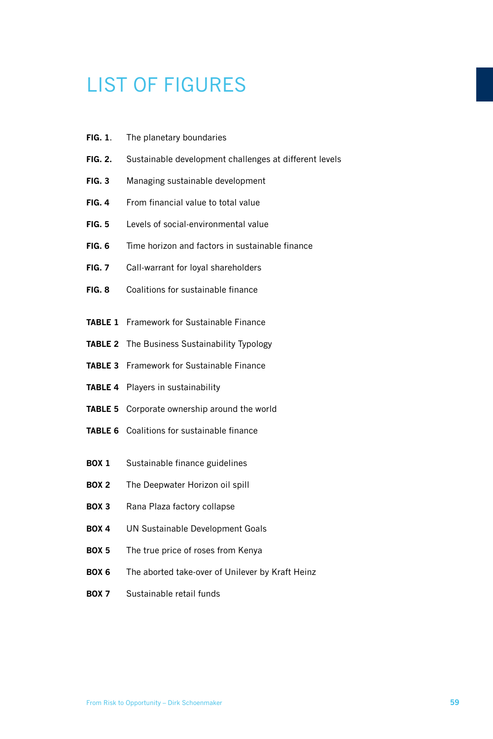## LIST OF FIGURES

- **FIG. 1**. The planetary boundaries
- **FIG. 2.** Sustainable development challenges at different levels
- **FIG. 3** Managing sustainable development
- **FIG. 4** From financial value to total value
- **FIG. 5** Levels of social-environmental value
- **FIG. 6** Time horizon and factors in sustainable finance
- **FIG. 7** Call-warrant for loyal shareholders
- **FIG. 8** Coalitions for sustainable finance
- **TABLE 1** Framework for Sustainable Finance
- **TABLE 2** The Business Sustainability Typology
- **TABLE 3** Framework for Sustainable Finance
- **TABLE 4** Players in sustainability
- **TABLE 5** Corporate ownership around the world
- **TABLE 6** Coalitions for sustainable finance
- **BOX 1** Sustainable finance guidelines
- **BOX 2** The Deepwater Horizon oil spill
- **BOX 3** Rana Plaza factory collapse
- **BOX 4** UN Sustainable Development Goals
- **BOX 5** The true price of roses from Kenya
- **BOX 6** The aborted take-over of Unilever by Kraft Heinz
- **BOX 7** Sustainable retail funds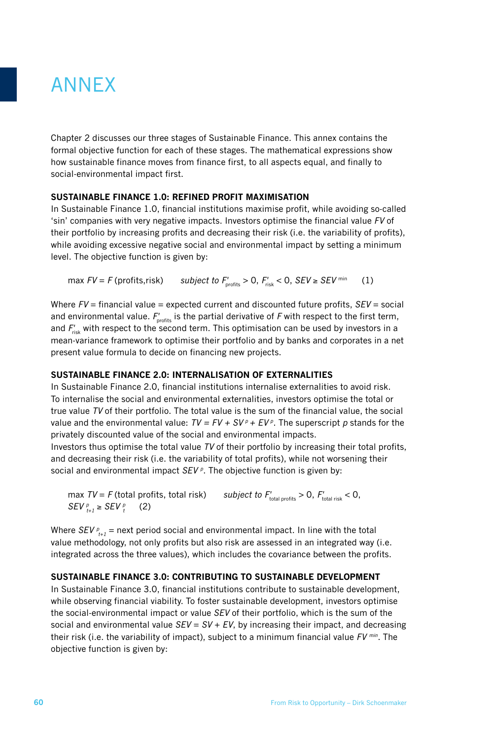# ANNEX

Chapter 2 discusses our three stages of Sustainable Finance. This annex contains the formal objective function for each of these stages. The mathematical expressions show how sustainable finance moves from finance first, to all aspects equal, and finally to social-environmental impact first.

#### **SUSTAINABLE FINANCE 1.0: REFINED PROFIT MAXIMISATION**

In Sustainable Finance 1.0, financial institutions maximise profit, while avoiding so-called 'sin' companies with very negative impacts. Investors optimise the financial value *FV* of their portfolio by increasing profits and decreasing their risk (i.e. the variability of profits), while avoiding excessive negative social and environmental impact by setting a minimum level. The objective function is given by:

max  $FV = F$  (profits, risk) *subject to*  $F'_{\text{nonfirst}} > 0$ ,  $F'_{\text{rel}} < 0$ ,  $SEV \ge SEV^{\text{min}}$  (1)

Where *FV* = financial value = expected current and discounted future profits, *SEV* = social and environmental value.  $F_{\text{confits}}$  is the partial derivative of *F* with respect to the first term, and  $F'_{\text{int}}$  with respect to the second term. This optimisation can be used by investors in a mean-variance framework to optimise their portfolio and by banks and corporates in a net present value formula to decide on financing new projects.

#### **SUSTAINABLE FINANCE 2.0: INTERNALISATION OF EXTERNALITIES**

In Sustainable Finance 2.0, financial institutions internalise externalities to avoid risk. To internalise the social and environmental externalities, investors optimise the total or true value *TV* of their portfolio. The total value is the sum of the financial value, the social value and the environmental value:  $TV = FV + SV^p + EV^p$ . The superscript p stands for the privately discounted value of the social and environmental impacts.

Investors thus optimise the total value *TV* of their portfolio by increasing their total profits, and decreasing their risk (i.e. the variability of total profits), while not worsening their social and environmental impact *SEV<sup>p</sup>*. The objective function is given by:

```
max TV = F (total profits, total risk) subject to F'_{total~profits} > 0, F'_{total~risk} < 0,
SEV _{t+1}^{p} ≥ SEV _{t}^{p} (2)
```
Where  $SEV_{t_{t+1}}^p$  = next period social and environmental impact. In line with the total value methodology, not only profits but also risk are assessed in an integrated way (i.e. integrated across the three values), which includes the covariance between the profits.

#### **SUSTAINABLE FINANCE 3.0: CONTRIBUTING TO SUSTAINABLE DEVELOPMENT**

In Sustainable Finance 3.0, financial institutions contribute to sustainable development, while observing financial viability. To foster sustainable development, investors optimise the social-environmental impact or value *SEV* of their portfolio, which is the sum of the social and environmental value *SEV* = *SV* + *EV*, by increasing their impact, and decreasing their risk (i.e. the variability of impact), subject to a minimum financial value *FV min*. The objective function is given by: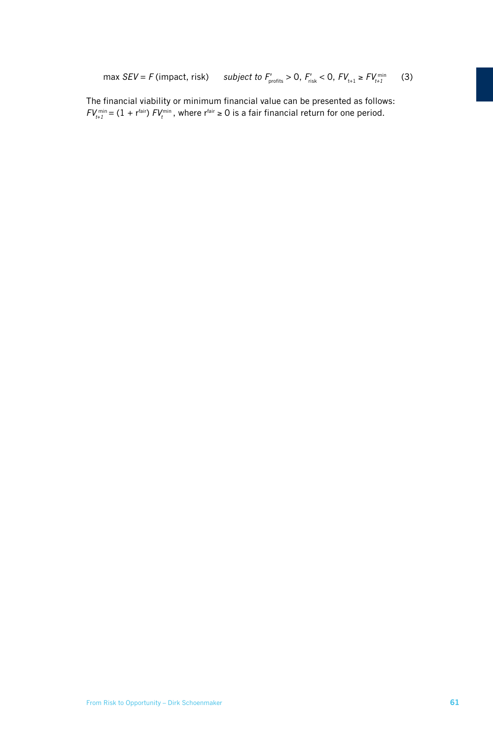| max $SEV = F$ (impact, risk) subject to $F'_{\text{profits}} > 0$ , $F'_{\text{risk}} < 0$ , $FV_{t+1} \ge FV_{t+1}^{\text{min}}$ (3) |  |  |  |  |  |
|---------------------------------------------------------------------------------------------------------------------------------------|--|--|--|--|--|
|---------------------------------------------------------------------------------------------------------------------------------------|--|--|--|--|--|

The financial viability or minimum financial value can be presented as follows:  $FV_{t+1}^{\min}$  = (1 + r<sup>fair</sup>)  $FV_{t}^{\min}$ , where r<sup>fair</sup> ≥ 0 is a fair financial return for one period.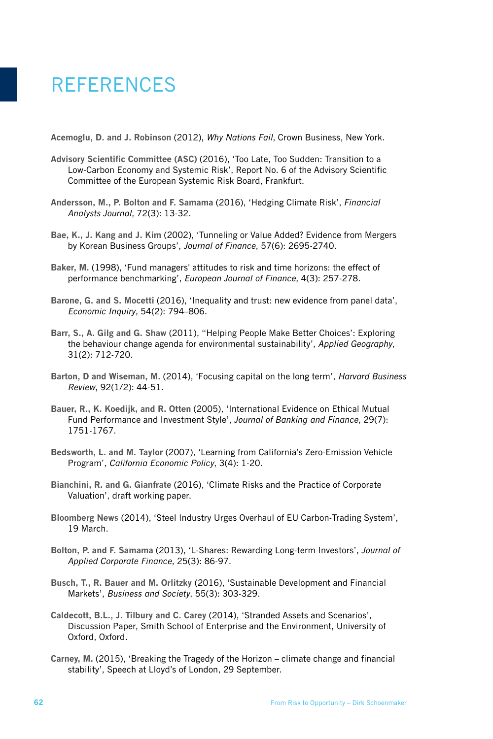## **REFERENCES**

**Acemoglu, D. and J. Robinson** (2012), *Why Nations Fail*, Crown Business, New York.

- **Advisory Scientific Committee (ASC)** (2016), 'Too Late, Too Sudden: Transition to a Low-Carbon Economy and Systemic Risk', Report No. 6 of the Advisory Scientific Committee of the European Systemic Risk Board, Frankfurt.
- **Andersson, M., P. Bolton and F. Samama** (2016), 'Hedging Climate Risk', *Financial Analysts Journal*, 72(3): 13-32.
- **Bae, K., J. Kang and J. Kim** (2002), 'Tunneling or Value Added? Evidence from Mergers by Korean Business Groups', *Journal of Finance*, 57(6): 2695-2740.
- **Baker, M.** (1998), 'Fund managers' attitudes to risk and time horizons: the effect of performance benchmarking', *European Journal of Finance*, 4(3): 257-278.

**Barone, G. and S. Mocetti** (2016), 'Inequality and trust: new evidence from panel data', *Economic Inquiry*, 54(2): 794–806.

- **Barr, S., A. Gilg and G. Shaw** (2011), ''Helping People Make Better Choices': Exploring the behaviour change agenda for environmental sustainability', *Applied Geography*, 31(2): 712-720.
- **Barton, D and Wiseman, M.** (2014), 'Focusing capital on the long term', *Harvard Business Review*, 92(1/2): 44-51.
- **Bauer, R., K. Koedijk, and R. Otten** (2005), 'International Evidence on Ethical Mutual Fund Performance and Investment Style', *Journal of Banking and Finance*, 29(7): 1751-1767.
- **Bedsworth, L. and M. Taylor** (2007), 'Learning from California's Zero-Emission Vehicle Program', *California Economic Policy*, 3(4): 1-20.
- **Bianchini, R. and G. Gianfrate** (2016), 'Climate Risks and the Practice of Corporate Valuation', draft working paper.
- **Bloomberg News** (2014), 'Steel Industry Urges Overhaul of EU Carbon-Trading System', 19 March.
- **Bolton, P. and F. Samama** (2013), 'L-Shares: Rewarding Long-term Investors', *Journal of Applied Corporate Finance*, 25(3): 86-97.
- **Busch, T., R. Bauer and M. Orlitzky** (2016), 'Sustainable Development and Financial Markets', *Business and Society*, 55(3): 303-329.
- **Caldecott, B.L., J. Tilbury and C. Carey** (2014), 'Stranded Assets and Scenarios', Discussion Paper, Smith School of Enterprise and the Environment, University of Oxford, Oxford.
- **Carney, M.** (2015), 'Breaking the Tragedy of the Horizon climate change and financial stability', Speech at Lloyd's of London, 29 September.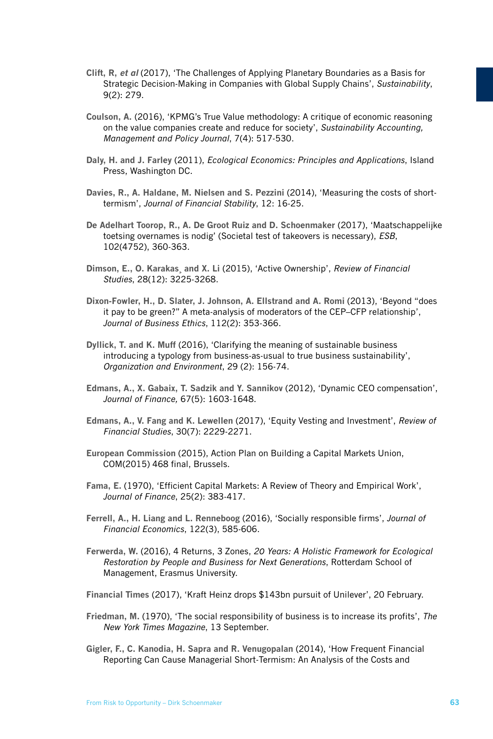- **Clift, R,** *et al* (2017), 'The Challenges of Applying Planetary Boundaries as a Basis for Strategic Decision-Making in Companies with Global Supply Chains', *Sustainability*, 9(2): 279.
- **Coulson, A.** (2016), 'KPMG's True Value methodology: A critique of economic reasoning on the value companies create and reduce for society', *Sustainability Accounting, Management and Policy Journal*, 7(4): 517-530.
- **Daly, H. and J. Farley** (2011), *Ecological Economics: Principles and Applications*, Island Press, Washington DC.
- **Davies, R., A. Haldane, M. Nielsen and S. Pezzini** (2014), 'Measuring the costs of shorttermism', *Journal of Financial Stability*, 12: 16-25.
- **De Adelhart Toorop, R., A. De Groot Ruiz and D. Schoenmaker** (2017), 'Maatschappelijke toetsing overnames is nodig' (Societal test of takeovers is necessary), *ESB*, 102(4752), 360-363.
- **Dimson, E., O. Karakas¸ and X. Li** (2015), 'Active Ownership', *Review of Financial Studies*, 28(12): 3225-3268.
- **Dixon-Fowler, H., D. Slater, J. Johnson, A. Ellstrand and A. Romi** (2013), 'Beyond "does it pay to be green?" A meta-analysis of moderators of the CEP–CFP relationship', *Journal of Business Ethics*, 112(2): 353-366.
- **Dyllick, T. and K. Muff** (2016), 'Clarifying the meaning of sustainable business introducing a typology from business-as-usual to true business sustainability', *Organization and Environment*, 29 (2): 156-74.
- **Edmans, A., X. Gabaix, T. Sadzik and Y. Sannikov** (2012), 'Dynamic CEO compensation', *Journal of Finance,* 67(5): 1603-1648.
- **Edmans, A., V. Fang and K. Lewellen** (2017), 'Equity Vesting and Investment', *Review of Financial Studies*, 30(7): 2229-2271.
- **European Commission** (2015), Action Plan on Building a Capital Markets Union, COM(2015) 468 final, Brussels.
- **Fama, E.** (1970), 'Efficient Capital Markets: A Review of Theory and Empirical Work', *Journal of Finance*, 25(2): 383-417.
- **Ferrell, A., H. Liang and L. Renneboog** (2016), 'Socially responsible firms', *Journal of Financial Economics*, 122(3), 585-606.
- **Ferwerda, W.** (2016), 4 Returns, 3 Zones, *20 Years: A Holistic Framework for Ecological Restoration by People and Business for Next Generations*, Rotterdam School of Management, Erasmus University.

**Financial Times** (2017), 'Kraft Heinz drops \$143bn pursuit of Unilever', 20 February.

- **Friedman, M.** (1970), 'The social responsibility of business is to increase its profits', *The New York Times Magazine*, 13 September.
- **Gigler, F., C. Kanodia, H. Sapra and R. Venugopalan** (2014), 'How Frequent Financial Reporting Can Cause Managerial Short-Termism: An Analysis of the Costs and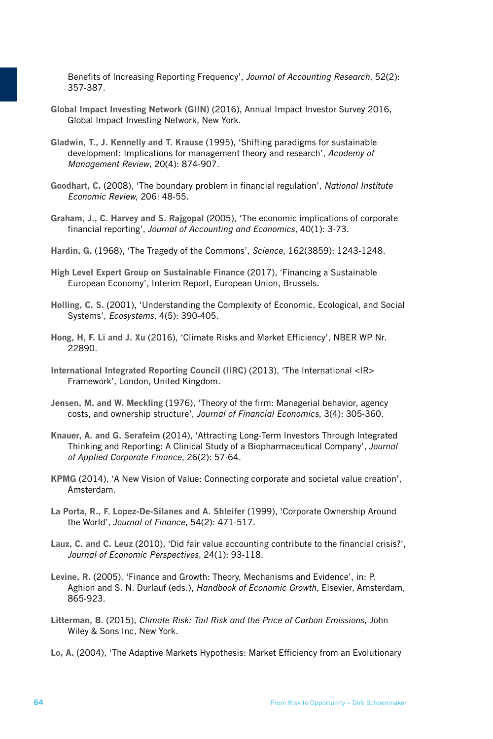Benefits of Increasing Reporting Frequency', *Journal of Accounting Research*, 52(2): 357-387.

- **Global Impact Investing Network (GIIN)** (2016), Annual Impact Investor Survey 2016, Global Impact Investing Network, New York.
- **Gladwin, T., J. Kennelly and T. Krause** (1995), 'Shifting paradigms for sustainable development: Implications for management theory and research', *Academy of Management Review*, 20(4): 874-907.
- **Goodhart, C.** (2008), 'The boundary problem in financial regulation', *National Institute Economic Review,* 206: 48-55.
- **Graham, J., C. Harvey and S. Rajgopal** (2005), 'The economic implications of corporate financial reporting', *Journal of Accounting and Economics*, 40(1): 3-73.
- **Hardin, G.** (1968), 'The Tragedy of the Commons', *Science*, 162(3859): 1243-1248.
- **High Level Expert Group on Sustainable Finance** (2017), 'Financing a Sustainable European Economy', Interim Report, European Union, Brussels.
- **Holling, C. S.** (2001), 'Understanding the Complexity of Economic, Ecological, and Social Systems', *Ecosystems*, 4(5): 390-405.
- **Hong, H, F. Li and J. Xu** (2016), 'Climate Risks and Market Efficiency', NBER WP Nr. 22890.
- **International Integrated Reporting Council (IIRC)** (2013), 'The International <IR> Framework', London, United Kingdom.
- **Jensen, M. and W. Meckling** (1976), 'Theory of the firm: Managerial behavior, agency costs, and ownership structure', *Journal of Financial Economics*, 3(4): 305-360.
- **Knauer, A. and G. Serafeim** (2014), 'Attracting Long-Term Investors Through Integrated Thinking and Reporting: A Clinical Study of a Biopharmaceutical Company', *Journal of Applied Corporate Finance*, 26(2): 57-64.
- **KPMG** (2014), 'A New Vision of Value: Connecting corporate and societal value creation', Amsterdam.
- **La Porta, R., F. Lopez-De-Silanes and A. Shleifer** (1999), 'Corporate Ownership Around the World', *Journal of Finance*, 54(2): 471-517.
- **Laux, C. and C. Leuz** (2010), 'Did fair value accounting contribute to the financial crisis?', *Journal of Economic Perspectives*, 24(1): 93-118.
- **Levine, R.** (2005), 'Finance and Growth: Theory, Mechanisms and Evidence', in: P. Aghion and S. N. Durlauf (eds.), *Handbook of Economic Growth*, Elsevier, Amsterdam, 865-923.
- **Litterman, B.** (2015), *Climate Risk: Tail Risk and the Price of Carbon Emissions*, John Wiley & Sons Inc, New York.
- **Lo, A.** (2004), 'The Adaptive Markets Hypothesis: Market Efficiency from an Evolutionary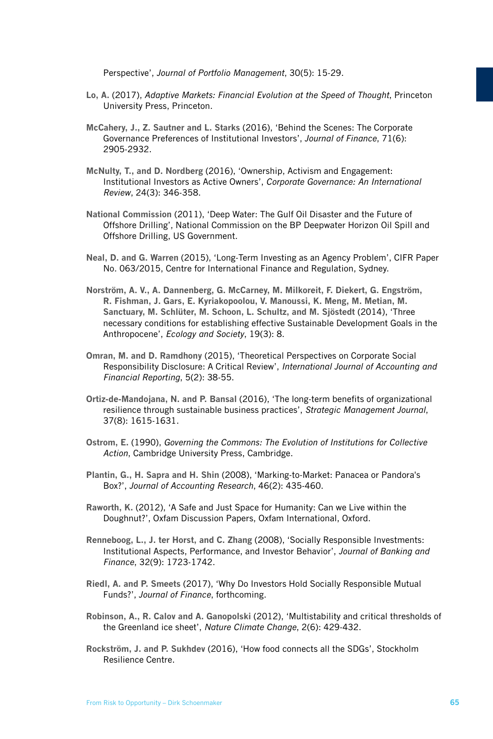Perspective', *Journal of Portfolio Management*, 30(5): 15-29.

- **Lo, A.** (2017), *Adaptive Markets: Financial Evolution at the Speed of Thought*, Princeton University Press, Princeton.
- **McCahery, J., Z. Sautner and L. Starks** (2016), 'Behind the Scenes: The Corporate Governance Preferences of Institutional Investors', *Journal of Finance*, 71(6): 2905-2932.
- **McNulty, T., and D. Nordberg** (2016), 'Ownership, Activism and Engagement: Institutional Investors as Active Owners', *Corporate Governance: An International Review*, 24(3): 346-358.
- **National Commission** (2011), 'Deep Water: The Gulf Oil Disaster and the Future of Offshore Drilling', National Commission on the BP Deepwater Horizon Oil Spill and Offshore Drilling, US Government.
- **Neal, D. and G. Warren** (2015), 'Long-Term Investing as an Agency Problem', CIFR Paper No. 063/2015, Centre for International Finance and Regulation, Sydney.
- **Norström, A. V., A. Dannenberg, G. McCarney, M. Milkoreit, F. Diekert, G. Engström, R. Fishman, J. Gars, E. Kyriakopoolou, V. Manoussi, K. Meng, M. Metian, M. Sanctuary, M. Schlüter, M. Schoon, L. Schultz, and M. Sjöstedt** (2014), 'Three necessary conditions for establishing effective Sustainable Development Goals in the Anthropocene', *Ecology and Society*, 19(3): 8.
- **Omran, M. and D. Ramdhony** (2015), 'Theoretical Perspectives on Corporate Social Responsibility Disclosure: A Critical Review', *International Journal of Accounting and Financial Reporting*, 5(2): 38-55.
- **Ortiz-de-Mandojana, N. and P. Bansal** (2016), 'The long-term benefits of organizational resilience through sustainable business practices', *Strategic Management Journal*, 37(8): 1615-1631.
- **Ostrom, E.** (1990), *Governing the Commons: The Evolution of Institutions for Collective Action*, Cambridge University Press, Cambridge.
- **Plantin, G., H. Sapra and H. Shin** (2008), 'Marking-to-Market: Panacea or Pandora's Box?', *Journal of Accounting Research*, 46(2): 435-460.
- **Raworth, K.** (2012), 'A Safe and Just Space for Humanity: Can we Live within the Doughnut?', Oxfam Discussion Papers, Oxfam International, Oxford.
- **Renneboog, L., J. ter Horst, and C. Zhang** (2008), 'Socially Responsible Investments: Institutional Aspects, Performance, and Investor Behavior', *Journal of Banking and Finance*, 32(9): 1723-1742.
- **Riedl, A. and P. Smeets** (2017), 'Why Do Investors Hold Socially Responsible Mutual Funds?', *Journal of Finance*, forthcoming.
- **Robinson, A., R. Calov and A. Ganopolski** (2012), 'Multistability and critical thresholds of the Greenland ice sheet', *Nature Climate Change*, 2(6): 429-432.
- **Rockström, J. and P. Sukhdev** (2016), 'How food connects all the SDGs', Stockholm Resilience Centre.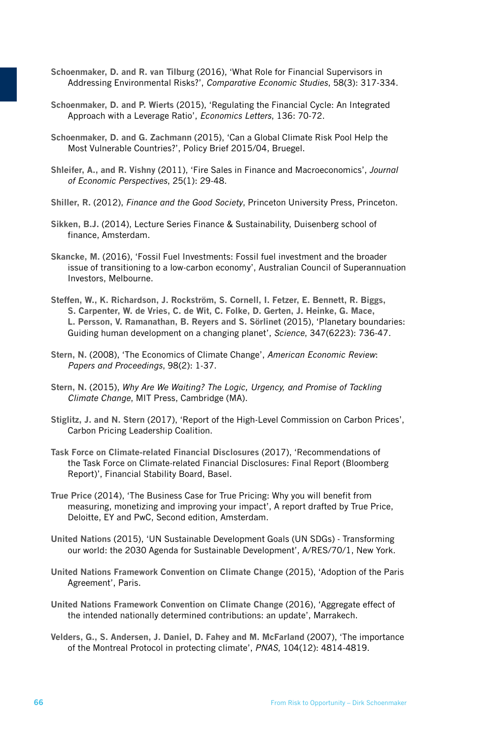- **Schoenmaker, D. and R. van Tilburg** (2016), 'What Role for Financial Supervisors in Addressing Environmental Risks?', *Comparative Economic Studies*, 58(3): 317-334.
- **Schoenmaker, D. and P. Wierts** (2015), 'Regulating the Financial Cycle: An Integrated Approach with a Leverage Ratio', *Economics Letters*, 136: 70-72.
- **Schoenmaker, D. and G. Zachmann** (2015), 'Can a Global Climate Risk Pool Help the Most Vulnerable Countries?', Policy Brief 2015/04, Bruegel.
- **Shleifer, A., and R. Vishny** (2011), 'Fire Sales in Finance and Macroeconomics', *Journal of Economic Perspectives*, 25(1): 29-48.
- **Shiller, R.** (2012), *Finance and the Good Society*, Princeton University Press, Princeton.
- **Sikken, B.J.** (2014), Lecture Series Finance & Sustainability, Duisenberg school of finance, Amsterdam.
- **Skancke, M.** (2016), 'Fossil Fuel Investments: Fossil fuel investment and the broader issue of transitioning to a low-carbon economy', Australian Council of Superannuation Investors, Melbourne.
- **Steffen, W., K. Richardson, J. Rockström, S. Cornell, I. Fetzer, E. Bennett, R. Biggs, S. Carpenter, W. de Vries, C. de Wit, C. Folke, D. Gerten, J. Heinke, G. Mace, L. Persson, V. Ramanathan, B. Reyers and S. Sörlinet** (2015), 'Planetary boundaries: Guiding human development on a changing planet', *Science*, 347(6223): 736-47.
- **Stern, N.** (2008), 'The Economics of Climate Change', *American Economic Review*: *Papers and Proceedings*, 98(2): 1-37.
- **Stern, N.** (2015), *Why Are We Waiting? The Logic, Urgency, and Promise of Tackling Climate Change*, MIT Press, Cambridge (MA).
- **Stiglitz, J. and N. Stern** (2017), 'Report of the High-Level Commission on Carbon Prices', Carbon Pricing Leadership Coalition.
- **Task Force on Climate-related Financial Disclosures** (2017), 'Recommendations of the Task Force on Climate-related Financial Disclosures: Final Report (Bloomberg Report)', Financial Stability Board, Basel.
- **True Price** (2014), 'The Business Case for True Pricing: Why you will benefit from measuring, monetizing and improving your impact', A report drafted by True Price, Deloitte, EY and PwC, Second edition, Amsterdam.
- **United Nations** (2015), 'UN Sustainable Development Goals (UN SDGs) Transforming our world: the 2030 Agenda for Sustainable Development', A/RES/70/1, New York.
- **United Nations Framework Convention on Climate Change** (2015), 'Adoption of the Paris Agreement', Paris.
- **United Nations Framework Convention on Climate Change** (2016), 'Aggregate effect of the intended nationally determined contributions: an update', Marrakech.
- **Velders, G., S. Andersen, J. Daniel, D. Fahey and M. McFarland** (2007), 'The importance of the Montreal Protocol in protecting climate', *PNAS*, 104(12): 4814-4819.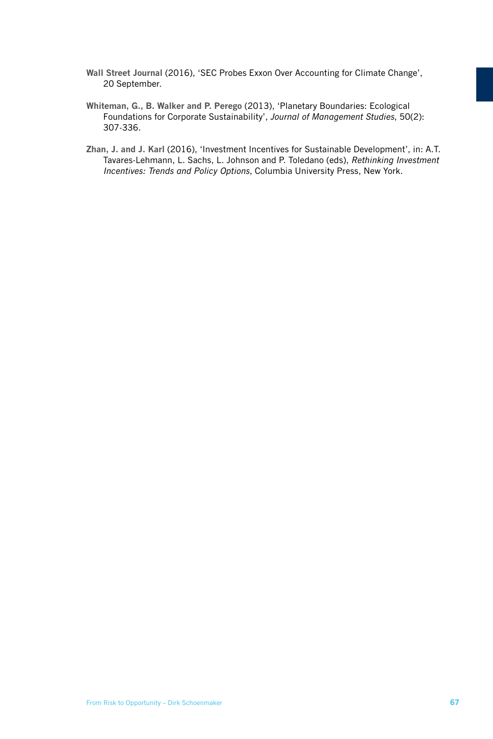- **Wall Street Journal** (2016), 'SEC Probes Exxon Over Accounting for Climate Change', 20 September.
- **Whiteman, G., B. Walker and P. Perego** (2013), 'Planetary Boundaries: Ecological Foundations for Corporate Sustainability', *Journal of Management Studies*, 50(2): 307-336.
- **Zhan, J. and J. Karl** (2016), 'Investment Incentives for Sustainable Development', in: A.T. Tavares-Lehmann, L. Sachs, L. Johnson and P. Toledano (eds), *Rethinking Investment Incentives: Trends and Policy Options*, Columbia University Press, New York.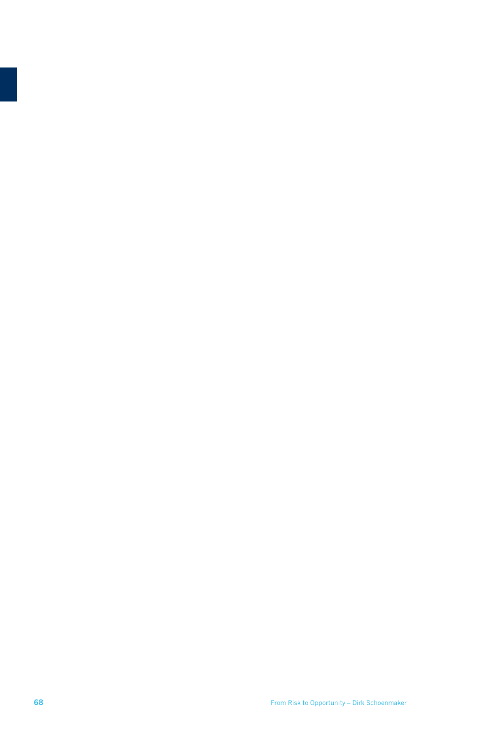From Risk to Opportunity – Dirk Schoenmaker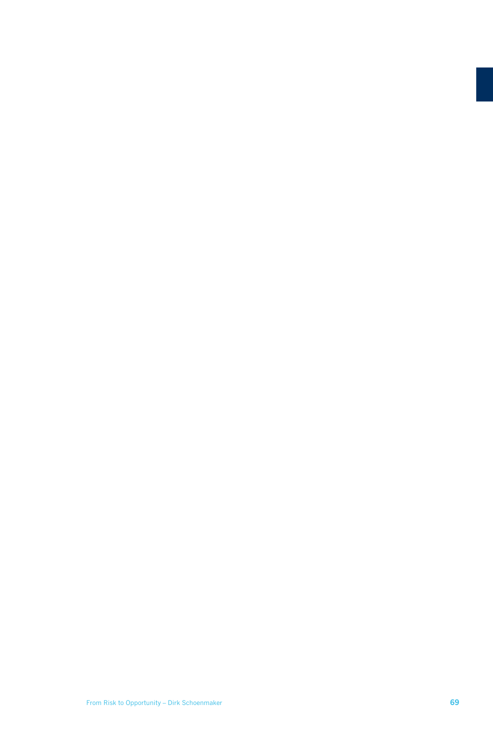From Risk to Opportunity – Dirk Schoenmaker **69**